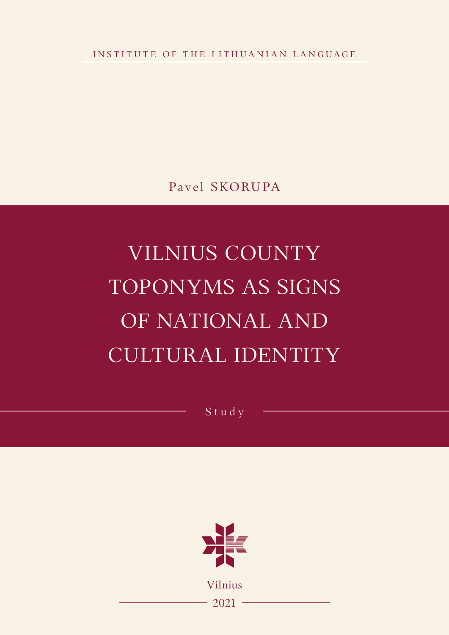INSTITUTE OF THE LITHUANIAN LANGUAGE

Pavel SKORUPA

# VILNIUS COUNTY TOPONYMS AS SIGNS OF NATIONAL AND CULTURAL IDENTITY

Study



 $-2021 -$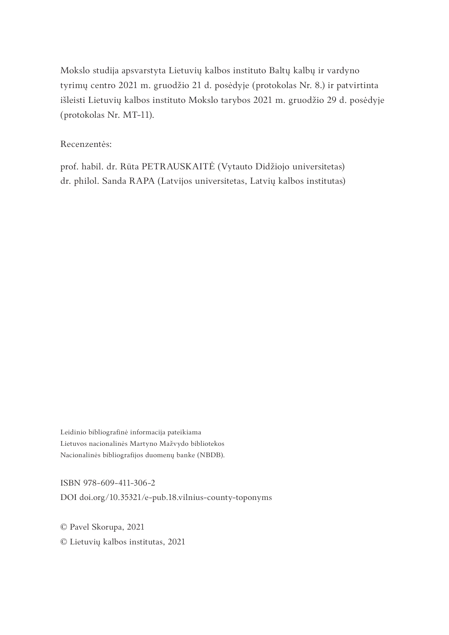Mokslo studija apsvarstyta Lietuvių kalbos instituto Baltų kalbų ir vardyno tyrimų centro 2021 m. gruodžio 21 d. posėdyje (protokolas Nr. 8.) ir patvirtinta išleisti Lietuvių kalbos instituto Mokslo tarybos 2021 m. gruodžio 29 d. posėdyje (protokolas Nr. MT-11).

#### Recenzentės:

prof. habil. dr. Rūta PETRAUSKAITĖ (Vytauto Didžiojo universitetas) dr. philol. Sanda RAPA (Latvijos universitetas, Latvių kalbos institutas)

Leidinio bibliografinė informacija pateikiama Lietuvos nacionalinės Martyno Mažvydo bibliotekos Nacionalinės bibliografijos duomenų banke (NBDB).

ISBN 978-609-411-306-2

DOI doi.org/10.35321/e-pub.18.vilnius-county-toponyms

© Pavel Skorupa, 2021

© Lietuvių kalbos institutas, 2021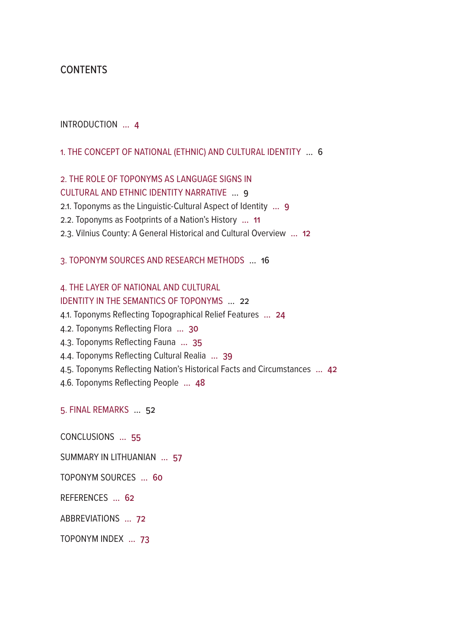## CONTENTS

## [INTRODUCTION](#page-3-0) ... 4

[1. THE CONCEPT OF NATIONAL \(ETHNIC\) AND CULTURAL IDENTITY](#page-5-0) ... 6

# [2. THE ROLE OF TOPONYMS AS LANGUAGE SIGNS IN](#page-8-0)

## [CULTURAL AND ETHNIC IDENTITY NARRATIVE](#page-8-0) ... 9

- [2.1. Toponyms as the Linguistic-Cultural Aspect of Identity](#page-8-0) ... 9
- [2.2. Toponyms as Footprints of a Nation's History](#page-10-0) ... 11
- [2.3. Vilnius County: A General Historical and Cultural Overview](#page-11-0) ... 12

## [3. TOPONYM SOURCES AND RESEARCH METHODS](#page-15-0) ... 16

# [4. THE LAYER OF NATIONAL AND CULTURAL](#page-21-0)

# [IDENTITY IN THE SEMANTICS OF TOPONYMS](#page-21-0) ... 22

- [4.1. Toponyms Reflecting Topographical Relief Features](#page-23-0) ... 24
- [4.2. Toponyms Reflecting Flora](#page-29-0) ... 30
- [4.3. Toponyms Reflecting Fauna](#page-34-0) … 35
- [4.4. Toponyms Reflecting Cultural Realia](#page-38-0) … 39
- [4.5. Toponyms Reflecting Nation's Historical Facts and Circumstances](#page-41-0) ... 42
- [4.6. Toponyms Reflecting People](#page-47-0) ... 48

## [5. FINAL REMARKS](#page-51-0) … 52

[CONCLUSIONS](#page-54-0) ... 55

- [SUMMARY IN LITHUANIAN](#page-56-0) ... 57
- [TOPONYM SOURCES](#page-59-0) ... 60

[REFERENCES](#page-61-0) ... 62

[ABBREVIATIONS](#page-71-0) ... 72

## [TOPONYM INDEX](#page-72-0) ... 73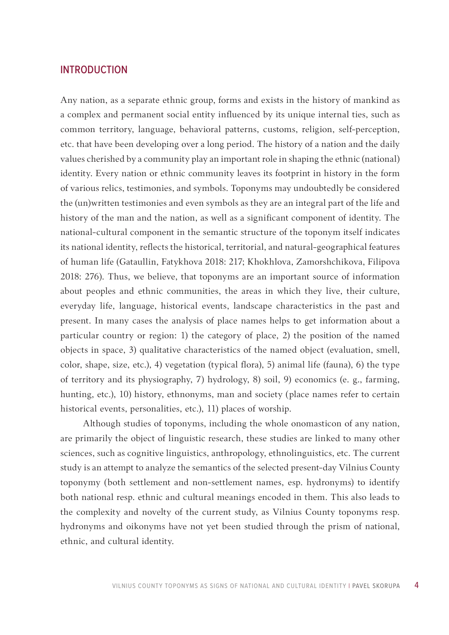## <span id="page-3-0"></span>INTRODUCTION

Any nation, as a separate ethnic group, forms and exists in the history of mankind as a complex and permanent social entity influenced by its unique internal ties, such as common territory, language, behavioral patterns, customs, religion, self-perception, etc. that have been developing over a long period. The history of a nation and the daily values cherished by a community play an important role in shaping the ethnic (national) identity. Every nation or ethnic community leaves its footprint in history in the form of various relics, testimonies, and symbols. Toponyms may undoubtedly be considered the (un)written testimonies and even symbols as they are an integral part of the life and history of the man and the nation, as well as a significant component of identity. The national-cultural component in the semantic structure of the toponym itself indicates its national identity, reflects the historical, territorial, and natural-geographical features of human life (Gataullin, Fatykhova 2018: 217; Khokhlova, Zamorshchikova, Filipova 2018: 276). Thus, we believe, that toponyms are an important source of information about peoples and ethnic communities, the areas in which they live, their culture, everyday life, language, historical events, landscape characteristics in the past and present. In many cases the analysis of place names helps to get information about a particular country or region: 1) the category of place, 2) the position of the named objects in space, 3) qualitative characteristics of the named object (evaluation, smell, color, shape, size, etc.), 4) vegetation (typical flora), 5) animal life (fauna), 6) the type of territory and its physiography, 7) hydrology, 8) soil, 9) economics (e. g., farming, hunting, etc.), 10) history, ethnonyms, man and society (place names refer to certain historical events, personalities, etc.), 11) places of worship.

Although studies of toponyms, including the whole onomasticon of any nation, are primarily the object of linguistic research, these studies are linked to many other sciences, such as cognitive linguistics, anthropology, ethnolinguistics, etc. The current study is an attempt to analyze the semantics of the selected present-day Vilnius County toponymy (both settlement and non-settlement names, esp. hydronyms) to identify both national resp. ethnic and cultural meanings encoded in them. This also leads to the complexity and novelty of the current study, as Vilnius County toponyms resp. hydronyms and oikonyms have not yet been studied through the prism of national, ethnic, and cultural identity.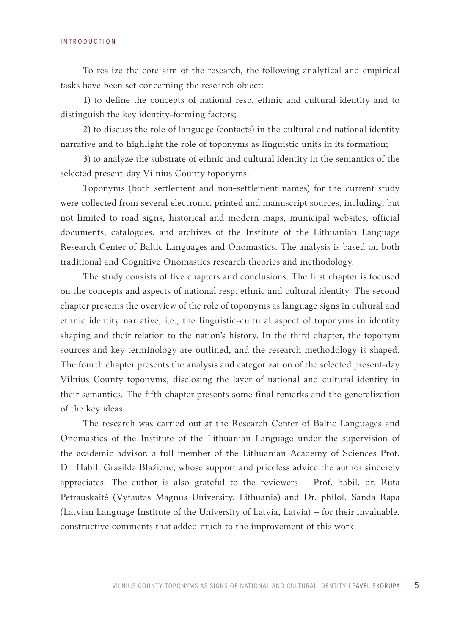#### INTRODUCTION

To realize the core aim of the research, the following analytical and empirical tasks have been set concerning the research object:

1) to define the concepts of national resp. ethnic and cultural identity and to distinguish the key identity-forming factors;

2) to discuss the role of language (contacts) in the cultural and national identity narrative and to highlight the role of toponyms as linguistic units in its formation;

3) to analyze the substrate of ethnic and cultural identity in the semantics of the selected present-day Vilnius County toponyms.

Toponyms (both settlement and non-settlement names) for the current study were collected from several electronic, printed and manuscript sources, including, but not limited to road signs, historical and modern maps, municipal websites, official documents, catalogues, and archives of the Institute of the Lithuanian Language Research Center of Baltic Languages and Onomastics. The analysis is based on both traditional and Cognitive Onomastics research theories and methodology.

The study consists of five chapters and conclusions. The first chapter is focused on the concepts and aspects of national resp. ethnic and cultural identity. The second chapter presents the overview of the role of toponyms as language signs in cultural and ethnic identity narrative, i.e., the linguistic-cultural aspect of toponyms in identity shaping and their relation to the nation's history. In the third chapter, the toponym sources and key terminology are outlined, and the research methodology is shaped. The fourth chapter presents the analysis and categorization of the selected present-day Vilnius County toponyms, disclosing the layer of national and cultural identity in their semantics. The fifth chapter presents some final remarks and the generalization of the key ideas.

The research was carried out at the Research Center of Baltic Languages and Onomastics of the Institute of the Lithuanian Language under the supervision of the academic advisor, a full member of the Lithuanian Academy of Sciences Prof. Dr. Habil. Grasilda Blažienė, whose support and priceless advice the author sincerely appreciates. The author is also grateful to the reviewers – Prof. habil. dr. Rūta Petrauskaitė (Vytautas Magnus University, Lithuania) and Dr. philol. Sanda Rapa (Latvian Language Institute of the University of Latvia, Latvia) – for their invaluable, constructive comments that added much to the improvement of this work.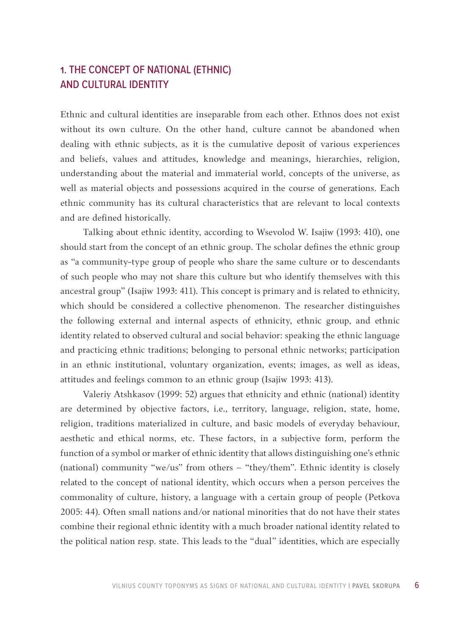# <span id="page-5-0"></span>1. THE CONCEPT OF NATIONAL (ETHNIC) AND CULTURAL IDENTITY

Ethnic and cultural identities are inseparable from each other. Ethnos does not exist without its own culture. On the other hand, culture cannot be abandoned when dealing with ethnic subjects, as it is the cumulative deposit of various experiences and beliefs, values and attitudes, knowledge and meanings, hierarchies, religion, understanding about the material and immaterial world, concepts of the universe, as well as material objects and possessions acquired in the course of generations. Each ethnic community has its cultural characteristics that are relevant to local contexts and are defined historically.

Talking about ethnic identity, according to Wsevolod W. Isajiw (1993: 410), one should start from the concept of an ethnic group. The scholar defines the ethnic group as "a community-type group of people who share the same culture or to descendants of such people who may not share this culture but who identify themselves with this ancestral group" (Isajiw 1993: 411). This concept is primary and is related to ethnicity, which should be considered a collective phenomenon. The researcher distinguishes the following external and internal aspects of ethnicity, ethnic group, and ethnic identity related to observed cultural and social behavior: speaking the ethnic language and practicing ethnic traditions; belonging to personal ethnic networks; participation in an ethnic institutional, voluntary organization, events; images, as well as ideas, attitudes and feelings common to an ethnic group (Isajiw 1993: 413).

Valeriy Atshkasov (1999: 52) argues that ethnicity and ethnic (national) identity are determined by objective factors, i.e., territory, language, religion, state, home, religion, traditions materialized in culture, and basic models of everyday behaviour, aesthetic and ethical norms, etc. These factors, in a subjective form, perform the function of a symbol or marker of ethnic identity that allows distinguishing one's ethnic (national) community "we/us" from others – "they/them". Ethnic identity is closely related to the concept of national identity, which occurs when a person perceives the commonality of culture, history, a language with a certain group of people (Petkova 2005: 44). Often small nations and/or national minorities that do not have their states combine their regional ethnic identity with a much broader national identity related to the political nation resp. state. This leads to the "dual" identities, which are especially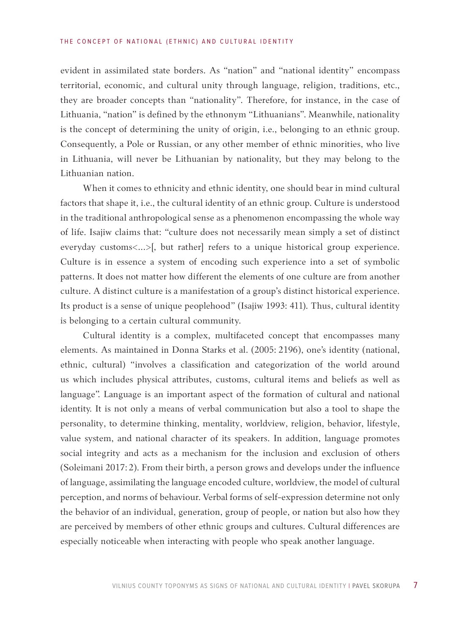evident in assimilated state borders. As "nation" and "national identity" encompass territorial, economic, and cultural unity through language, religion, traditions, etc., they are broader concepts than "nationality". Therefore, for instance, in the case of Lithuania, "nation" is defined by the ethnonym "Lithuanians". Meanwhile, nationality is the concept of determining the unity of origin, i.e., belonging to an ethnic group. Consequently, a Pole or Russian, or any other member of ethnic minorities, who live in Lithuania, will never be Lithuanian by nationality, but they may belong to the Lithuanian nation.

When it comes to ethnicity and ethnic identity, one should bear in mind cultural factors that shape it, i.e., the cultural identity of an ethnic group. Culture is understood in the traditional anthropological sense as a phenomenon encompassing the whole way of life. Isajiw claims that: "culture does not necessarily mean simply a set of distinct everyday customs<...>[, but rather] refers to a unique historical group experience. Culture is in essence a system of encoding such experience into a set of symbolic patterns. It does not matter how different the elements of one culture are from another culture. A distinct culture is a manifestation of a group's distinct historical experience. Its product is a sense of unique peoplehood" (Isajiw 1993: 411). Thus, cultural identity is belonging to a certain cultural community.

Cultural identity is a complex, multifaceted concept that encompasses many elements. As maintained in Donna Starks et al. (2005: 2196), one's identity (national, ethnic, cultural) "involves a classification and categorization of the world around us which includes physical attributes, customs, cultural items and beliefs as well as language". Language is an important aspect of the formation of cultural and national identity. It is not only a means of verbal communication but also a tool to shape the personality, to determine thinking, mentality, worldview, religion, behavior, lifestyle, value system, and national character of its speakers. In addition, language promotes social integrity and acts as a mechanism for the inclusion and exclusion of others (Soleimani 2017: 2). From their birth, a person grows and develops under the influence of language, assimilating the language encoded culture, worldview, the model of cultural perception, and norms of behaviour. Verbal forms of self-expression determine not only the behavior of an individual, generation, group of people, or nation but also how they are perceived by members of other ethnic groups and cultures. Cultural differences are especially noticeable when interacting with people who speak another language.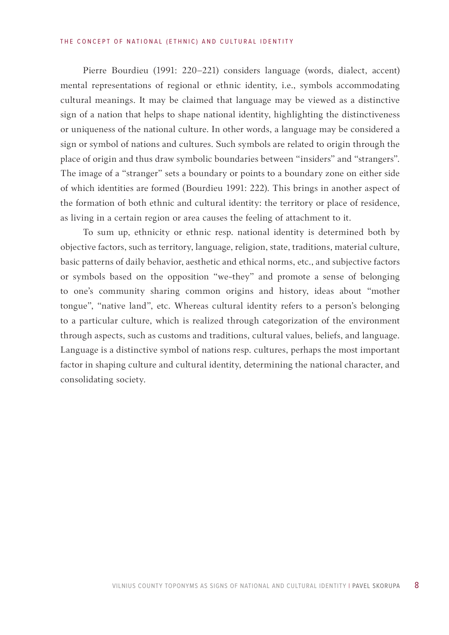#### THE CONCEPT OF NATIONAL (ETHNIC) AND CULTURAL IDENTITY

Pierre Bourdieu (1991: 220–221) considers language (words, dialect, accent) mental representations of regional or ethnic identity, i.e., symbols accommodating cultural meanings. It may be claimed that language may be viewed as a distinctive sign of a nation that helps to shape national identity, highlighting the distinctiveness or uniqueness of the national culture. In other words, a language may be considered a sign or symbol of nations and cultures. Such symbols are related to origin through the place of origin and thus draw symbolic boundaries between "insiders" and "strangers". The image of a "stranger" sets a boundary or points to a boundary zone on either side of which identities are formed (Bourdieu 1991: 222). This brings in another aspect of the formation of both ethnic and cultural identity: the territory or place of residence, as living in a certain region or area causes the feeling of attachment to it.

To sum up, ethnicity or ethnic resp. national identity is determined both by objective factors, such as territory, language, religion, state, traditions, material culture, basic patterns of daily behavior, aesthetic and ethical norms, etc., and subjective factors or symbols based on the opposition "we-they" and promote a sense of belonging to one's community sharing common origins and history, ideas about "mother tongue", "native land", etc. Whereas cultural identity refers to a person's belonging to a particular culture, which is realized through categorization of the environment through aspects, such as customs and traditions, cultural values, beliefs, and language. Language is a distinctive symbol of nations resp. cultures, perhaps the most important factor in shaping culture and cultural identity, determining the national character, and consolidating society.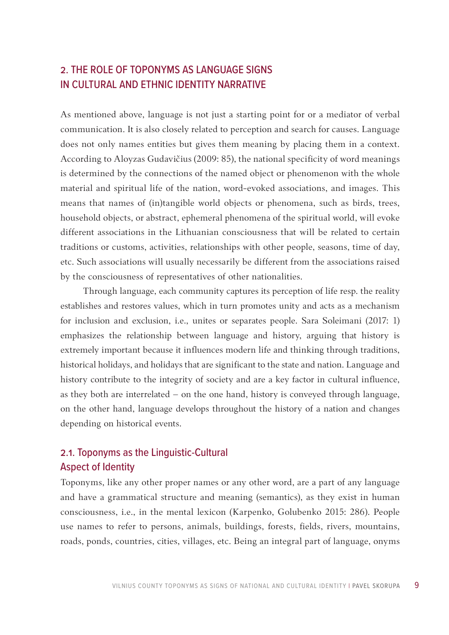# <span id="page-8-0"></span>2. THE ROLE OF TOPONYMS AS LANGUAGE SIGNS IN CULTURAL AND ETHNIC IDENTITY NARRATIVE

As mentioned above, language is not just a starting point for or a mediator of verbal communication. It is also closely related to perception and search for causes. Language does not only names entities but gives them meaning by placing them in a context. According to Aloyzas Gudavičius (2009: 85), the national specificity of word meanings is determined by the connections of the named object or phenomenon with the whole material and spiritual life of the nation, word-evoked associations, and images. This means that names of (in)tangible world objects or phenomena, such as birds, trees, household objects, or abstract, ephemeral phenomena of the spiritual world, will evoke different associations in the Lithuanian consciousness that will be related to certain traditions or customs, activities, relationships with other people, seasons, time of day, etc. Such associations will usually necessarily be different from the associations raised by the consciousness of representatives of other nationalities.

Through language, each community captures its perception of life resp. the reality establishes and restores values, which in turn promotes unity and acts as a mechanism for inclusion and exclusion, i.e., unites or separates people. Sara Soleimani (2017: 1) emphasizes the relationship between language and history, arguing that history is extremely important because it influences modern life and thinking through traditions, historical holidays, and holidays that are significant to the state and nation. Language and history contribute to the integrity of society and are a key factor in cultural influence, as they both are interrelated – on the one hand, history is conveyed through language, on the other hand, language develops throughout the history of a nation and changes depending on historical events.

# 2.1. Toponyms as the Linguistic-Cultural Aspect of Identity

Toponyms, like any other proper names or any other word, are a part of any language and have a grammatical structure and meaning (semantics), as they exist in human consciousness, i.e., in the mental lexicon (Karpenko, Golubenko 2015: 286). People use names to refer to persons, animals, buildings, forests, fields, rivers, mountains, roads, ponds, countries, cities, villages, etc. Being an integral part of language, onyms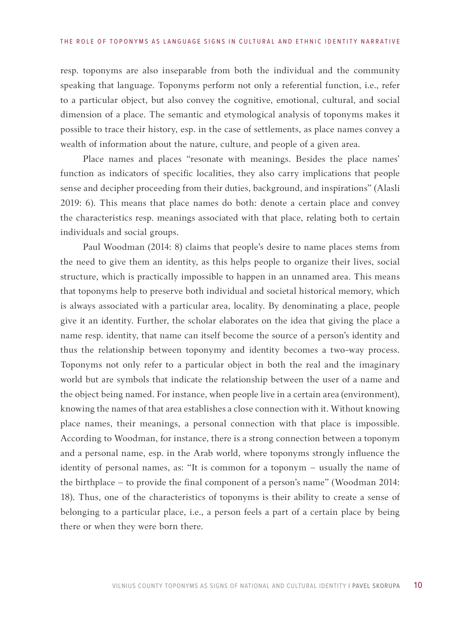resp. toponyms are also inseparable from both the individual and the community speaking that language. Toponyms perform not only a referential function, i.e., refer to a particular object, but also convey the cognitive, emotional, cultural, and social dimension of a place. The semantic and etymological analysis of toponyms makes it possible to trace their history, esp. in the case of settlements, as place names convey a wealth of information about the nature, culture, and people of a given area.

Place names and places "resonate with meanings. Besides the place names' function as indicators of specific localities, they also carry implications that people sense and decipher proceeding from their duties, background, and inspirations" (Alasli 2019: 6). This means that place names do both: denote a certain place and convey the characteristics resp. meanings associated with that place, relating both to certain individuals and social groups.

Paul Woodman (2014: 8) claims that people's desire to name places stems from the need to give them an identity, as this helps people to organize their lives, social structure, which is practically impossible to happen in an unnamed area. This means that toponyms help to preserve both individual and societal historical memory, which is always associated with a particular area, locality. By denominating a place, people give it an identity. Further, the scholar elaborates on the idea that giving the place a name resp. identity, that name can itself become the source of a person's identity and thus the relationship between toponymy and identity becomes a two-way process. Toponyms not only refer to a particular object in both the real and the imaginary world but are symbols that indicate the relationship between the user of a name and the object being named. For instance, when people live in a certain area (environment), knowing the names of that area establishes a close connection with it. Without knowing place names, their meanings, a personal connection with that place is impossible. According to Woodman, for instance, there is a strong connection between a toponym and a personal name, esp. in the Arab world, where toponyms strongly influence the identity of personal names, as: "It is common for a toponym – usually the name of the birthplace – to provide the final component of a person's name" (Woodman 2014: 18). Thus, one of the characteristics of toponyms is their ability to create a sense of belonging to a particular place, i.e., a person feels a part of a certain place by being there or when they were born there.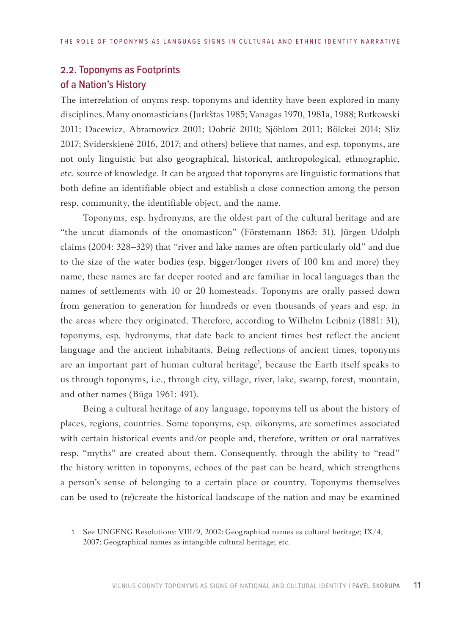# <span id="page-10-0"></span>2.2. Toponyms as Footprints of a Nation's History

The interrelation of onyms resp. toponyms and identity have been explored in many disciplines. Many onomasticians (Jurkštas 1985; Vanagas 1970, 1981a, 1988; Rutkowski 2011; Dacewicz, Abramowicz 2001; Dobrić 2010; Sjöblom 2011; Bölckei 2014; Slíz 2017; Sviderskienė 2016, 2017; and others) believe that names, and esp. toponyms, are not only linguistic but also geographical, historical, anthropological, ethnographic, etc. source of knowledge. It can be argued that toponyms are linguistic formations that both define an identifiable object and establish a close connection among the person resp. community, the identifiable object, and the name.

Toponyms, esp. hydronyms, are the oldest part of the cultural heritage and are "the uncut diamonds of the onomasticon" (Förstemann 1863: 31). Jürgen Udolph claims (2004: 328–329) that "river and lake names are often particularly old" and due to the size of the water bodies (esp. bigger/longer rivers of 100 km and more) they name, these names are far deeper rooted and are familiar in local languages than the names of settlements with 10 or 20 homesteads. Toponyms are orally passed down from generation to generation for hundreds or even thousands of years and esp. in the areas where they originated. Therefore, according to Wilhelm Leibniz (1881: 31), toponyms, esp. hydronyms, that date back to ancient times best reflect the ancient language and the ancient inhabitants. Being reflections of ancient times, toponyms are an important part of human cultural heritage<sup>1</sup>, because the Earth itself speaks to us through toponyms, i.e., through city, village, river, lake, swamp, forest, mountain, and other names (Būga 1961: 491).

Being a cultural heritage of any language, toponyms tell us about the history of places, regions, countries. Some toponyms, esp. oikonyms, are sometimes associated with certain historical events and/or people and, therefore, written or oral narratives resp. "myths" are created about them. Consequently, through the ability to "read" the history written in toponyms, echoes of the past can be heard, which strengthens a person's sense of belonging to a certain place or country. Toponyms themselves can be used to (re)create the historical landscape of the nation and may be examined

<sup>1</sup> See UNGENG Resolutions: VIII/9, 2002: Geographical names as cultural heritage; IX/4, 2007: Geographical names as intangible cultural heritage; etc.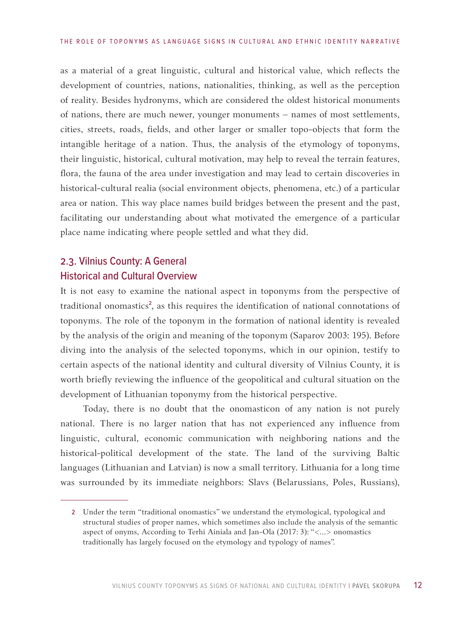<span id="page-11-0"></span>as a material of a great linguistic, cultural and historical value, which reflects the development of countries, nations, nationalities, thinking, as well as the perception of reality. Besides hydronyms, which are considered the oldest historical monuments of nations, there are much newer, younger monuments – names of most settlements, cities, streets, roads, fields, and other larger or smaller topo-objects that form the intangible heritage of a nation. Thus, the analysis of the etymology of toponyms, their linguistic, historical, cultural motivation, may help to reveal the terrain features, flora, the fauna of the area under investigation and may lead to certain discoveries in historical-cultural realia (social environment objects, phenomena, etc.) of a particular area or nation. This way place names build bridges between the present and the past, facilitating our understanding about what motivated the emergence of a particular place name indicating where people settled and what they did.

# 2.3. Vilnius County: A General Historical and Cultural Overview

It is not easy to examine the national aspect in toponyms from the perspective of traditional onomastics<sup>2</sup>, as this requires the identification of national connotations of toponyms. The role of the toponym in the formation of national identity is revealed by the analysis of the origin and meaning of the toponym (Saparov 2003: 195). Before diving into the analysis of the selected toponyms, which in our opinion, testify to certain aspects of the national identity and cultural diversity of Vilnius County, it is worth briefly reviewing the influence of the geopolitical and cultural situation on the development of Lithuanian toponymy from the historical perspective.

Today, there is no doubt that the onomasticon of any nation is not purely national. There is no larger nation that has not experienced any influence from linguistic, cultural, economic communication with neighboring nations and the historical-political development of the state. The land of the surviving Baltic languages (Lithuanian and Latvian) is now a small territory. Lithuania for a long time was surrounded by its immediate neighbors: Slavs (Belarussians, Poles, Russians),

<sup>2</sup> Under the term "traditional onomastics" we understand the etymological, typological and structural studies of proper names, which sometimes also include the analysis of the semantic aspect of onyms, According to Terhi Ainiala and Jan-Ola (2017: 3): "<…> onomastics traditionally has largely focused on the etymology and typology of names".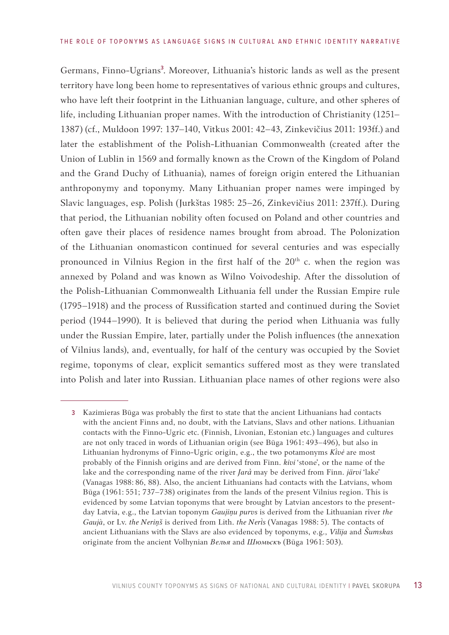Germans, Finno-Ugrians<sup>3</sup>. Moreover, Lithuania's historic lands as well as the present territory have long been home to representatives of various ethnic groups and cultures, who have left their footprint in the Lithuanian language, culture, and other spheres of life, including Lithuanian proper names. With the introduction of Christianity (1251– 1387) (cf., Muldoon 1997: 137–140, Vitkus 2001: 42–43, Zinkevičius 2011: 193ff.) and later the establishment of the Polish-Lithuanian Commonwealth (created after the Union of Lublin in 1569 and formally known as the Crown of the Kingdom of Poland and the Grand Duchy of Lithuania), names of foreign origin entered the Lithuanian anthroponymy and toponymy. Many Lithuanian proper names were impinged by Slavic languages, esp. Polish (Jurkštas 1985: 25–26, Zinkevičius 2011: 237ff.). During that period, the Lithuanian nobility often focused on Poland and other countries and often gave their places of residence names brought from abroad. The Polonization of the Lithuanian onomasticon continued for several centuries and was especially pronounced in Vilnius Region in the first half of the 20<sup>th</sup> c. when the region was annexed by Poland and was known as Wilno Voivodeship. After the dissolution of the Polish-Lithuanian Commonwealth Lithuania fell under the Russian Empire rule (1795–1918) and the process of Russification started and continued during the Soviet period (1944–1990). It is believed that during the period when Lithuania was fully under the Russian Empire, later, partially under the Polish influences (the annexation of Vilnius lands), and, eventually, for half of the century was occupied by the Soviet regime, toponyms of clear, explicit semantics suffered most as they were translated into Polish and later into Russian. Lithuanian place names of other regions were also

<sup>3</sup> Kazimieras Būga was probably the first to state that the ancient Lithuanians had contacts with the ancient Finns and, no doubt, with the Latvians, Slavs and other nations. Lithuanian contacts with the Finno-Ugric etc. (Finnish, Livonian, Estonian etc.) languages and cultures are not only traced in words of Lithuanian origin (see Būga 1961: 493–496), but also in Lithuanian hydronyms of Finno-Ugric origin, e.g., the two potamonyms *Kivė* are most probably of the Finnish origins and are derived from Finn. *kivi* 'stone', or the name of the lake and the corresponding name of the river *Jarà* may be derived from Finn. *järvi* 'lake' (Vanagas 1988: 86, 88). Also, the ancient Lithuanians had contacts with the Latvians, whom Būga (1961: 551; 737–738) originates from the lands of the present Vilnius region. This is evidenced by some Latvian toponyms that were brought by Latvian ancestors to the presentday Latvia, e.g., the Latvian toponym *Gaujiņu purvs* is derived from the Lithuanian river *the Gaujà*, or Lv. *the Neriņš* is derived from Lith. *the Neris* (Vanagas 1988: 5). The contacts of ancient Lithuanians with the Slavs are also evidenced by toponyms, e.g., *Vilija* and *Šumskas* originate from the ancient Volhynian *Велья* and *Шюмьскъ* (Būga 1961: 503).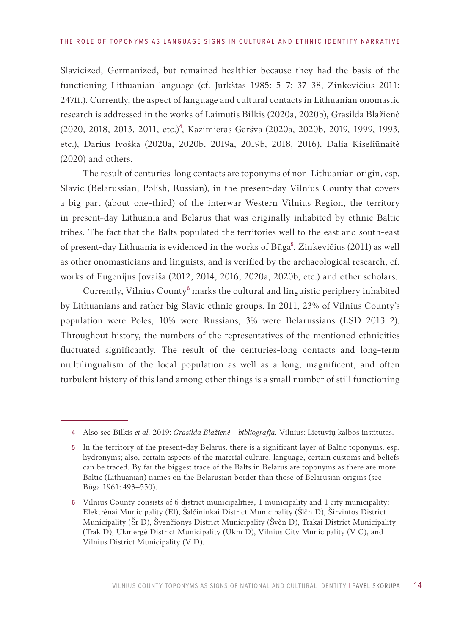Slavicized, Germanized, but remained healthier because they had the basis of the functioning Lithuanian language (cf. Jurkštas 1985: 5–7; 37–38, Zinkevičius 2011: 247ff.). Currently, the aspect of language and cultural contacts in Lithuanian onomastic research is addressed in the works of Laimutis Bilkis (2020a, 2020b), Grasilda Blažienė (2020, 2018, 2013, 2011, etc.)4, Kazimieras Garšva (2020a, 2020b, 2019, 1999, 1993, etc.), Darius Ivoška (2020a, 2020b, 2019a, 2019b, 2018, 2016), Dalia Kiseliūnaitė (2020) and others.

The result of centuries-long contacts are toponyms of non-Lithuanian origin, esp. Slavic (Belarussian, Polish, Russian), in the present-day Vilnius County that covers a big part (about one-third) of the interwar Western Vilnius Region, the territory in present-day Lithuania and Belarus that was originally inhabited by ethnic Baltic tribes. The fact that the Balts populated the territories well to the east and south-east of present-day Lithuania is evidenced in the works of Būga<sup>5</sup>, Zinkevičius (2011) as well as other onomasticians and linguists, and is verified by the archaeological research, cf. works of Eugenijus Jovaiša (2012, 2014, 2016, 2020a, 2020b, etc.) and other scholars.

Currently, Vilnius County6 marks the cultural and linguistic periphery inhabited by Lithuanians and rather big Slavic ethnic groups. In 2011, 23% of Vilnius County's population were Poles, 10% were Russians, 3% were Belarussians (LSD 2013 2). Throughout history, the numbers of the representatives of the mentioned ethnicities fluctuated significantly. The result of the centuries-long contacts and long-term multilingualism of the local population as well as a long, magnificent, and often turbulent history of this land among other things is a small number of still functioning

<sup>4</sup> Also see Bilkis *et al.* 2019: *Grasilda Blažienė – bibliografija*. Vilnius: Lietuvių kalbos institutas.

<sup>5</sup> In the territory of the present-day Belarus, there is a significant layer of Baltic toponyms, esp. hydronyms; also, certain aspects of the material culture, language, certain customs and beliefs can be traced. By far the biggest trace of the Balts in Belarus are toponyms as there are more Baltic (Lithuanian) names on the Belarusian border than those of Belarusian origins (see Būga 1961: 493–550).

<sup>6</sup> Vilnius County consists of 6 district municipalities, 1 municipality and 1 city municipality: Elektrėnai Municipality (El), Šalčininkai District Municipality (Šlčn D), Širvintos District Municipality (Šr D), Švenčionys District Municipality (Švčn D), Trakai District Municipality (Trak D), Ukmergė District Municipality (Ukm D), Vilnius City Municipality (V C), and Vilnius District Municipality (V D).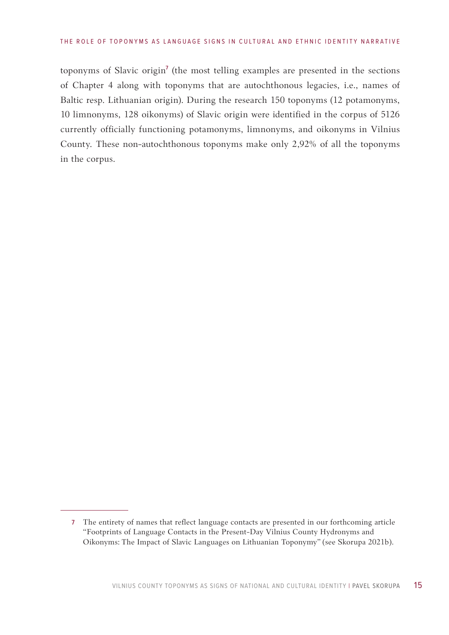toponyms of Slavic origin<sup>7</sup> (the most telling examples are presented in the sections of Chapter 4 along with toponyms that are autochthonous legacies, i.e., names of Baltic resp. Lithuanian origin). During the research 150 toponyms (12 potamonyms, 10 limnonyms, 128 oikonyms) of Slavic origin were identified in the corpus of 5126 currently officially functioning potamonyms, limnonyms, and oikonyms in Vilnius County. These non-autochthonous toponyms make only 2,92% of all the toponyms in the corpus.

<sup>7</sup> The entirety of names that reflect language contacts are presented in our forthcoming article "Footprints of Language Contacts in the Present-Day Vilnius County Hydronyms and Oikonyms: The Impact of Slavic Languages on Lithuanian Toponymy" (see Skorupa 2021b).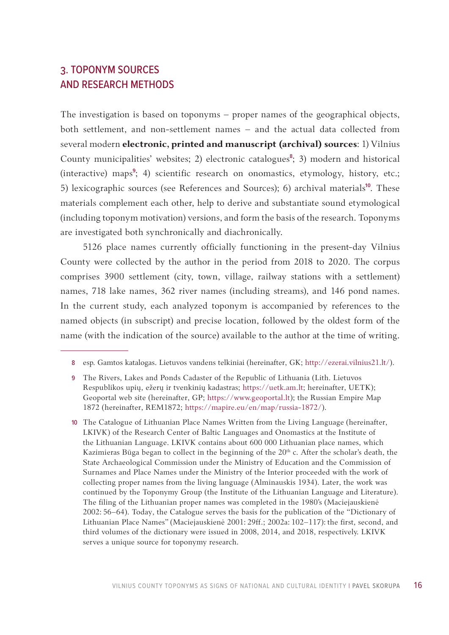# <span id="page-15-0"></span>3. TOPONYM SOURCES AND RESEARCH METHODS

The investigation is based on toponyms – proper names of the geographical objects, both settlement, and non-settlement names – and the actual data collected from several modern **electronic, printed and manuscript (archival) sources**: 1) Vilnius County municipalities' websites; 2) electronic catalogues<sup>8</sup>; 3) modern and historical (interactive) maps<sup>9</sup>; 4) scientific research on onomastics, etymology, history, etc.; 5) lexicographic sources (see References and Sources); 6) archival materials<sup>10</sup>. These materials complement each other, help to derive and substantiate sound etymological (including toponym motivation) versions, and form the basis of the research. Toponyms are investigated both synchronically and diachronically.

5126 place names currently officially functioning in the present-day Vilnius County were collected by the author in the period from 2018 to 2020. The corpus comprises 3900 settlement (city, town, village, railway stations with a settlement) names, 718 lake names, 362 river names (including streams), and 146 pond names. In the current study, each analyzed toponym is accompanied by references to the named objects (in subscript) and precise location, followed by the oldest form of the name (with the indication of the source) available to the author at the time of writing.

<sup>8</sup> esp. Gamtos katalogas. Lietuvos vandens telkiniai (hereinafter, GK; [http://ezerai.vilnius21.lt/\)](http://ezerai.vilnius21.lt/).

<sup>9</sup> The Rivers, Lakes and Ponds Cadaster of the Republic of Lithuania (Lith. Lietuvos Respublikos upių, ežerų ir tvenkinių kadastras; [https://uetk.am.lt;](https://uetk.am.lt/) hereinafter, UETK); Geoportal web site (hereinafter, GP; [https://www.geoportal.lt\)](https://www.geoportal.lt); the Russian Empire Map 1872 (hereinafter, REM1872; [https://mapire.eu/en/map/russia-1872/\)](https://mapire.eu/en/map/russia-1872/).

<sup>10</sup> The Catalogue of Lithuanian Place Names Written from the Living Language (hereinafter, LKIVK) of the Research Center of Baltic Languages and Onomastics at the Institute of the Lithuanian Language. LKIVK contains about 600 000 Lithuanian place names, which Kazimieras Būga began to collect in the beginning of the  $20<sup>th</sup>$  c. After the scholar's death, the State Archaeological Commission under the Ministry of Education and the Commission of Surnames and Place Names under the Ministry of the Interior proceeded with the work of collecting proper names from the living language (Alminauskis 1934). Later, the work was continued by the Toponymy Group (the Institute of the Lithuanian Language and Literature). The filing of the Lithuanian proper names was completed in the 1980's (Maciejauskienė 2002: 56–64). Today, the Catalogue serves the basis for the publication of the "Dictionary of Lithuanian Place Names" (Maciejauskienė 2001: 29ff.; 2002a: 102–117): the first, second, and third volumes of the dictionary were issued in 2008, 2014, and 2018, respectively. LKIVK serves a unique source for toponymy research.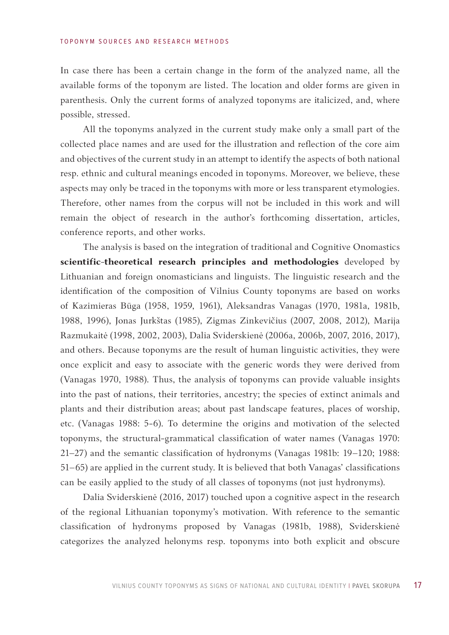In case there has been a certain change in the form of the analyzed name, all the available forms of the toponym are listed. The location and older forms are given in parenthesis. Only the current forms of analyzed toponyms are italicized, and, where possible, stressed.

All the toponyms analyzed in the current study make only a small part of the collected place names and are used for the illustration and reflection of the core aim and objectives of the current study in an attempt to identify the aspects of both national resp. ethnic and cultural meanings encoded in toponyms. Moreover, we believe, these aspects may only be traced in the toponyms with more or less transparent etymologies. Therefore, other names from the corpus will not be included in this work and will remain the object of research in the author's forthcoming dissertation, articles, conference reports, and other works.

The analysis is based on the integration of traditional and Cognitive Onomastics **scientific-theoretical research principles and methodologies** developed by Lithuanian and foreign onomasticians and linguists. The linguistic research and the identification of the composition of Vilnius County toponyms are based on works of Kazimieras Būga (1958, 1959, 1961), Aleksandras Vanagas (1970, 1981a, 1981b, 1988, 1996), Jonas Jurkštas (1985), Zigmas Zinkevičius (2007, 2008, 2012), Marija Razmukaitė (1998, 2002, 2003), Dalia Sviderskienė (2006a, 2006b, 2007, 2016, 2017), and others. Because toponyms are the result of human linguistic activities, they were once explicit and easy to associate with the generic words they were derived from (Vanagas 1970, 1988). Thus, the analysis of toponyms can provide valuable insights into the past of nations, their territories, ancestry; the species of extinct animals and plants and their distribution areas; about past landscape features, places of worship, etc. (Vanagas 1988: 5-6). To determine the origins and motivation of the selected toponyms, the structural-grammatical classification of water names (Vanagas 1970: 21–27) and the semantic classification of hydronyms (Vanagas 1981b: 19*–*120; 1988: 51*–*65) are applied in the current study. It is believed that both Vanagas' classifications can be easily applied to the study of all classes of toponyms (not just hydronyms).

Dalia Sviderskienė (2016, 2017) touched upon a cognitive aspect in the research of the regional Lithuanian toponymy's motivation. With reference to the semantic classification of hydronyms proposed by Vanagas (1981b, 1988), Sviderskienė categorizes the analyzed helonyms resp. toponyms into both explicit and obscure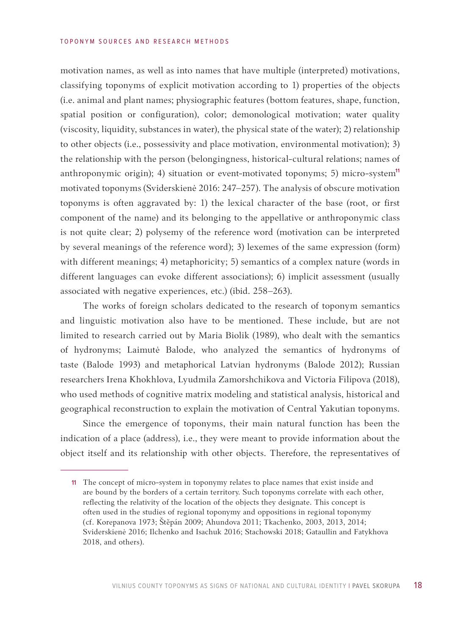motivation names, as well as into names that have multiple (interpreted) motivations, classifying toponyms of explicit motivation according to 1) properties of the objects (i.e. animal and plant names; physiographic features (bottom features, shape, function, spatial position or configuration), color; demonological motivation; water quality (viscosity, liquidity, substances in water), the physical state of the water); 2) relationship to other objects (i.e., possessivity and place motivation, environmental motivation); 3) the relationship with the person (belongingness, historical-cultural relations; names of anthroponymic origin); 4) situation or event-motivated toponyms; 5) micro-system<sup>11</sup> motivated toponyms (Sviderskienė 2016: 247–257). The analysis of obscure motivation toponyms is often aggravated by: 1) the lexical character of the base (root, or first component of the name) and its belonging to the appellative or anthroponymic class is not quite clear; 2) polysemy of the reference word (motivation can be interpreted by several meanings of the reference word); 3) lexemes of the same expression (form) with different meanings; 4) metaphoricity; 5) semantics of a complex nature (words in different languages can evoke different associations); 6) implicit assessment (usually associated with negative experiences, etc.) (ibid. 258–263).

The works of foreign scholars dedicated to the research of toponym semantics and linguistic motivation also have to be mentioned. These include, but are not limited to research carried out by Maria Biolik (1989), who dealt with the semantics of hydronyms; Laimutė Balode, who analyzed the semantics of hydronyms of taste (Balode 1993) and metaphorical Latvian hydronyms (Balode 2012); Russian researchers Irena Khokhlova, Lyudmila Zamorshchikova and Victoria Filipova (2018), who used methods of cognitive matrix modeling and statistical analysis, historical and geographical reconstruction to explain the motivation of Central Yakutian toponyms.

Since the emergence of toponyms, their main natural function has been the indication of a place (address), i.e., they were meant to provide information about the object itself and its relationship with other objects. Therefore, the representatives of

<sup>11</sup> The concept of micro-system in toponymy relates to place names that exist inside and are bound by the borders of a certain territory. Such toponyms correlate with each other, reflecting the relativity of the location of the objects they designate. This concept is often used in the studies of regional toponymy and oppositions in regional toponymy (cf. Korepanova 1973; Štěpán 2009; Ahundova 2011; Tkachenko, 2003, 2013, 2014; Sviderskienė 2016; Ilchenko and Isachuk 2016; Stachowski 2018; Gataullin and Fatykhova 2018, and others).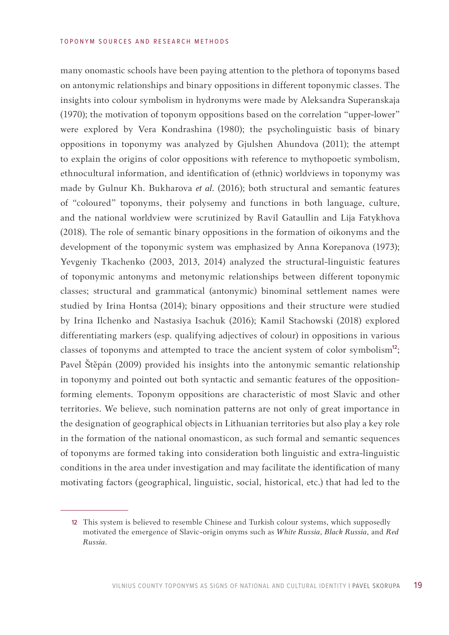#### TO PONYM SOURCES AND RESEARCH METHODS

many onomastic schools have been paying attention to the plethora of toponyms based on antonymic relationships and binary oppositions in different toponymic classes. The insights into colour symbolism in hydronyms were made by Aleksandra Superanskaja (1970); the motivation of toponym oppositions based on the correlation "upper-lower" were explored by Vera Kondrashina (1980); the psycholinguistic basis of binary oppositions in toponymy was analyzed by Gjulshen Ahundova (2011); the attempt to explain the origins of color oppositions with reference to mythopoetic symbolism, ethnocultural information, and identification of (ethnic) worldviews in toponymy was made by Gulnur Kh. Bukharova *et al*. (2016); both structural and semantic features of "coloured" toponyms, their polysemy and functions in both language, culture, and the national worldview were scrutinized by Ravil Gataullin and Lija Fatykhova (2018). The role of semantic binary oppositions in the formation of oikonyms and the development of the toponymic system was emphasized by Anna Korepanova (1973); Yevgeniy Tkachenko (2003, 2013, 2014) analyzed the structural-linguistic features of toponymic antonyms and metonymic relationships between different toponymic classes; structural and grammatical (antonymic) binominal settlement names were studied by Irina Hontsa (2014); binary oppositions and their structure were studied by Irina Ilchenko and Nastasiya Isachuk (2016); Kamil Stachowski (2018) explored differentiating markers (esp. qualifying adjectives of colour) in oppositions in various classes of toponyms and attempted to trace the ancient system of color symbolism<sup>12</sup>; Pavel Štěpán (2009) provided his insights into the antonymic semantic relationship in toponymy and pointed out both syntactic and semantic features of the oppositionforming elements. Toponym oppositions are characteristic of most Slavic and other territories. We believe, such nomination patterns are not only of great importance in the designation of geographical objects in Lithuanian territories but also play a key role in the formation of the national onomasticon, as such formal and semantic sequences of toponyms are formed taking into consideration both linguistic and extra-linguistic conditions in the area under investigation and may facilitate the identification of many motivating factors (geographical, linguistic, social, historical, etc.) that had led to the

<sup>12</sup> This system is believed to resemble Chinese and Turkish colour systems, which supposedly motivated the emergence of Slavic-origin onyms such as *White Russia*, *Black Russia*, and *Red Russia*.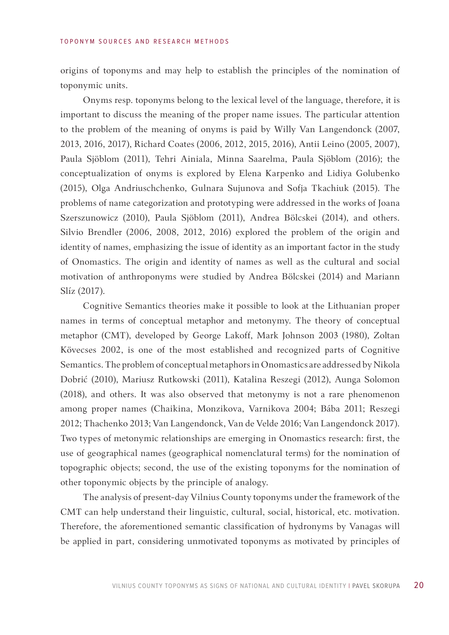origins of toponyms and may help to establish the principles of the nomination of toponymic units.

Onyms resp. toponyms belong to the lexical level of the language, therefore, it is important to discuss the meaning of the proper name issues. The particular attention to the problem of the meaning of onyms is paid by Willy Van Langendonck (2007, 2013, 2016, 2017), Richard Coates (2006, 2012, 2015, 2016), Antii Leino (2005, 2007), Paula Sjöblom (2011), Tehri Ainiala, Minna Saarelma, Paula Sjöblom (2016); the conceptualization of onyms is explored by Elena Karpenko and Lidiya Golubenko (2015), Olga Andriuschchenko, Gulnara Sujunova and Sofja Tkachiuk (2015). The problems of name categorization and prototyping were addressed in the works of Joana Szerszunowicz (2010), Paula Sjöblom (2011), Andrea Bölcskei (2014), and others. Silvio Brendler (2006, 2008, 2012, 2016) explored the problem of the origin and identity of names, emphasizing the issue of identity as an important factor in the study of Onomastics. The origin and identity of names as well as the cultural and social motivation of anthroponyms were studied by Andrea Bölcskei (2014) and Mariann Slíz (2017).

Cognitive Semantics theories make it possible to look at the Lithuanian proper names in terms of conceptual metaphor and metonymy. The theory of conceptual metaphor (CMT), developed by George Lakoff, Mark Johnson 2003 (1980), Zoltan Kövecses 2002, is one of the most established and recognized parts of Cognitive Semantics. The problem of conceptual metaphors in Onomastics are addressed by Nikola Dobrić (2010), Mariusz Rutkowski (2011), Katalina Reszegi (2012), Aunga Solomon (2018), and others. It was also observed that metonymy is not a rare phenomenon among proper names (Chaikina, Monzikova, Varnikova 2004; Bába 2011; Reszegi 2012; Thachenko 2013; Van Langendonck, Van de Velde 2016; Van Langendonck 2017). Two types of metonymic relationships are emerging in Onomastics research: first, the use of geographical names (geographical nomenclatural terms) for the nomination of topographic objects; second, the use of the existing toponyms for the nomination of other toponymic objects by the principle of analogy.

The analysis of present-day Vilnius County toponyms under the framework of the CMT can help understand their linguistic, cultural, social, historical, etc. motivation. Therefore, the aforementioned semantic classification of hydronyms by Vanagas will be applied in part, considering unmotivated toponyms as motivated by principles of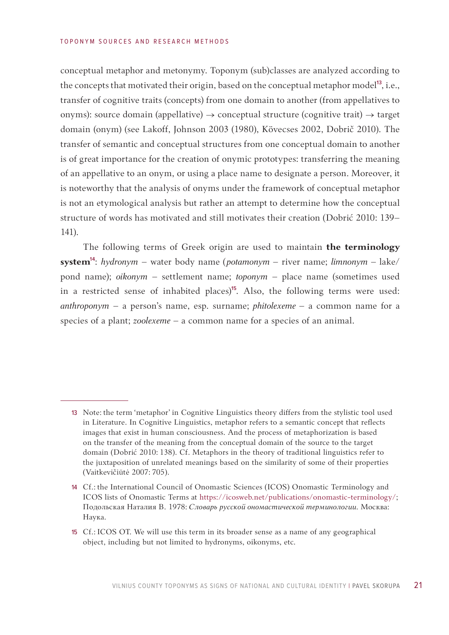conceptual metaphor and metonymy. Toponym (sub)classes are analyzed according to the concepts that motivated their origin, based on the conceptual metaphor model<sup>13</sup>, i.e., transfer of cognitive traits (concepts) from one domain to another (from appellatives to onyms): source domain (appellative)  $\rightarrow$  conceptual structure (cognitive trait)  $\rightarrow$  target domain (onym) (see Lakoff, Johnson 2003 (1980), Kövecses 2002, Dobrič 2010). The transfer of semantic and conceptual structures from one conceptual domain to another is of great importance for the creation of onymic prototypes: transferring the meaning of an appellative to an onym, or using a place name to designate a person. Moreover, it is noteworthy that the analysis of onyms under the framework of conceptual metaphor is not an etymological analysis but rather an attempt to determine how the conceptual structure of words has motivated and still motivates their creation (Dobrić 2010: 139– 141).

The following terms of Greek origin are used to maintain **the terminology system**14: *hydronym* – water body name (*potamonym* – river name; *limnonym –* lake/ pond name); *oikonym* – settlement name; *toponym* – place name (sometimes used in a restricted sense of inhabited places)<sup>15</sup>. Also, the following terms were used: *anthroponym* – a person's name, esp. surname; *phitolexeme* – a common name for a species of a plant; *zoolexeme* – a common name for a species of an animal.

<sup>13</sup> Note: the term 'metaphor' in Cognitive Linguistics theory differs from the stylistic tool used in Literature. In Cognitive Linguistics, metaphor refers to a semantic concept that reflects images that exist in human consciousness. And the process of metaphorization is based on the transfer of the meaning from the conceptual domain of the source to the target domain (Dobrić 2010: 138). Cf. Metaphors in the theory of traditional linguistics refer to the juxtaposition of unrelated meanings based on the similarity of some of their properties (Vaitkevičiūtė 2007: 705).

<sup>14</sup> Cf.: the International Council of Onomastic Sciences (ICOS) Onomastic Terminology and ICOS lists of Onomastic Terms at <https://icosweb.net/publications/onomastic-terminology/>; Подольская Наталия В. 1978: *Словарь русской ономастической терминологии*. Москва: Наука.

<sup>15</sup> Cf.: ICOS OT. We will use this term in its broader sense as a name of any geographical object, including but not limited to hydronyms, oikonyms, etc.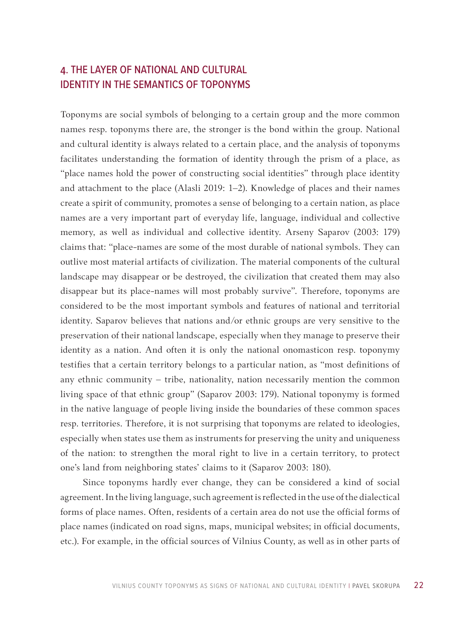# <span id="page-21-0"></span>4. THE LAYER OF NATIONAL AND CULTURAL IDENTITY IN THE SEMANTICS OF TOPONYMS

Toponyms are social symbols of belonging to a certain group and the more common names resp. toponyms there are, the stronger is the bond within the group. National and cultural identity is always related to a certain place, and the analysis of toponyms facilitates understanding the formation of identity through the prism of a place, as "place names hold the power of constructing social identities" through place identity and attachment to the place (Alasli 2019: 1–2). Knowledge of places and their names create a spirit of community, promotes a sense of belonging to a certain nation, as place names are a very important part of everyday life, language, individual and collective memory, as well as individual and collective identity. Arseny Saparov (2003: 179) claims that: "place-names are some of the most durable of national symbols. They can outlive most material artifacts of civilization. The material components of the cultural landscape may disappear or be destroyed, the civilization that created them may also disappear but its place-names will most probably survive". Therefore, toponyms are considered to be the most important symbols and features of national and territorial identity. Saparov believes that nations and/or ethnic groups are very sensitive to the preservation of their national landscape, especially when they manage to preserve their identity as a nation. And often it is only the national onomasticon resp. toponymy testifies that a certain territory belongs to a particular nation, as "most definitions of any ethnic community – tribe, nationality, nation necessarily mention the common living space of that ethnic group" (Saparov 2003: 179). National toponymy is formed in the native language of people living inside the boundaries of these common spaces resp. territories. Therefore, it is not surprising that toponyms are related to ideologies, especially when states use them as instruments for preserving the unity and uniqueness of the nation: to strengthen the moral right to live in a certain territory, to protect one's land from neighboring states' claims to it (Saparov 2003: 180).

Since toponyms hardly ever change, they can be considered a kind of social agreement. In the living language, such agreement is reflected in the use of the dialectical forms of place names. Often, residents of a certain area do not use the official forms of place names (indicated on road signs, maps, municipal websites; in official documents, etc.). For example, in the official sources of Vilnius County, as well as in other parts of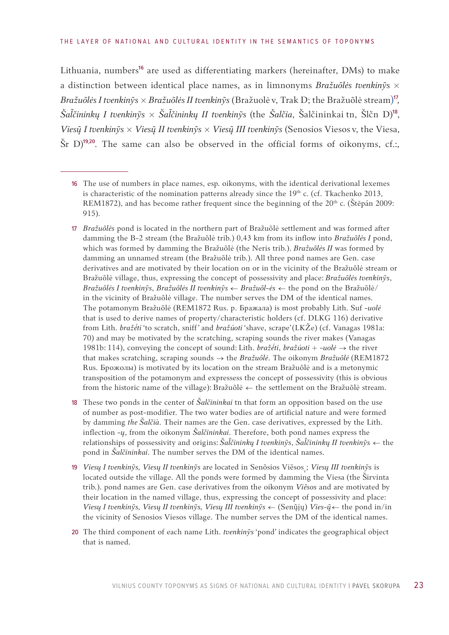Lithuania, numbers<sup>16</sup> are used as differentiating markers (hereinafter, DMs) to make a distinction between identical place names, as in limnonyms *Bražuõlės tvenkinỹs × Bražuõlės I tvenkinỹs × Bražuõlės II tvenkinỹs* (Bražuolėv, Trak D; the Bražuõlė stream)17*, Šačininkų I tvenkinỹs × Šačininkų II tvenkinỹs* (the *Šalčia*, Šalčininkai tn, Šlčn D)18, *Viesų̃ I tvenkinỹs × Viesų̃ II tvenkinỹs × Viesų̃ III tvenkinỹs* (Senosios Viesos v, the Viesa, Šr D)19, 20. The same can also be observed in the official forms of oikonyms, cf.:*,* 

- 16 The use of numbers in place names, esp. oikonyms, with the identical derivational lexemes is characteristic of the nomination patterns already since the 19<sup>th</sup> c. (cf. Tkachenko 2013, REM1872), and has become rather frequent since the beginning of the  $20<sup>th</sup>$  c. (Štěpán 2009: 915).
- 17 *Bražuõlės* pond is located in the northern part of Bražuõlė settlement and was formed after damming the B-2 stream (the Bražuõlė trib.) 0,43 km from its inflow into *Bražuõlės I* pond, which was formed by damming the Bražuõlė (the Neris trib.). *Bražuõlės II* was formed by damming an unnamed stream (the Bražuõlė trib.). All three pond names are Gen. case derivatives and are motivated by their location on or in the vicinity of the Bražuõlė stream or Bražuõlė village, thus, expressing the concept of possessivity and place: *Bražuõlės tvenkinỹs*, *Bražuõlės I tvenkinỹs*, *Bražuõlės II tvenkinỹs* ← *Bražuõl-ės* ← the pond on the Bražuõlė/ in the vicinity of Bražuõlė village. The number serves the DM of the identical names. The potamonym Bražuõlė (REM1872 Rus. р. Бражала) is most probably Lith. Suf -*uolė* that is used to derive names of property/characteristic holders (cf. DLKG 116) derivative from Lith. *bražė́ti* 'to scratch, sniff' and *bražúoti* 'shave, scrape'(LKŽe) (cf. Vanagas 1981a: 70) and may be motivated by the scratching, scraping sounds the river makes (Vanagas 1981b: 114), conveying the concept of sound: Lith. *bražė́ti*, *bražúoti* + -*uolė* → the river that makes scratching, scraping sounds → the *Bražuõlė*. The oikonym *Bražuõlė* (REM1872 Rus. Брожолы) is motivated by its location on the stream Bražuõlė and is a metonymic transposition of the potamonym and expressess the concept of possessivity (this is obvious from the historic name of the village): Bražuõlė ← the settlement on the Bražuõlė stream.
- 18 These two ponds in the center of *Šalčininkai* tn that form an opposition based on the use of number as post-modifier. The two water bodies are of artificial nature and were formed by damming *the Šalčià*. Their names are the Gen. case derivatives, expressed by the Lith. inflection *-ų*, from the oikonym *Šalčininkai*. Therefore, both pond names express the relationships of possessivity and origins: *Šačininkų I tvenkinỹs*, *Šačininkų II tvenkinỹs* ← the pond in *Šalčininkai*. The number serves the DM of the identical names.
- 19 *Viesų I tvenkinỹs, Viesų II tvenkinỹs* are located in Senõsios Viẽsos<sub>,</sub>; *Viesų III tvenkinỹs* is located outside the village. All the ponds were formed by damming the Viesa (the Širvinta trib.). pond names are Gen. case derivatives from the oikonym *Viẽsos* and are motivated by their location in the named village, thus, expressing the concept of possessivity and place: *Viesų I tvenkinỹs, Viesų II tvenkinỹs, Viesų III tvenkinỹs* ← (Senų̃jų) *Vies-ų̃* ← the pond in/in the vicinity of Senosios Viesos village. The number serves the DM of the identical names.
- 20 The third component of each name Lith. *tvenkinỹs* 'pond' indicates the geographical object that is named.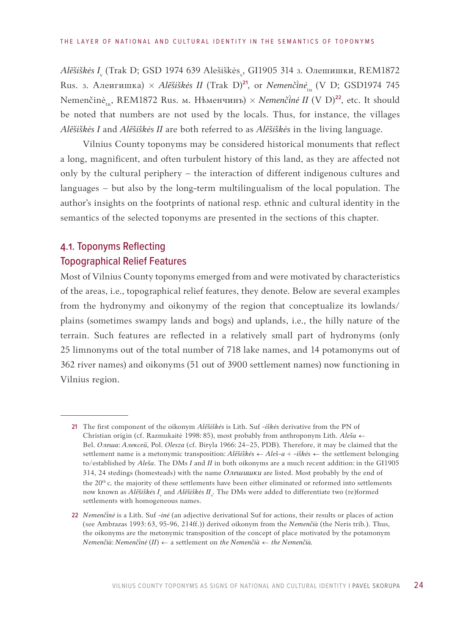<span id="page-23-0"></span>*Alẽšiškės I*. (Trak D; GSD 1974 639 Alešiškės<sub>,</sub>, GI1905 314 з. Олешишки, REM1872 Rus. з. Алеигишка) × Alešiškės II (Trak D)<sup>21</sup>, or *Nemenčinė*<sub>tn</sub> (V D; GSD1974 745 Nemenčinė<sub>tn</sub>, REM1872 Rus. м. Нѣменчинъ) *× Nemenčinė II* (V D)<sup>22</sup>, etc. It should be noted that numbers are not used by the locals. Thus, for instance, the villages *Alẽšiškės I* and *Alẽšiškės II* are both referred to as *Alẽšiškės* in the living language.

Vilnius County toponyms may be considered historical monuments that reflect a long, magnificent, and often turbulent history of this land, as they are affected not only by the cultural periphery – the interaction of different indigenous cultures and languages – but also by the long-term multilingualism of the local population. The author's insights on the footprints of national resp. ethnic and cultural identity in the semantics of the selected toponyms are presented in the sections of this chapter.

# 4.1. Toponyms Reflecting Topographical Relief Features

Most of Vilnius County toponyms emerged from and were motivated by characteristics of the areas, i.e., topographical relief features, they denote. Below are several examples from the hydronymy and oikonymy of the region that conceptualize its lowlands/ plains (sometimes swampy lands and bogs) and uplands, i.e., the hilly nature of the terrain. Such features are reflected in a relatively small part of hydronyms (only 25 limnonyms out of the total number of 718 lake names, and 14 potamonyms out of 362 river names) and oikonyms (51 out of 3900 settlement names) now functioning in Vilnius region.

<sup>21</sup> The first component of the oikonym *Alẽšiškės* is Lith. Suf -*iškės* derivative from the PN of Christian origin (cf. Razmukaitė 1998: 85), most probably from anthroponym Lith. *Aleša* ← Bel. *Oлеша*: *Aлексей*, Pol. *Olesza* (cf. Biryla 1966: 24–25, PDB). Therefore, it may be claimed that the settlement name is a metonymic transposition: *Alẽšiškės* ← *Aleš-a + -iškės* ← the settlement belonging to/established by *Aleša*. The DMs *I* and *II* in both oikonyms are a much recent addition: in the GI1905 314, 24 stedings (homesteads) with the name *Олешишки* are listed. Most probably by the end of the 20<sup>th</sup> c. the majority of these settlements have been either eliminated or reformed into settlements now known as *Alẽšiškės I*<sub>v</sub> and *Alẽšiškės II*<sub>v</sub>. The DMs were added to differentiate two (re)formed settlements with homogeneous names.

<sup>22</sup> *Nemenčnė* is a Lith. Suf -*inė* (an adjective derivational Suf for actions, their results or places of action (see Ambrazas 1993: 63, 95-96, 214ff.)) derived oikonym from the *Nemenčià* (the Neris trib.). Thus, the oikonyms are the metonymic transposition of the concept of place motivated by the potamonym  $N$ emenčià:  $N$ emenčinė  $(II) \leftarrow$  a settlement on *the Nemenčià*  $\leftarrow$  *the Nemenčià*.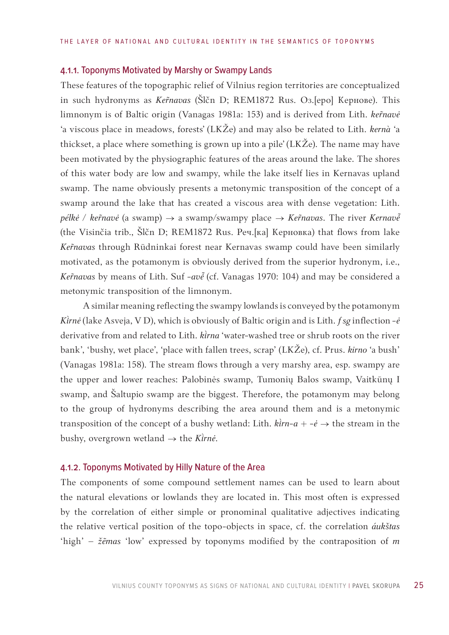#### 4.1.1. Toponyms Motivated by Marshy or Swampy Lands

These features of the topographic relief of Vilnius region territories are conceptualized in such hydronyms as *Kenavas* (Šlčn D; REM1872 Rus. Oз.[еро] Кернове). This limnonym is of Baltic origin (Vanagas 1981a: 153) and is derived from Lith. *kernavė* 'a viscous place in meadows, forests' (LKŽe) and may also be related to Lith. *kernà* 'a thickset, a place where something is grown up into a pile' (LKŽe). The name may have been motivated by the physiographic features of the areas around the lake. The shores of this water body are low and swampy, while the lake itself lies in Kernavas upland swamp. The name obviously presents a metonymic transposition of the concept of a swamp around the lake that has created a viscous area with dense vegetation: Lith. *pélkė / ker̃navė* (a swamp) → a swamp/swampy place → *Ker̃navas*. The river *Kernavė̃* (the Visinčia trib., Šlčn D; REM1872 Rus. Реч.[ка] Керновка) that flows from lake *Kenavas* through Rūdninkai forest near Kernavas swamp could have been similarly motivated, as the potamonym is obviously derived from the superior hydronym, i.e., Kernavas by means of Lith. Suf -ave (cf. Vanagas 1970: 104) and may be considered a metonymic transposition of the limnonym.

A similar meaning reflecting the swampy lowlands is conveyed by the potamonym *Krnė* (lake Asveja, V D), which is obviously of Baltic origin and is Lith. *f sg* inflection *-ė* derivative from and related to Lith. *kirna* 'water-washed tree or shrub roots on the river bank', 'bushy, wet place', 'place with fallen trees, scrap' (LKŽe), cf. Prus. *kirno* 'a bush' (Vanagas 1981a: 158). The stream flows through a very marshy area, esp. swampy are the upper and lower reaches: Palobinės swamp, Tumonių Balos swamp, Vaitkūnų I swamp, and Šaltupio swamp are the biggest. Therefore, the potamonym may belong to the group of hydronyms describing the area around them and is a metonymic transposition of the concept of a bushy wetland: Lith.  $\hat{k}$ *irn-a* + - $\hat{e}$   $\rightarrow$  the stream in the bushy, overgrown wetland  $\rightarrow$  the *Kirnė*.

## 4.1.2. Toponyms Motivated by Hilly Nature of the Area

The components of some compound settlement names can be used to learn about the natural elevations or lowlands they are located in. This most often is expressed by the correlation of either simple or pronominal qualitative adjectives indicating the relative vertical position of the topo-objects in space, cf. the correlation *áukštas* 'high' – *žẽmas* 'low' expressed by toponyms modified by the contraposition of *m*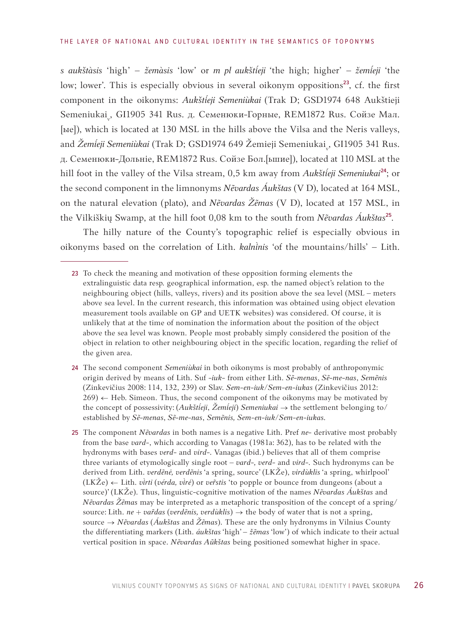*s aukštàsis* 'high' – *žemàsis* 'low' or *m pl aukštieji* 'the high; higher' – *žemieji* 'the low; lower'. This is especially obvious in several oikonym oppositions<sup>23</sup>, cf. the first component in the oikonyms: *Aukšteji Semeniùkai* (Trak D; GSD1974 648 Aukštieji Semeniukai<sub>v</sub>, GI1905 341 Rus. д. Семенюки-Горные, REM1872 Rus. Сойзе Мал. [ые]), which is located at 130 MSL in the hills above the Vilsa and the Neris valleys, and *Žemíeji Semeniùkai* (Trak D; GSD1974 649 Žemieji Semeniukai<sub>v</sub>, GI1905 341 Rus. д. Семенюки-Дольнiе, REM1872 Rus. Сойзе Бол.[ьшие]), located at 110 MSL at the hill foot in the valley of the Vilsa stream, 0,5 km away from *Aukšteji Semeniukai*24; or the second component in the limnonyms *Nẽvardas Áukštas* (V D), located at 164 MSL, on the natural elevation (plato), and *Nẽvardas Žẽmas* (V D), located at 157 MSL, in the Vilkiškių Swamp, at the hill foot 0,08 km to the south from *Nẽvardas Áukštas*<sup>25</sup>.

The hilly nature of the County's topographic relief is especially obvious in oikonyms based on the correlation of Lith. *kalninis* 'of the mountains/hills' - Lith.

- 24 The second component *Semeniùkai* in both oikonyms is most probably of anthroponymic origin derived by means of Lith. Suf -*iuk*- from either Lith. *Sẽ-menas*, *Sẽ-me-nas*, *Semẽnis* (Zinkevičius 2008: 114, 132, 239) or Slav. *Sem-en-iuk/Sem-en-iukas* (Zinkevičius 2012:  $269$   $\leftarrow$  Heb. Simeon. Thus, the second component of the oikonyms may be motivated by the concept of possessivity: (Aukštieji, Žemieji) Semeniukai → the settlement belonging to/ established by *Sẽ-menas*, *Sẽ-me-nas*, *Semẽnis, Sem-en-iuk/Sem-en-iukas.*
- 25 The component *Nẽvardas* in both names is a negative Lith. Pref *ne-* derivative most probably from the base *vard-*, which according to Vanagas (1981a: 362), has to be related with the hydronyms with bases *verd-* and *vird-.* Vanagas (ibid.) believes that all of them comprise three variants of etymologically single root – *vard-, verd-* and *vird-.* Such hydronyms can be derived from Lith. *verdẽnė, verdẽnis* 'a spring, source' (LKŽe), *virdùklis* 'a spring, whirlpool' (LKŽe) ← Lith. *virti (vérda, virė)* or *ver̃stis* 'to popple or bounce from dungeons (about a source)' (LKŽe). Thus, linguistic-cognitive motivation of the names *Nẽvardas Áukštas* and *Nẽvardas Žẽmas* may be interpreted as a metaphoric transposition of the concept of a spring/ source: Lith. *ne* + *var̃das* (*verdẽnis, verdùklis*) → the body of water that is not a spring, source → *Nẽvardas* (*Áukštas* and *Žẽmas*). These are the only hydronyms in Vilnius County the differentiating markers (Lith. *áukštas* 'high' – *žẽmas* 'low') of which indicate to their actual vertical position in space. *Nẽvardas Aũkštas* being positioned somewhat higher in space.

<sup>23</sup> To check the meaning and motivation of these opposition forming elements the extralinguistic data resp. geographical information, esp. the named object's relation to the neighbouring object (hills, valleys, rivers) and its position above the sea level (MSL – meters above sea level. In the current research, this information was obtained using object elevation measurement tools available on GP and UETK websites) was considered. Of course, it is unlikely that at the time of nomination the information about the position of the object above the sea level was known. People most probably simply considered the position of the object in relation to other neighbouring object in the specific location, regarding the relief of the given area.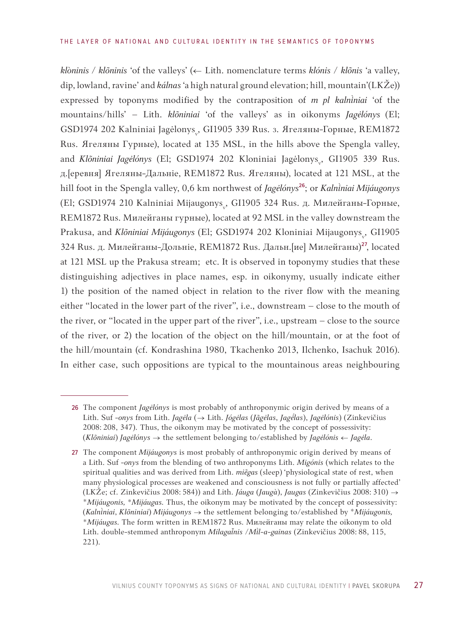*klòninis / klõninis* 'of the valleys' (← Lith. nomenclature terms *klónis* / *klõnis* 'a valley, dip, lowland, ravine' and *kálnas* 'a high natural ground elevation; hill, mountain'(LKŽe)) expressed by toponyms modified by the contraposition of *m pl kalniniai* 'of the mountains/hills' – Lith. *klõniniai* 'of the valleys' as in oikonyms *Jagėlónys* (El; GSD1974 202 Kalniniai Jagėlonys<sub>,</sub>, GI1905 339 Rus. з. Ягеляны-Горные, REM1872 Rus. Ягеляны Гурные), located at 135 MSL, in the hills above the Spengla valley, and *Klõniniai Jagėlónys* (El; GSD1974 202 Kloniniai Jagėlonys<sub>,</sub>, GI1905 339 Rus. д.[еревня] Ягеляны-Дальнiе, REM1872 Rus. Ягеляны), located at 121 MSL, at the hill foot in the Spengla valley, 0,6 km northwest of *Jagėlónys*<sup>26</sup>; or *Kalniniai Mijáugonys* (El; GSD1974 210 Kalniniai Mijaugonys<sub>v</sub>, GI1905 324 Rus. д. Милейганы-Горные, REM1872 Rus. Милейганы гурные), located at 92 MSL in the valley downstream the Prakusa, and *Klõniniai Mijáugonys* (El; GSD1974 202 Kloniniai Mijaugonys<sub>v</sub>, GI1905 324 Rus. д. Милейганы-Дольнiе, REM1872 Rus. Дальн.[ие] Милейганы)27, located at 121 MSL up the Prakusa stream; etc. It is observed in toponymy studies that these distinguishing adjectives in place names, esp. in oikonymy, usually indicate either 1) the position of the named object in relation to the river flow with the meaning either "located in the lower part of the river", i.e., downstream – close to the mouth of the river, or "located in the upper part of the river", i.e., upstream – close to the source of the river, or 2) the location of the object on the hill/mountain, or at the foot of the hill/mountain (cf. Kondrashina 1980, Tkachenko 2013, Ilchenko, Isachuk 2016). In either case, such oppositions are typical to the mountainous areas neighbouring

<sup>26</sup> The component *Jagėlónys* is most probably of anthroponymic origin derived by means of a Lith. Suf *-onys* from Lith. *Jagėla* (→ Lith. *Jógėlas* (*Jãgėlas*, *Jaglas*), *Jagėlónis*) (Zinkevičius 2008: 208, 347). Thus, the oikonym may be motivated by the concept of possessivity: (*Klõniniai*) *Jagėlónys →* the settlement belonging to/established by *Jagėlónis ← Jagėla*.

<sup>27</sup> The component *Mijáugonys* is most probably of anthroponymic origin derived by means of a Lith. Suf *-onys* from the blending of two anthroponyms Lith. *Migónis* (which relates to the spiritual qualities and was derived from Lith. *miẽgas* (sleep) 'physiological state of rest, when many physiological processes are weakened and consciousness is not fully or partially affected' (LKŽe; cf. Zinkevičius 2008: 584)) and Lith. *Jáuga* (*Jaugà*), *Jaugas* (Zinkevičius 2008: 310) → \**Mijáugonis, \*Mijáugas.* Thus, the oikonym may be motivated by the concept of possessivity: (*Kalnniai*, *Klõniniai*) *Mijáugonys →* the settlement belonging to/established by \**Mijáugonis, \*Mijáugas.* The form written in REM1872 Rus. Милейганы may relate the oikonym to old Lith. double-stemmed anthroponym *Milaganis* /*Ml-a-gainas* (Zinkevičius 2008: 88, 115, 221).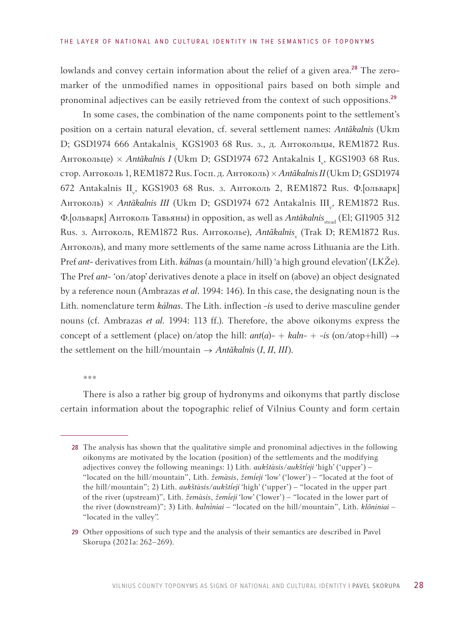lowlands and convey certain information about the relief of a given area.<sup>28</sup> The zeromarker of the unmodified names in oppositional pairs based on both simple and pronominal adjectives can be easily retrieved from the context of such oppositions.<sup>29</sup>

In some cases, the combination of the name components point to the settlement's position on a certain natural elevation, cf. several settlement names: *Antãkalnis* (Ukm D; GSD1974 666 Antakalnis<sub>,</sub> KGS1903 68 Rus. з., д. Антокольцы, REM1872 Rus. Антокольце) *× Antãkalnis I* (Ukm D; GSD1974 672 Antakalnis I<sub>v</sub>, KGS1903 68 Rus. стор. Антоколь 1, REM1872 Rus. Госп. д. Антоколь) *× Antãkalnis II*(Ukm D; GSD1974 672 Antakalnis II<sub>v</sub>, KGS1903 68 Rus. 3. Антоколь 2, REM1872 Rus. Ф.[ольварк] Антоколь) × *Antãkalnis III* (Ukm D; GSD1974 672 Antakalnis III<sub>v</sub>, REM1872 Rus. Ф. [ольварк] Антоколь Тавьяны) in opposition, as well as *Antakalnis*<sub>stead</sub> (El; GI1905 312 Rus. 3. Антоколь, REM1872 Rus. Антоколье), *Antãkalnis*<sub>v</sub> (Trak D; REM1872 Rus. Антоколь), and many more settlements of the same name across Lithuania are the Lith. Pref *ant*- derivatives from Lith. *kálnas* (a mountain/hill) 'a high ground elevation' (LKŽe). The Pref *ant*- 'on/atop' derivatives denote a place in itself on (above) an object designated by a reference noun (Ambrazas *et al*. 1994: 146). In this case, the designating noun is the Lith. nomenclature term *kálnas*. The Lith. inflection -*is* used to derive masculine gender nouns (cf. Ambrazas *et al*. 1994: 113 ff.). Therefore, the above oikonyms express the concept of a settlement (place) on/atop the hill:  $ant(a)$ - +  $kahn$ - + -*is* (on/atop+hill)  $\rightarrow$ the settlement on the hill/mountain  $\rightarrow$  *Antãkalnis* (*I*, *II*, *III*).

\*\*\*

There is also a rather big group of hydronyms and oikonyms that partly disclose certain information about the topographic relief of Vilnius County and form certain

<sup>28</sup> The analysis has shown that the qualitative simple and pronominal adjectives in the following oikonyms are motivated by the location (position) of the settlements and the modifying adjectives convey the following meanings: 1) Lith. *aukštàsis*/*aukšteji* 'high' ('upper') – "located on the hill/mountain", Lith. *žemàsis, žemíeji* 'low' ('lower') – "located at the foot of the hill/mountain"; 2) Lith. *aukštàsis*/*aukšteji* 'high' ('upper') – "located in the upper part of the river (upstream)", Lith. *žemàsis*, *žemíeji* 'low' ('lower') – "located in the lower part of the river (downstream)"; 3) Lith. *kalniniai* – "located on the hill/mountain", Lith. *klõniniai* – "located in the valley".

<sup>29</sup> Other oppositions of such type and the analysis of their semantics are described in Pavel Skorupa (2021a: 262–269).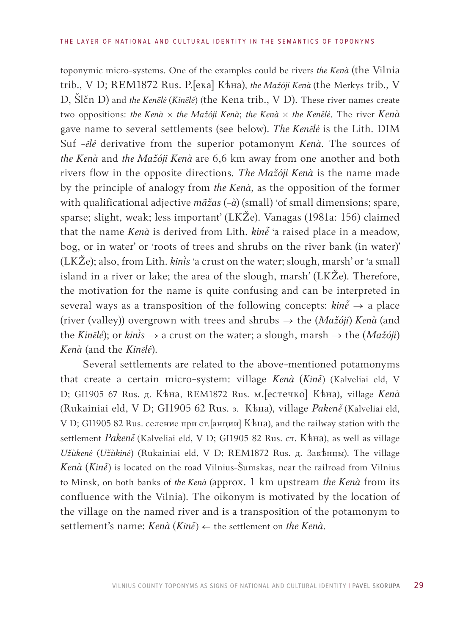toponymic micro-systems. One of the examples could be rivers *the Kenà* (the Vilnia trib., V D; REM1872 Rus. Р.[ека] Кѣна), *the Mažóji Kenà* (the Merkys trib., V D, Šlčn D) and *the Kenẽlė* (*Kinẽlė*) (the Kena trib., V D). These river names create two oppositions: *the Kenà × the Mažóji Kenà*; *the Kenà × the Kenẽlė*. The river *Kenà* gave name to several settlements (see below). *The Kenẽlė* is the Lith. DIM Suf -*ẽlė* derivative from the superior potamonym *Kenà*. The sources of *the Kenà* and *the Mažóji Kenà* are 6,6 km away from one another and both rivers flow in the opposite directions. *The Mažóji Kenà* is the name made by the principle of analogy from *the Kenà*, as the opposition of the former with qualificational adjective *mãžas* (*-à*) (small) 'of small dimensions; spare, sparse; slight, weak; less important' (LKŽe). Vanagas (1981a: 156) claimed that the name *Kenà* is derived from Lith.  $\text{k}in\tilde{e}$  'a raised place in a meadow, bog, or in water' or 'roots of trees and shrubs on the river bank (in water)' (LKŽe); also, from Lith. *kinis* 'a crust on the water; slough, marsh' or 'a small island in a river or lake; the area of the slough, marsh' (LKŽe). Therefore, the motivation for the name is quite confusing and can be interpreted in several ways as a transposition of the following concepts:  $kin\tilde{e}$  → a place (river (valley)) overgrown with trees and shrubs → the (*Mažóji*) *Kenà* (and the *Kinẽlė*); or *kinis*  $\rightarrow$  a crust on the water; a slough, marsh  $\rightarrow$  the (*Mažóji*) *Kenà* (and the *Kinẽlė*).

Several settlements are related to the above-mentioned potamonyms that create a certain micro-system: village *Kenà (Kinė̃)* (Kalveliai eld, V D; GI1905 67 Rus. д. Кѣна, REM1872 Rus. м.[естечко] Кѣна), village *Kenà* (Rukainiai eld, V D; GI1905 62 Rus. 3. Кѣна), village Pakenė̃ (Kalveliai eld, V D; GI1905 82 Rus. селение при ст.[анции] Кѣна), and the railway station with the settlement *Paken*  $\tilde{e}$  (Kalveliai eld, V D; GI1905 82 Rus. ст. Кѣна), as well as village *Užùkenė* (*Užùkinė*) (Rukainiai eld, V D; REM1872 Rus. д. Закѣнцы). The village *Kenà* (*Kin*) is located on the road Vilnius-Šumskas, near the railroad from Vilnius to Minsk, on both banks of *the Kenà* (approx. 1 km upstream *the Kenà* from its confluence with the Vilnia). The oikonym is motivated by the location of the village on the named river and is a transposition of the potamonym to settlement's name: *Kenà* (*Kině*) ← the settlement on *the Kenà*.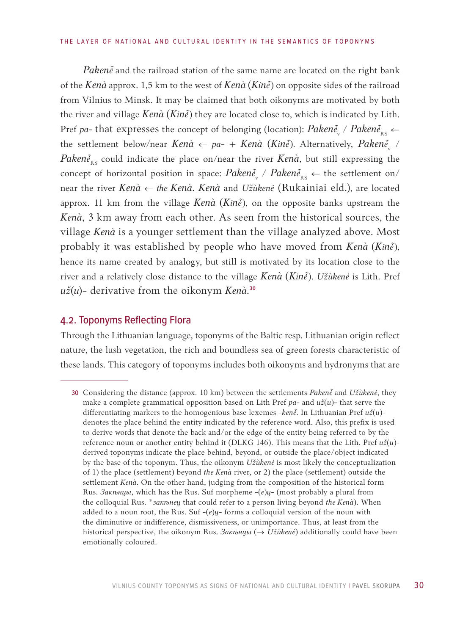<span id="page-29-0"></span>*Paken* $\tilde{e}$  and the railroad station of the same name are located on the right bank of the *Kenà* approx. 1,5 km to the west of *Kenà* (*Kin* $\tilde{e}$ ) on opposite sides of the railroad from Vilnius to Minsk. It may be claimed that both oikonyms are motivated by both the river and village  $\text{Kenà}$  ( $\text{Kin}{\tilde{e}}$ ) they are located close to, which is indicated by Lith. Pref *pa*- that expresses the concept of belonging (location):  $Paken\tilde{e}_{\rm w}$  /  $Paken\tilde{e}_{\rm RS}$   $\leftarrow$ the settlement below/near  $\textit{Kenà} \leftarrow \textit{pa-} + \textit{Kenà} \ (\textit{Kin}{\tilde{e}}).$  Alternatively,  $\textit{Paken}{\tilde{e}}_{\mathrm{v}}$  / *Paken* $\tilde{e}_{RS}$  could indicate the place on/near the river *Kenà*, but still expressing the concept of horizontal position in space:  $Paken\tilde{e}_{_{\rm N}}$  /  $Paken\tilde{e}_{_{\rm RS}}$   $\leftarrow$  the settlement on/ near the river *Kenà ← the Kenà*. *Kenà* and *Užùkenė* (Rukainiai eld.), are located approx. 11 km from the village *Kenà* (*Kin*), on the opposite banks upstream the *Kenà*, 3 km away from each other. As seen from the historical sources, the village *Kenà* is a younger settlement than the village analyzed above. Most probably it was established by people who have moved from *Kenà* (*Kin*), hence its name created by analogy, but still is motivated by its location close to the river and a relatively close distance to the village *Kenà* (*Kin*). *Užùkenė* is Lith. Pref *už*(*u*)- derivative from the oikonym *Kenà.*30

## 4.2. Toponyms Reflecting Flora

Through the Lithuanian language, toponyms of the Baltic resp. Lithuanian origin reflect nature, the lush vegetation, the rich and boundless sea of green forests characteristic of these lands. This category of toponyms includes both oikonyms and hydronyms that are

<sup>30</sup> Considering the distance (approx. 10 km) between the settlements *Paken*e and *Užùkenė*, they make a complete grammatical opposition based on Lith Pref *pa*- and *už*(*u*)- that serve the differentiating markers to the homogenious base lexemes -*ken* $\tilde{e}$ . In Lithuanian Pref  $u\tilde{z}(u)$ denotes the place behind the entity indicated by the reference word. Also, this prefix is used to derive words that denote the back and/or the edge of the entity being referred to by the reference noun or another entity behind it (DLKG 146). This means that the Lith. Pref *už*(*u*) derived toponyms indicate the place behind, beyond, or outside the place/object indicated by the base of the toponym. Thus, the oikonym *Užùkenė* is most likely the conceptualization of 1) the place (settlement) beyond *the Kenà* river, or 2) the place (settlement) outside the settlement *Kenà*. On the other hand, judging from the composition of the historical form Rus. *Закѣнцы*, which has the Rus. Suf morpheme -(*e*)*ц*- (most probably a plural from the colloquial Rus. \**закѣнец* that could refer to a person living beyond *the Kenà*). When added to a noun root, the Rus. Suf -(*e*)*ц*- forms a colloquial version of the noun with the diminutive or indifference, dismissiveness, or unimportance. Thus, at least from the historical perspective, the oikonym Rus. *Закѣнцы* (→ *Užùkenė*) additionally could have been emotionally coloured.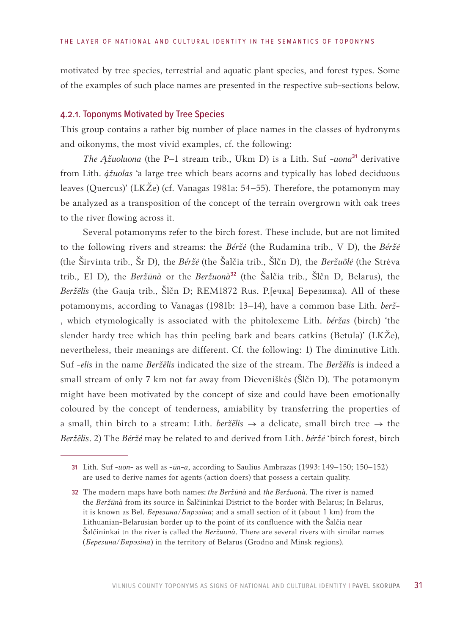motivated by tree species, terrestrial and aquatic plant species, and forest types. Some of the examples of such place names are presented in the respective sub-sections below.

#### 4.2.1. Toponyms Motivated by Tree Species

This group contains a rather big number of place names in the classes of hydronyms and oikonyms, the most vivid examples, cf. the following:

*The Ąžuoluona* (the P–1 stream trib., Ukm D) is a Lith. Suf *-uona*31 derivative from Lith. *žuolas* 'a large tree which bears acorns and typically has lobed deciduous leaves (Quercus)' (LKŽe) (cf. Vanagas 1981a: 54–55). Therefore, the potamonym may be analyzed as a transposition of the concept of the terrain overgrown with oak trees to the river flowing across it.

Several potamonyms refer to the birch forest. These include, but are not limited to the following rivers and streams: the *Béržė* (the Rudamina trib., V D), the *Béržė* (the Širvinta trib., Šr D), the *Béržė* (the Šalčia trib., Šlčn D), the *Beržuõlė* (the Strėva trib., El D), the *Beržūnà* or the *Beržuonà*32 (the Šalčia trib., Šlčn D, Belarus), the *Beržẽlis* (the Gauja trib., Šlčn D; REM1872 Rus. Р.[ечка] Березинка). All of these potamonyms, according to Vanagas (1981b: 13–14), have a common base Lith. *berž-* , which etymologically is associated with the phitolexeme Lith. *béržas* (birch) 'the slender hardy tree which has thin peeling bark and bears catkins (Betula)' (LKŽe), nevertheless, their meanings are different. Cf. the following: 1) The diminutive Lith. Suf *-elis* in the name *Beržẽlis* indicated the size of the stream. The *Beržẽlis* is indeed a small stream of only 7 km not far away from Dieveniškės (Šlčn D). The potamonym might have been motivated by the concept of size and could have been emotionally coloured by the concept of tenderness, amiability by transferring the properties of a small, thin birch to a stream: Lith. *beržẽlis* → a delicate, small birch tree → the *Beržẽlis*. 2) The *Béržė* may be related to and derived from Lith. *béržė* 'birch forest, birch

<sup>31</sup> Lith. Suf *-uon-* as well as *-ūn-a*, according to Saulius Ambrazas (1993: 149–150; 150–152) are used to derive names for agents (action doers) that possess a certain quality.

<sup>32</sup> The modern maps have both names: *the Beržūnà* and *the Beržuonà.* The river is named the *Beržūnà* from its source in Šalčininkai District to the border with Belarus; In Belarus, it is known as Bel. *Березина*/*Бярэзіна*; and a small section of it (about 1 km) from the Lithuanian-Belarusian border up to the point of its confluence with the Šalčia near Šalčininkai tn the river is called the *Beržuonà*. There are several rivers with similar names (*Березина*/*Бярэзіна*) in the territory of Belarus (Grodno and Minsk regions).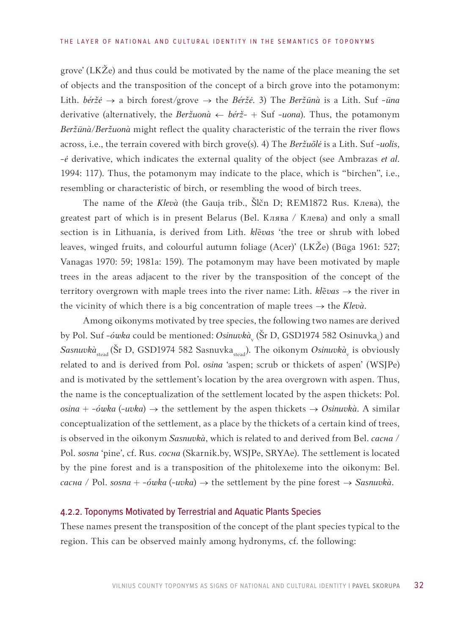grove' (LKŽe) and thus could be motivated by the name of the place meaning the set of objects and the transposition of the concept of a birch grove into the potamonym: Lith. *béržė* → a birch forest/grove → the *Béržė*. 3) The *Beržūnà* is a Lith. Suf *-ūna* derivative (alternatively, the *Beržuonà* ← *bérž-* + Suf *-uona*). Thus, the potamonym *Beržūnà/Beržuonà* might reflect the quality characteristic of the terrain the river flows across, i.e., the terrain covered with birch grove(s). 4) The *Beržuõlė* is a Lith. Suf *-uolis*, *-ė* derivative, which indicates the external quality of the object (see Ambrazas *et al*. 1994: 117). Thus, the potamonym may indicate to the place, which is "birchen", i.e., resembling or characteristic of birch, or resembling the wood of birch trees.

The name of the *Klevà* (the Gauja trib., Šlčn D; REM1872 Rus. Клева), the greatest part of which is in present Belarus (Bel. Клява / Клева) and only a small section is in Lithuania, is derived from Lith. *kl*ẽ*vas* 'the tree or shrub with lobed leaves, winged fruits, and colourful autumn foliage (Acer)' (LKŽe) (Būga 1961: 527; Vanagas 1970: 59; 1981a: 159). The potamonym may have been motivated by maple trees in the areas adjacent to the river by the transposition of the concept of the territory overgrown with maple trees into the river name: Lith. *kl*ẽ*vas* → the river in the vicinity of which there is a big concentration of maple trees → the *Klevà*.

Among oikonyms motivated by tree species, the following two names are derived by Pol. Suf *-ówka* could be mentioned: *Osinuvkà*<sub>v</sub> (Šr D, GSD1974 582 Osinuvka<sub>v</sub>) and  $S$ as*nuvkà*<sub>stead</sub> (Šr D, GSD1974 582 Sasnuvka<sub>stead</sub>). The oikonym *Osinuvkà*<sub>v</sub> is obviously related to and is derived from Pol. *osina* 'aspen; scrub or thickets of aspen' (WSJPe) and is motivated by the settlement's location by the area overgrown with aspen. Thus, the name is the conceptualization of the settlement located by the aspen thickets: Pol. *osina* +  $-\acute{o}wka$  ( $-\acute{u}vka$ )  $\rightarrow$  the settlement by the aspen thickets  $\rightarrow$  *Osinuvkà*. A similar conceptualization of the settlement, as a place by the thickets of a certain kind of trees, is observed in the oikonym *Sasnuvkà*, which is related to and derived from Bel. *сасна* / Pol. *sosna* 'pine', cf. Rus. *сосна* (Skarnik.by, WSJPe, SRYAe). The settlement is located by the pine forest and is a transposition of the phitolexeme into the oikonym: Bel. *сасна* / Pol. *sosna* + -*όwka* (-*uvka*) → the settlement by the pine forest → *Sasnuvkà*.

#### 4.2.2. Toponyms Motivated by Terrestrial and Aquatic Plants Species

These names present the transposition of the concept of the plant species typical to the region. This can be observed mainly among hydronyms, cf. the following: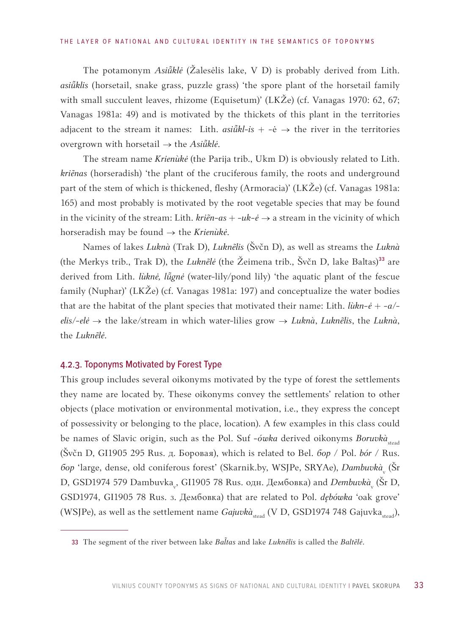The potamonym *Asiklė* (Žalesėlis lake, V D) is probably derived from Lith. asiūklis (horsetail, snake grass, puzzle grass) 'the spore plant of the horsetail family with small succulent leaves, rhizome (Equisetum)' (LKŽe) (cf. Vanagas 1970: 62, 67; Vanagas 1981a: 49) and is motivated by the thickets of this plant in the territories adjacent to the stream it names: Lith.  $asi\tilde{u}kl-is + -\dot{e} \rightarrow$  the river in the territories overgrown with horsetail → the *Asiklė*.

The stream name *Krienùkė* (the Parija trib., Ukm D) is obviously related to Lith. *kriẽnas* (horseradish) 'the plant of the cruciferous family, the roots and underground part of the stem of which is thickened, fleshy (Armoracia)' (LKŽe) (cf. Vanagas 1981a: 165) and most probably is motivated by the root vegetable species that may be found in the vicinity of the stream: Lith.  $kri\tilde{e}n-as + -uk-\tilde{e} \rightarrow a$  stream in the vicinity of which horseradish may be found → the *Krienùkė*.

Names of lakes *Luknà* (Trak D), *Luknẽlis* (Švčn D), as well as streams the *Luknà* (the Merkys trib., Trak D), the *Luknẽlė* (the Žeimena trib., Švčn D, lake Baltas)<sup>33</sup> are derived from Lith. *lùknė*, *lū̃gnė* (water-lily/pond lily) 'the aquatic plant of the fescue family (Nuphar)' (LKŽe) (cf. Vanagas 1981a: 197) and conceptualize the water bodies that are the habitat of the plant species that motivated their name: Lith.  $\hat{li}kn-\hat{e} + -a/$ *elis*/-*elė* → the lake/stream in which water-lilies grow → *Luknà*, *Luknẽlis*, the *Luknà*, the *Luknẽlė*.

#### 4.2.3. Toponyms Motivated by Forest Type

This group includes several oikonyms motivated by the type of forest the settlements they name are located by. These oikonyms convey the settlements' relation to other objects (place motivation or environmental motivation, i.e., they express the concept of possessivity or belonging to the place, location). A few examples in this class could be names of Slavic origin, such as the Pol. Suf -ówka derived oikonyms Boruvkà<sub>stead</sub> (Švčn D, GI1905 295 Rus. д. Боровая), which is related to Bel. *бор* / Pol. *bór* / Rus. *бор* 'large, dense, old coniferous forest' (Skarnik.by, WSJPe, SRYAe), *Dambuvkà*<sub>v</sub> (Šr D, GSD1974 579 Dambuvka<sub>v</sub>, GI1905 78 Rus. одн. Дембовка) and *Dembuvk*à<sub>v</sub> (Šr D, GSD1974, GI1905 78 Rus. з. Дембовка) that are related to Pol. *dębówka* 'oak grove' (WSJPe), as well as the settlement name  $Gajuvk\dot{a}_{\text{steady}}$  (V D, GSD1974 748 Gajuvka $_{\text{steady}}$ ),

<sup>33</sup> The segment of the river between lake *Batas* and lake *Luknẽlis* is called the *Baltẽlė*.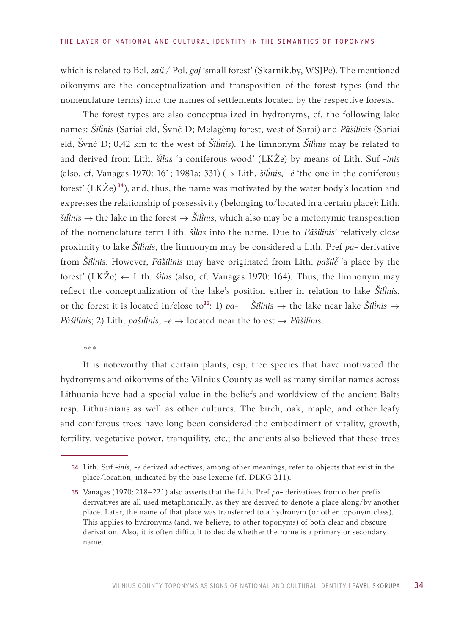which is related to Bel. *гай* / Pol. *gaj* 'small forest' (Skarnik.by, WSJPe). The mentioned oikonyms are the conceptualization and transposition of the forest types (and the nomenclature terms) into the names of settlements located by the respective forests.

The forest types are also conceptualized in hydronyms, cf. the following lake names: *Šilnis* (Sariai eld, Švnč D; Melagėnų forest, west of Sarai) and *Pãšilinis* (Sariai eld, Švnč D; 0,42 km to the west of *Šilnis*). The limnonym *Šilnis* may be related to and derived from Lith. *šlas* 'a coniferous wood' (LKŽe) by means of Lith. Suf -*inis* (also, cf. Vanagas 1970: 161; 1981a: 331) (→ Lith. *šili̇̀nis*, -*ė* 'the one in the coniferous forest' (LKŽe)<sup>34</sup>), and, thus, the name was motivated by the water body's location and expresses the relationship of possessivity (belonging to/located in a certain place): Lith. *šilinis*  $\rightarrow$  the lake in the forest  $\rightarrow$  *Šilinis*, which also may be a metonymic transposition of the nomenclature term Lith. *šlas* into the name. Due to *Pãšilinis*' relatively close proximity to lake *Šilnis*, the limnonym may be considered a Lith. Pref *pa*- derivative from *Šilnis*. However, *Pãšilinis* may have originated from Lith. *pašilė̃* 'a place by the forest' (LKŽe)  $\leftarrow$  Lith. *šilas* (also, cf. Vanagas 1970: 164). Thus, the limnonym may reflect the conceptualization of the lake's position either in relation to lake *Šilnis*, or the forest it is located in/close to<sup>35</sup>: 1)  $pa - + \tilde{S}$ *ilinis*  $\rightarrow$  the lake near lake  $\tilde{S}$ *ilinis*  $\rightarrow$ *Pãšilinis*; 2) Lith. *pašili̇̀nis*, -*ė* → located near the forest → *Pãšilinis*.

#### \*\*\*

It is noteworthy that certain plants, esp. tree species that have motivated the hydronyms and oikonyms of the Vilnius County as well as many similar names across Lithuania have had a special value in the beliefs and worldview of the ancient Balts resp. Lithuanians as well as other cultures. The birch, oak, maple, and other leafy and coniferous trees have long been considered the embodiment of vitality, growth, fertility, vegetative power, tranquility, etc.; the ancients also believed that these trees

<sup>34</sup> Lith. Suf -*inis*, -*ė* derived adjectives, among other meanings, refer to objects that exist in the place/location, indicated by the base lexeme (cf. DLKG 211).

<sup>35</sup> Vanagas (1970: 218–221) also asserts that the Lith. Pref *pa*- derivatives from other prefix derivatives are all used metaphorically, as they are derived to denote a place along/by another place. Later, the name of that place was transferred to a hydronym (or other toponym class). This applies to hydronyms (and, we believe, to other toponyms) of both clear and obscure derivation. Also, it is often difficult to decide whether the name is a primary or secondary name.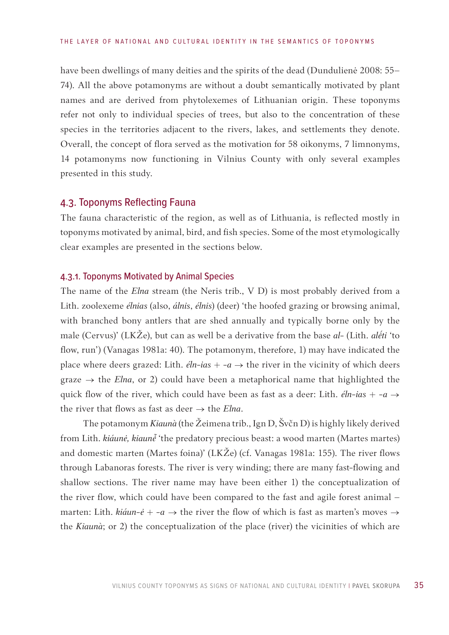<span id="page-34-0"></span>have been dwellings of many deities and the spirits of the dead (Dundulienė 2008: 55– 74). All the above potamonyms are without a doubt semantically motivated by plant names and are derived from phytolexemes of Lithuanian origin. These toponyms refer not only to individual species of trees, but also to the concentration of these species in the territories adjacent to the rivers, lakes, and settlements they denote. Overall, the concept of flora served as the motivation for 58 oikonyms, 7 limnonyms, 14 potamonyms now functioning in Vilnius County with only several examples presented in this study.

#### 4.3. Toponyms Reflecting Fauna

The fauna characteristic of the region, as well as of Lithuania, is reflected mostly in toponyms motivated by animal, bird, and fish species. Some of the most etymologically clear examples are presented in the sections below.

#### 4.3.1. Toponyms Motivated by Animal Species

The name of the *Elna* stream (the Neris trib., V D) is most probably derived from a Lith. zoolexeme *élnias* (also, *álnis*, *élnis*) (deer) 'the hoofed grazing or browsing animal, with branched bony antlers that are shed annually and typically borne only by the male (Cervus)' (LKŽe), but can as well be a derivative from the base *al*- (Lith. *aléti* 'to flow, run') (Vanagas 1981a: 40). The potamonym, therefore, 1) may have indicated the place where deers grazed: Lith.  $\acute{e}$ ln-ias + -a  $\rightarrow$  the river in the vicinity of which deers graze  $\rightarrow$  the *Elna*, or 2) could have been a metaphorical name that highlighted the quick flow of the river, which could have been as fast as a deer: Lith.  $\ell l n$ -ias + -a  $\rightarrow$ the river that flows as fast as deer  $\rightarrow$  the *Elna*.

The potamonym *Kiaunà* (the Žeimena trib., Ign D, Švčn D) is highly likely derived from Lith. *kiáunė, kiaunė* 'the predatory precious beast: a wood marten (Martes martes) and domestic marten (Martes foina)' (LKŽe) (cf. Vanagas 1981a: 155). The river flows through Labanoras forests. The river is very winding; there are many fast-flowing and shallow sections. The river name may have been either 1) the conceptualization of the river flow, which could have been compared to the fast and agile forest animal – marten: Lith. *kiáun-ė* + -*a* → the river the flow of which is fast as marten's moves  $\rightarrow$ the *Kiaunà*; or 2) the conceptualization of the place (river) the vicinities of which are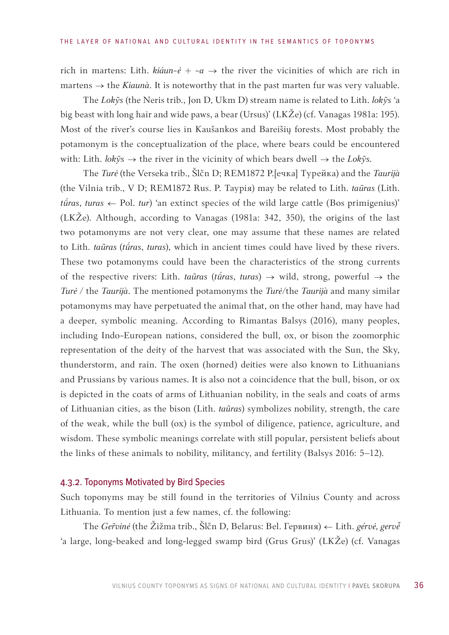rich in martens: Lith.  $kiáun-é + -a \rightarrow$  the river the vicinities of which are rich in martens  $\rightarrow$  the *Kiaunà*. It is noteworthy that in the past marten fur was very valuable.

The *Lokỹs* (the Neris trib., Jon D, Ukm D) stream name is related to Lith. *lokỹs* 'a big beast with long hair and wide paws, a bear (Ursus)' (LKŽe) (cf. Vanagas 1981a: 195). Most of the river's course lies in Kaušankos and Bareišių forests. Most probably the potamonym is the conceptualization of the place, where bears could be encountered with: Lith. *lokỹs* → the river in the vicinity of which bears dwell → the *Lokỹs.*

The *Turė* (the Verseka trib., Šlčn D; REM1872 Р.[ечка] Турейка) and the *Taurijà* (the Vilnia trib., V D; REM1872 Rus. Р. Таурiя) may be related to Lith. *taũras* (Lith. *tūras*, *turas* ← Pol. *tur*) 'an extinct species of the wild large cattle (Bos primigenius)' (LKŽe). Although, according to Vanagas (1981a: 342, 350), the origins of the last two potamonyms are not very clear, one may assume that these names are related to Lith. *taũras (tūras, turas)*, which in ancient times could have lived by these rivers. These two potamonyms could have been the characteristics of the strong currents of the respective rivers: Lith. *taũras* (*tū́ras*, *turas*)  $\rightarrow$  wild, strong, powerful  $\rightarrow$  the *Turė /* the *Taurijà*. The mentioned potamonyms the *Turė/*the *Taurijà* and many similar potamonyms may have perpetuated the animal that, on the other hand, may have had a deeper, symbolic meaning. According to Rimantas Balsys (2016), many peoples, including Indo-European nations, considered the bull, ox, or bison the zoomorphic representation of the deity of the harvest that was associated with the Sun, the Sky, thunderstorm, and rain. The oxen (horned) deities were also known to Lithuanians and Prussians by various names. It is also not a coincidence that the bull, bison, or ox is depicted in the coats of arms of Lithuanian nobility, in the seals and coats of arms of Lithuanian cities, as the bison (Lith. *taũras*) symbolizes nobility, strength, the care of the weak, while the bull (ox) is the symbol of diligence, patience, agriculture, and wisdom. These symbolic meanings correlate with still popular, persistent beliefs about the links of these animals to nobility, militancy, and fertility (Balsys 2016: 5–12).

#### 4.3.2. Toponyms Motivated by Bird Species

Such toponyms may be still found in the territories of Vilnius County and across Lithuania. To mention just a few names, cf. the following:

The *Ger̃vinė* (the Žižma trib., Šlčn D, Belarus: Bel. Гервиня) ← Lith. *gérvė, gervė̃* 'a large, long-beaked and long-legged swamp bird (Grus Grus)' (LKŽe) (cf. Vanagas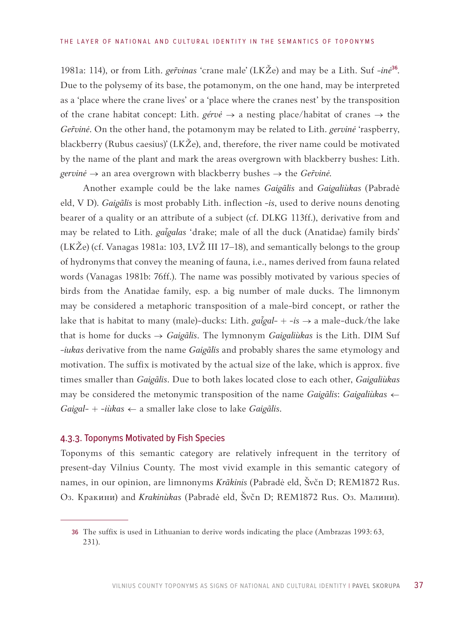1981a: 114), or from Lith. *ger̃vinas* 'crane male' (LKŽe) and may be a Lith. Suf -inė<sup>36</sup>. Due to the polysemy of its base, the potamonym, on the one hand, may be interpreted as a 'place where the crane lives' or a 'place where the cranes nest' by the transposition of the crane habitat concept: Lith. *gérvė* → a nesting place/habitat of cranes → the *Gervinė*. On the other hand, the potamonym may be related to Lith. *gervinė* 'raspberry, blackberry (Rubus caesius)' (LKŽe), and, therefore, the river name could be motivated by the name of the plant and mark the areas overgrown with blackberry bushes: Lith. *gervinė* → an area overgrown with blackberry bushes → the *Gervinė*.

Another example could be the lake names *Gaigãlis* and *Gaigaliùkas* (Pabradė eld, V D). *Gaigãlis* is most probably Lith. inflection -*is*, used to derive nouns denoting bearer of a quality or an attribute of a subject (cf. DLKG 113ff.), derivative from and may be related to Lith. *gai̇̃galas* 'drake; male of all the duck (Anatidae) family birds' (LKŽe) (cf. Vanagas 1981a: 103, LVŽ III 17–18), and semantically belongs to the group of hydronyms that convey the meaning of fauna, i.e., names derived from fauna related words (Vanagas 1981b: 76ff.). The name was possibly motivated by various species of birds from the Anatidae family, esp. a big number of male ducks. The limnonym may be considered a metaphoric transposition of a male-bird concept, or rather the lake that is habitat to many (male)-ducks: Lith. *gai̇̃gal- + -is →* a male-duck/the lake that is home for ducks *→ Gaigãlis*. The lymnonym *Gaigaliùkas* is the Lith. DIM Suf -*iukas* derivative from the name *Gaigãlis* and probably shares the same etymology and motivation. The suffix is motivated by the actual size of the lake, which is approx. five times smaller than *Gaigãlis*. Due to both lakes located close to each other, *Gaigaliùkas* may be considered the metonymic transposition of the name *Gaigãlis*: *Gaigaliùkas* ← *Gaigal*- + -*iùkas* ← a smaller lake close to lake *Gaigãlis*.

### 4.3.3. Toponyms Motivated by Fish Species

Toponyms of this semantic category are relatively infrequent in the territory of present-day Vilnius County. The most vivid example in this semantic category of names, in our opinion, are limnonyms *Krãkinis* (Pabradė eld, Švčn D; REM1872 Rus. Оз. Кракини) and *Krakinùkas* (Pabradė eld, Švčn D; REM1872 Rus. Оз. Малини).

<sup>36</sup> The suffix is used in Lithuanian to derive words indicating the place (Ambrazas 1993: 63, 231).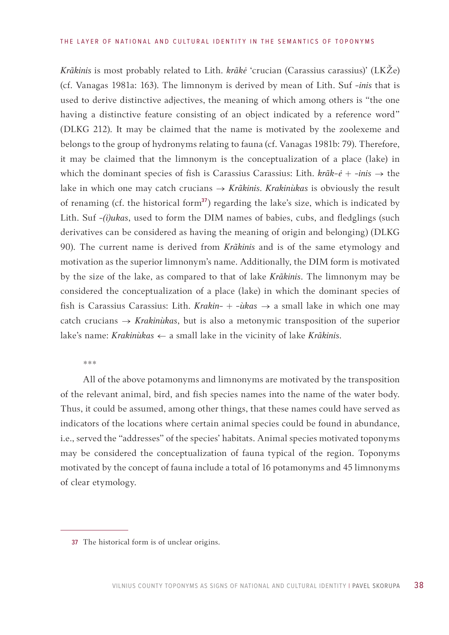*Krãkinis* is most probably related to Lith*. krãkė* 'crucian (Carassius carassius)' (LKŽe) (cf. Vanagas 1981a: 163). The limnonym is derived by mean of Lith. Suf *-inis* that is used to derive distinctive adjectives, the meaning of which among others is "the one having a distinctive feature consisting of an object indicated by a reference word" (DLKG 212). It may be claimed that the name is motivated by the zoolexeme and belongs to the group of hydronyms relating to fauna (cf. Vanagas 1981b: 79). Therefore, it may be claimed that the limnonym is the conceptualization of a place (lake) in which the dominant species of fish is Carassius Carassius: Lith*. krãk-ė* + -*inis* → the lake in which one may catch crucians → *Krãkinis*. *Krakinùkas* is obviously the result of renaming (cf. the historical form<sup>37</sup>) regarding the lake's size, which is indicated by Lith. Suf -*(i)ukas*, used to form the DIM names of babies, cubs, and fledglings (such derivatives can be considered as having the meaning of origin and belonging) (DLKG 90). The current name is derived from *Krãkinis* and is of the same etymology and motivation as the superior limnonym's name. Additionally, the DIM form is motivated by the size of the lake, as compared to that of lake *Krãkinis*. The limnonym may be considered the conceptualization of a place (lake) in which the dominant species of fish is Carassius Carassius: Lith. *Krakin*- + -*ùkas*  $\rightarrow$  a small lake in which one may catch crucians → *Krakinùkas*, but is also a metonymic transposition of the superior lake's name: *Krakinùkas* ← a small lake in the vicinity of lake *Krãkinis*.

\*\*\*

All of the above potamonyms and limnonyms are motivated by the transposition of the relevant animal, bird, and fish species names into the name of the water body. Thus, it could be assumed, among other things, that these names could have served as indicators of the locations where certain animal species could be found in abundance, i.e., served the "addresses" of the species' habitats. Animal species motivated toponyms may be considered the conceptualization of fauna typical of the region. Toponyms motivated by the concept of fauna include a total of 16 potamonyms and 45 limnonyms of clear etymology.

<sup>37</sup> The historical form is of unclear origins.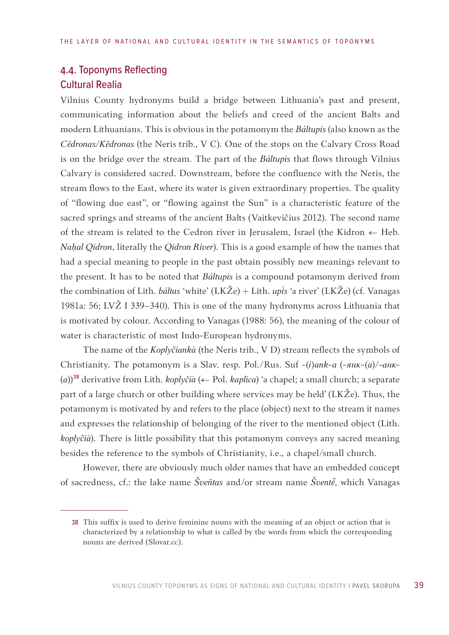# 4.4. Toponyms Reflecting Cultural Realia

Vilnius County hydronyms build a bridge between Lithuania's past and present, communicating information about the beliefs and creed of the ancient Balts and modern Lithuanians. This is obvious in the potamonym the *Báltupis* (also known as the *Cẽdronas/Kẽdronas* (the Neris trib., V C). One of the stops on the Calvary Cross Road is on the bridge over the stream. The part of the *Báltupis* that flows through Vilnius Calvary is considered sacred. Downstream, before the confluence with the Neris, the stream flows to the East, where its water is given extraordinary properties. The quality of "flowing due east", or "flowing against the Sun" is a characteristic feature of the sacred springs and streams of the ancient Balts (Vaitkevičius 2012). The second name of the stream is related to the Cedron river in Jerusalem, Israel (the Kidron  $\leftarrow$  Heb. *Naḥal Qidron*, literally the *Qidron River*). This is a good example of how the names that had a special meaning to people in the past obtain possibly new meanings relevant to the present. It has to be noted that *Báltupis* is a compound potamonym derived from the combination of Lith. *báltas* 'white' (LKŽe) + Lith. *upis* 'a river' (LKŽe) (cf. Vanagas 1981a: 56; LVŽ I 339–340). This is one of the many hydronyms across Lithuania that is motivated by colour. According to Vanagas (1988: 56), the meaning of the colour of water is characteristic of most Indo-European hydronyms.

The name of the *Koplyčiankà* (the Neris trib., V D) stream reflects the symbols of Christianity. The potamonym is a Slav. resp. Pol./Rus. Suf *-*(*i*)*ank-a* (*-янк-*(*а*)/*-aнк*- (*а*))38 derivative from Lith. *koplyčià* (← Pol. *kaplica*) 'a chapel; a small church; a separate part of a large church or other building where services may be held' (LKŽe). Thus, the potamonym is motivated by and refers to the place (object) next to the stream it names and expresses the relationship of belonging of the river to the mentioned object (Lith. *koplyčià*). There is little possibility that this potamonym conveys any sacred meaning besides the reference to the symbols of Christianity, i.e., a chapel/small church.

However, there are obviously much older names that have an embedded concept of sacredness, cf.: the lake name *Šveñtas* and/or stream name *Švent*, which Vanagas

<sup>38</sup> This suffix is used to derive feminine nouns with the meaning of an object or action that is characterized by a relationship to what is called by the words from which the corresponding nouns are derived (Slovar.cc).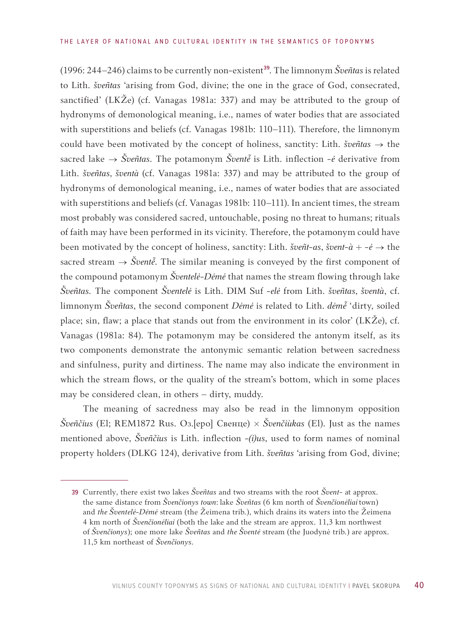(1996: 244–246) claims to be currently non-existent<sup>39</sup>. The limnonym *Šveñtas* is related to Lith. *šveñtas* 'arising from God, divine; the one in the grace of God, consecrated, sanctified' (LKŽe) (cf. Vanagas 1981a: 337) and may be attributed to the group of hydronyms of demonological meaning, i.e., names of water bodies that are associated with superstitions and beliefs (cf. Vanagas 1981b: 110–111). Therefore, the limnonym could have been motivated by the concept of holiness, sanctity: Lith. *šveñtas* → the sacred lake  $\rightarrow$  *Šveñtas*. The potamonym *Šventė* is Lith. inflection -*ė* derivative from Lith. *šveñtas*, *šventà* (cf. Vanagas 1981a: 337) and may be attributed to the group of hydronyms of demonological meaning, i.e., names of water bodies that are associated with superstitions and beliefs (cf. Vanagas 1981b: 110–111). In ancient times, the stream most probably was considered sacred, untouchable, posing no threat to humans; rituals of faith may have been performed in its vicinity. Therefore, the potamonym could have been motivated by the concept of holiness, sanctity: Lith. *šveñt-as*, *švent-à* + -*ė*  $\rightarrow$  the sacred stream  $\rightarrow$  *Šventė*. The similar meaning is conveyed by the first component of the compound potamonym *Šventelė-Dėmė* that names the stream flowing through lake *Šveñtas.* The component *Šventelė* is Lith. DIM Suf -*elė* from Lith. *šveñtas*, *šventà*, cf. limnonym *Šveñtas*, the second component *Dėmė* is related to Lith. *dėmė̃* 'dirty, soiled place; sin, flaw; a place that stands out from the environment in its color' (LKŽe), cf. Vanagas (1981a: 84). The potamonym may be considered the antonym itself, as its two components demonstrate the antonymic semantic relation between sacredness and sinfulness, purity and dirtiness. The name may also indicate the environment in which the stream flows, or the quality of the stream's bottom, which in some places may be considered clean, in others – dirty, muddy.

The meaning of sacredness may also be read in the limnonym opposition *Šveñčius* (El; REM1872 Rus. Оз.[еро] Свенце) × *Švenčiùkas* (El). Just as the names mentioned above, *Šveñčius* is Lith. inflection *-(i)us*, used to form names of nominal property holders (DLKG 124), derivative from Lith. *šveñtas* 'arising from God, divine;

<sup>39</sup> Currently, there exist two lakes *Šveñtas* and two streams with the root *Švent*- at approx. the same distance from *Švenčionys town*: lake *Šveñtas* (6 km north of *Švenčionėliai* town) and *the Šventelė-Dėmė* stream (the Žeimena trib.), which drains its waters into the Žeimena 4 km north of *Švenčionėliai* (both the lake and the stream are approx. 11,3 km northwest of *Švenčionys*); one more lake *Šveñtas* and *the Šventė* stream (the Juodynė trib.) are approx. 11,5 km northeast of *Švenčionys*.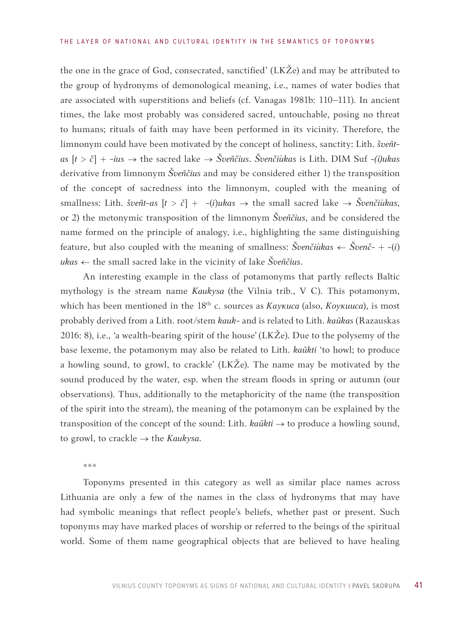the one in the grace of God, consecrated, sanctified' (LKŽe) and may be attributed to the group of hydronyms of demonological meaning, i.e., names of water bodies that are associated with superstitions and beliefs (cf. Vanagas 1981b: 110–111). In ancient times, the lake most probably was considered sacred, untouchable, posing no threat to humans; rituals of faith may have been performed in its vicinity. Therefore, the limnonym could have been motivated by the concept of holiness, sanctity: Lith. *šveñtas* [*t* > *č*] + -*ius* → the sacred lake → *Šveñčius*. *Švenčiùkas* is Lith. DIM Suf -*(i)ukas* derivative from limnonym *Šveñčius* and may be considered either 1) the transposition of the concept of sacredness into the limnonym, coupled with the meaning of smallness: Lith. šveñt-as  $[t > \check{c}]$  +  $-(i)$ *ukas*  $\rightarrow$  the small sacred lake  $\rightarrow$  *Švenčiùkas*, or 2) the metonymic transposition of the limnonym *Šveñčius*, and be considered the name formed on the principle of analogy, i.e., highlighting the same distinguishing feature, but also coupled with the meaning of smallness:  $\check{S}$ venčiùkas  $\leftarrow \check{S}$ venč- + -(*i*) *ukas* ← the small sacred lake in the vicinity of lake *Šveñčius*.

An interesting example in the class of potamonyms that partly reflects Baltic mythology is the stream name *Kaukysa* (the Vilnia trib., V C). This potamonym, which has been mentioned in the 18th c. sources as *Каукиса* (also, *Коукииса*), is most probably derived from a Lith. root/stem *kauk-* and is related to Lith. *kaũkas* (Razauskas 2016: 8), i.e., 'a wealth-bearing spirit of the house' (LKŽe). Due to the polysemy of the base lexeme, the potamonym may also be related to Lith. *kaũkti* 'to howl; to produce a howling sound, to growl, to crackle' (LKŽe). The name may be motivated by the sound produced by the water, esp. when the stream floods in spring or autumn (our observations). Thus, additionally to the metaphoricity of the name (the transposition of the spirit into the stream), the meaning of the potamonym can be explained by the transposition of the concept of the sound: Lith. *kaũkti →* to produce a howling sound, to growl, to crackle *→* the *Kaukysa.*

\*\*\*

Toponyms presented in this category as well as similar place names across Lithuania are only a few of the names in the class of hydronyms that may have had symbolic meanings that reflect people's beliefs, whether past or present. Such toponyms may have marked places of worship or referred to the beings of the spiritual world. Some of them name geographical objects that are believed to have healing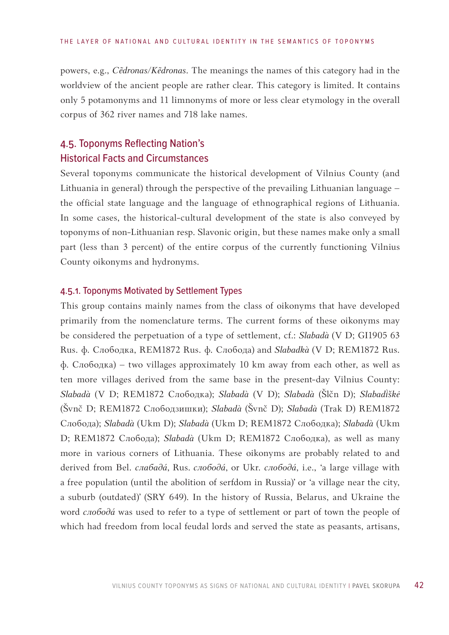powers, e.g., *Cẽdronas/Kẽdronas*. The meanings the names of this category had in the worldview of the ancient people are rather clear. This category is limited. It contains only 5 potamonyms and 11 limnonyms of more or less clear etymology in the overall corpus of 362 river names and 718 lake names.

# 4.5. Toponyms Reflecting Nation's Historical Facts and Circumstances

Several toponyms communicate the historical development of Vilnius County (and Lithuania in general) through the perspective of the prevailing Lithuanian language – the official state language and the language of ethnographical regions of Lithuania. In some cases, the historical-cultural development of the state is also conveyed by toponyms of non-Lithuanian resp. Slavonic origin, but these names make only a small part (less than 3 percent) of the entire corpus of the currently functioning Vilnius County oikonyms and hydronyms.

### 4.5.1. Toponyms Motivated by Settlement Types

This group contains mainly names from the class of oikonyms that have developed primarily from the nomenclature terms. The current forms of these oikonyms may be considered the perpetuation of a type of settlement, cf.: *Slabadà* (V D; GI1905 63 Rus. ф. Слободка, REM1872 Rus. ф. Слобода) and *Slabadkà* (V D; REM1872 Rus. ф. Слободка) – two villages approximately 10 km away from each other, as well as ten more villages derived from the same base in the present-day Vilnius County: *Slabadà* (V D; REM1872 Слободка); *Slabadà* (V D); *Slabadà* (Šlčn D); *Slabadškė* (Švnč D; REM1872 Слободзишки); *Slabadà* (Švnč D); *Slabadà* (Trak D) REM1872 Слобода); *Slabadà* (Ukm D); *Slabadà* (Ukm D; REM1872 Слободка); *Slabadà* (Ukm D; REM1872 Слобода); *Slabadà* (Ukm D; REM1872 Слободка), as well as many more in various corners of Lithuania. These oikonyms are probably related to and derived from Bel. *cлабадá*, Rus. *cлободá*, or Ukr. *слободá*, i.e., 'a large village with a free population (until the abolition of serfdom in Russia)' or 'a village near the city, a suburb (outdated)' (SRY 649). In the history of Russia, Belarus, and Ukraine the word *слободá* was used to refer to a type of settlement or part of town the people of which had freedom from local feudal lords and served the state as peasants, artisans,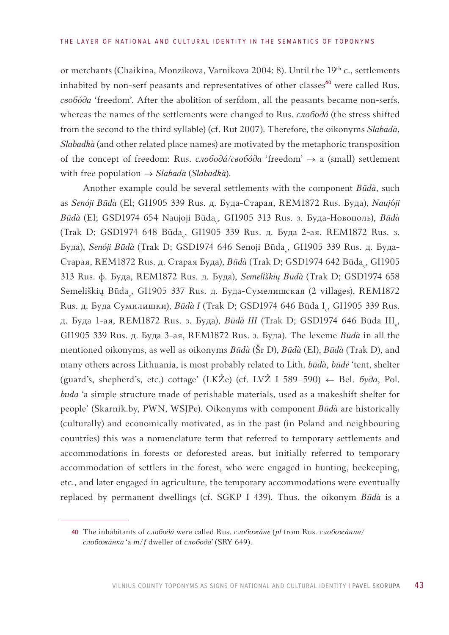or merchants (Chaikina, Monzikova, Varnikova 2004: 8). Until the 19th c., settlements inhabited by non-serf peasants and representatives of other classes<sup>40</sup> were called Rus. *свобóда* 'freedom'. After the abolition of serfdom, all the peasants became non-serfs, whereas the names of the settlements were changed to Rus. *слободá* (the stress shifted from the second to the third syllable) (cf. Rut 2007). Therefore, the oikonyms *Slabadà*, *Slabadkà* (and other related place names) are motivated by the metaphoric transposition of the concept of freedom: Rus. *cлободá/свобóда* 'freedom' *→* a (small) settlement with free population *→ Slabadà* (*Slabadkà*).

Another example could be several settlements with the component *Būdà*, such as *Senóji Būdà* (El; GI1905 339 Rus. д. Буда-Старая, REM1872 Rus. Буда), *Nauj*ó*ji Būdà* (El; GSD1974 654 Naujoji Būda<sub>v</sub>, GI1905 313 Rus. з. Буда-Новополь), *Būdà* (Trak D; GSD1974 648 Būda<sub>v</sub>, GI1905 339 Rus. д. Буда 2-ая, REM1872 Rus. з. Буда), *Senóji Būdà* (Trak D; GSD1974 646 Senoji Būda<sub>v</sub>, GI1905 339 Rus. д. Буда-Старая, REM1872 Rus. д. Старая Буда), *Būdà* (Trak D; GSD1974 642 Būda<sub>v</sub>, GI1905 313 Rus. ф. Буда, REM1872 Rus. д. Буда), *Semelškių Būdà* (Trak D; GSD1974 658 Semeliškių Būda<sub>v</sub>, GI1905 337 Rus. д. Буда-Сумелишская (2 villages), REM1872 Rus. д. Буда Сумилишки), *Būdà I* (Trak D; GSD1974 646 Būda I<sub>v</sub>, GI1905 339 Rus. д. Буда 1-ая, REM1872 Rus. з. Буда), *Būdà III* (Trak D; GSD1974 646 Būda III<sub>v</sub>, GI1905 339 Rus. д. Буда 3-ая, REM1872 Rus. з. Буда). The lexeme *Būdà* in all the mentioned oikonyms, as well as oikonyms *Būdà* (Šr D), *Būdà* (El), *Būdà* (Trak D), and many others across Lithuania, is most probably related to Lith. *būdà*, *būdė* 'tent, shelter (guard's, shepherd's, etc.) cottage' (LKŽe) (cf. LVŽ I 589–590)  $\leftarrow$  Bel.  $\delta y \partial a$ , Pol. *buda* 'a simple structure made of perishable materials, used as a makeshift shelter for people' (Skarnik.by, PWN, WSJPe). Oikonyms with component *Būdà* are historically (culturally) and economically motivated, as in the past (in Poland and neighbouring countries) this was a nomenclature term that referred to temporary settlements and accommodations in forests or deforested areas, but initially referred to temporary accommodation of settlers in the forest, who were engaged in hunting, beekeeping, etc., and later engaged in agriculture, the temporary accommodations were eventually replaced by permanent dwellings (cf. SGKP I 439). Thus, the oikonym *Būdà* is a

<sup>40</sup> The inhabitants of *слободá* were called Rus. *слобожáне* (*pl* from Rus. *слобожáнин/ слобожáнка* 'a *m*/*f* dweller of *слободa*' (SRY 649).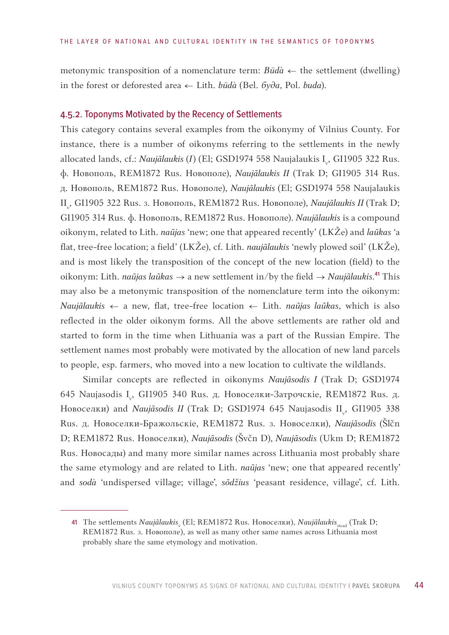metonymic transposition of a nomenclature term:  $B\bar{u}d\hat{a} \leftarrow$  the settlement (dwelling) in the forest or deforested area ← Lith. *būdà* (Bel. *буда*, Pol. *buda*).

### 4.5.2. Toponyms Motivated by the Recency of Settlements

This category contains several examples from the oikonymy of Vilnius County. For instance, there is a number of oikonyms referring to the settlements in the newly allocated lands, cf.: *Naujãlaukis (I) (El; GSD1974 558 Naujalaukis* I<sub>v</sub>, GI1905 322 Rus. ф. Новополь, REM1872 Rus. Новополе), *Naujãlaukis II* (Trak D; GI1905 314 Rus. д. Новополь, REM1872 Rus. Новополе), *Naujãlaukis* (El; GSD1974 558 Naujalaukis II<sub><sub>v</sub>, GI1905 322 Rus. 3. Новополь, REM1872 Rus. Новополе), *Naujãlaukis II* (Trak D;</sub> GI1905 314 Rus. ф. Новополь, REM1872 Rus. Новополе). *Naujãlaukis* is a compound oikonym, related to Lith. *naũjas* 'new; one that appeared recently' (LKŽe) and *laũkas* 'a flat, tree-free location; a field' (LKŽe), cf. Lith. *naujãlaukis* 'newly plowed soil' (LKŽe), and is most likely the transposition of the concept of the new location (field) to the oikonym: Lith. *naũjas laũkas* → a new settlement in/by the field → *Naujãlaukis.*41 This may also be a metonymic transposition of the nomenclature term into the oikonym: *Naujãlaukis* ← a new, flat, tree-free location ← Lith. *naũjas laũkas*, which is also reflected in the older oikonym forms. All the above settlements are rather old and started to form in the time when Lithuania was a part of the Russian Empire. The settlement names most probably were motivated by the allocation of new land parcels to people, esp. farmers, who moved into a new location to cultivate the wildlands.

Similar concepts are reflected in oikonyms *Naujãsodis I* (Trak D; GSD1974 645 Naujasodis I<sub>v</sub>, GI1905 340 Rus. д. Новоселки-Затрочскіе, REM1872 Rus. д. Новоселки) and *Naujãsodis II* (Trak D; GSD1974 645 Naujasodis II<sub>v</sub>, GI1905 338 Rus. д. Новоселки-Бражольскiе, REM1872 Rus. з. Новоселки), *Naujãsodis* (Šlčn D; REM1872 Rus. Новоселки), *Naujãsodis* (Švčn D), *Naujãsodis* (Ukm D; REM1872 Rus. Новосады) and many more similar names across Lithuania most probably share the same etymology and are related to Lith. *naũjas* 'new; one that appeared recently' and *sodà* 'undispersed village; village', *sõdžius* 'peasant residence, village', cf. Lith.

<sup>41</sup> The settlements *Naujãlaukis*<sub>v</sub> (El; REM1872 Rus. Новоселки), *Naujãlaukis*<sub>stead</sub> (Trak D; REM1872 Rus. з. Новополе), as well as many other same names across Lithuania most probably share the same etymology and motivation.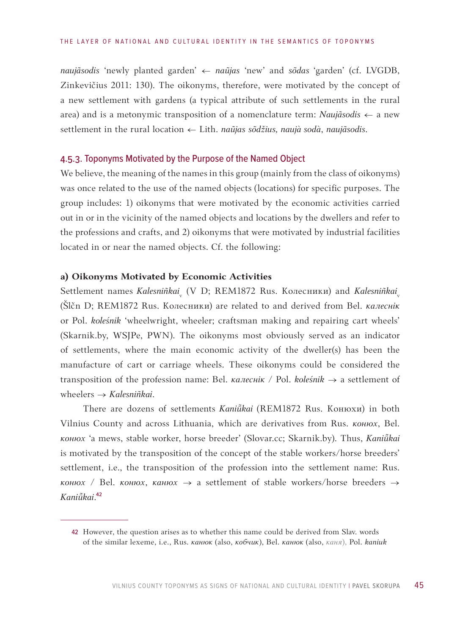*naujãsodis* 'newly planted garden' ← *naũjas* 'new' and *sõdas* 'garden' (cf. LVGDB, Zinkevičius 2011: 130). The oikonyms, therefore, were motivated by the concept of a new settlement with gardens (a typical attribute of such settlements in the rural area) and is a metonymic transposition of a nomenclature term: *Naujãsodis* ← a new settlement in the rural location ← Lith. *naũjas sõdžius, naujà sodà*, *naujãsodis*.

### 4.5.3. Toponyms Motivated by the Purpose of the Named Object

We believe, the meaning of the names in this group (mainly from the class of oikonyms) was once related to the use of the named objects (locations) for specific purposes. The group includes: 1) oikonyms that were motivated by the economic activities carried out in or in the vicinity of the named objects and locations by the dwellers and refer to the professions and crafts, and 2) oikonyms that were motivated by industrial facilities located in or near the named objects. Cf. the following:

## **a) Oikonyms Motivated by Economic Activities**

Settlement names *Kalesniñkai<sub>v</sub>* (V D; REM1872 Rus. Колесники) and *Kalesniñkai<sub>v</sub>* (Šlčn D; REM1872 Rus. Колесники) are related to and derived from Bel. *калеснік* or Pol. *koleśnik* 'wheelwright, wheeler; craftsman making and repairing cart wheels' (Skarnik.by, WSJPe, PWN). The oikonyms most obviously served as an indicator of settlements, where the main economic activity of the dweller(s) has been the manufacture of cart or carriage wheels. These oikonyms could be considered the transposition of the profession name: Bel. *калеснік* / Pol. *koleśnik* → a settlement of wheelers → *Kalesniñkai*.

There are dozens of settlements *Kanikai* (REM1872 Rus. Конюхи) in both Vilnius County and across Lithuania, which are derivatives from Rus. *конюх*, Bel. *конюх* 'a mews, stable worker, horse breeder' (Slovar.cc; Skarnik.by). Thus, *Kanikai* is motivated by the transposition of the concept of the stable workers/horse breeders' settlement, i.e., the transposition of the profession into the settlement name: Rus. *конюх* / Bel. *конюх*, *канюх* → a settlement of stable workers/horse breeders → *Kanikai*.42

<sup>42</sup> However, the question arises as to whether this name could be derived from Slav. words of the similar lexeme, i.e., Rus. *канюк* (also, *кобчик*), Bel. *канюк* (also, *каня*), Pol. *kaniuk*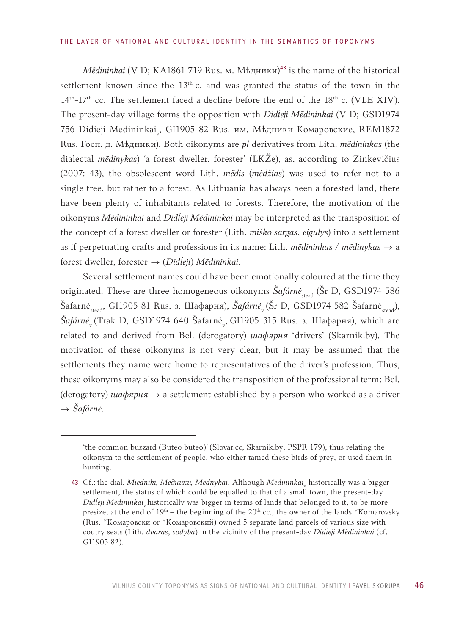### THE LAYER OF NATIONAL AND CULTURAL IDENTITY IN THE SEMANTICS OF TOPONYMS

*M*edininkai (V D; KA1861 719 Rus. м. Мѣдники)<sup>43</sup> is the name of the historical settlement known since the  $13<sup>th</sup>$  c. and was granted the status of the town in the  $14<sup>th</sup>$ -17<sup>th</sup> cc. The settlement faced a decline before the end of the  $18<sup>th</sup>$  c. (VLE XIV). The present-day village forms the opposition with *Dideji Mẽdininkai* (V D; GSD1974 756 Didieji Medininkai<sub>v</sub>, GI1905 82 Rus. им. Мѣдники Комаровские, REM1872 Rus. Госп. д. Мѣдники). Both oikonyms are *pl* derivatives from Lith. *mẽdininkas* (the dialectal *mẽdinykas*) 'a forest dweller, forester' (LKŽe), as, according to Zinkevičius (2007: 43), the obsolescent word Lith. *mẽdis* (*mẽdžias*) was used to refer not to a single tree, but rather to a forest. As Lithuania has always been a forested land, there have been plenty of inhabitants related to forests. Therefore, the motivation of the oikonyms *Mẽdininkai* and *Dideji Mẽdininkai* may be interpreted as the transposition of the concept of a forest dweller or forester (Lith. *miško sargas*, *eigulys*) into a settlement as if perpetuating crafts and professions in its name: Lith. *mẽdininkas / mẽdinykas* → a forest dweller, forester → (*Dideji*) *Mẽdininkai*.

Several settlement names could have been emotionally coloured at the time they originated. These are three homogeneous oikonyms Šafárnė<sub>stead</sub> (Šr D, GSD1974 586 Šafarnė<sub>stead</sub>, GI1905 81 Rus. з. Шафарня), *Šafárnė*<sub>v</sub> (Šr D, GSD1974 582 Šafarnė<sub>stead</sub>),  $\check{S}$ a*fárnė* (Trak D, GSD1974 640 Šafarnė "GI1905 315 Rus. з. Шафарня), which are related to and derived from Bel. (derogatory) *шафярня* 'drivers' (Skarnik.by). The motivation of these oikonyms is not very clear, but it may be assumed that the settlements they name were home to representatives of the driver's profession. Thus, these oikonyms may also be considered the transposition of the professional term: Bel. (derogatory) *шафярня* → a settlement established by a person who worked as a driver → *Šafárnė*.

<sup>&#</sup>x27;the common buzzard (Buteo buteo)' (Slovar.cc, Skarnik.by, PSPR 179), thus relating the oikonym to the settlement of people, who either tamed these birds of prey, or used them in hunting.

<sup>43</sup> Cf.: the dial. *Miedniki, Медники, Mẽdnykai*. Although *Mẽdininkai*<sub>v</sub> historically was a bigger settlement, the status of which could be equalled to that of a small town, the present-day *Didieji Mědininkai* historically was bigger in terms of lands that belonged to it, to be more presize, at the end of  $19<sup>th</sup>$  – the beginning of the  $20<sup>th</sup>$  cc., the owner of the lands \*Komarovsky (Rus. \*Комаровски or \*Комаровский) owned 5 separate land parcels of various size with coutry seats (Lith. *dvaras*, *sodyba*) in the vicinity of the present-day *Dideji Mẽdininkai* (cf. GI1905 82).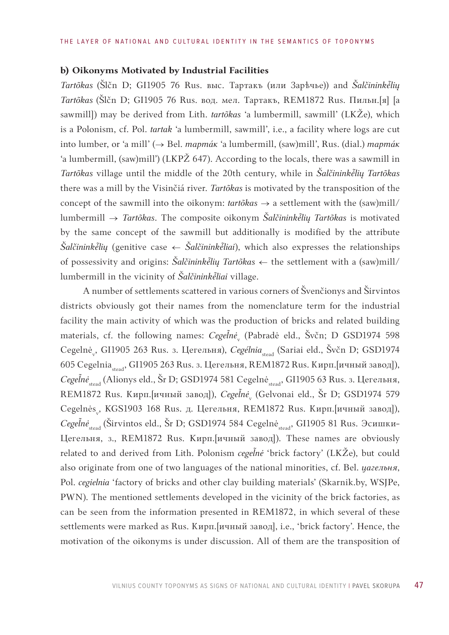## **b) Oikonyms Motivated by Industrial Facilities**

*Tartõkas* (Šlčn D; GI1905 76 Rus. выс. Тартакъ (или Зарѣчье)) and *Šalčininklių Tartõkas* (Šlčn D; GI1905 76 Rus. вод. мел. Тартакъ, REM1872 Rus. Пильн.[я] [a sawmill]) may be derived from Lith. *tartõkas* 'a lumbermill, sawmill' (LKŽe), which is a Polonism, cf. Pol. *tartak* 'a lumbermill, sawmill', i.e., a facility where logs are cut into lumber, or 'a mill' (→ Bel. *тартáк* 'a lumbermill, (saw)mill', Rus. (dial.) *тартáк* 'a lumbermill, (saw)mill') (LKPŽ 647). According to the locals, there was a sawmill in *Tartõkas* village until the middle of the 20th century, while in *Šalčininklių Tartõkas* there was a mill by the Visinčiá river. *Tartõkas* is motivated by the transposition of the concept of the sawmill into the oikonym: *tartõkas* → a settlement with the (saw)mill/ lumbermill → *Tartõkas*. The composite oikonym *Šalčininklių Tartõkas* is motivated by the same concept of the sawmill but additionally is modified by the attribute  $\delta$ alčininkė̃lių (genitive case ← Šalčininkė̃liai), which also expresses the relationships of possessivity and origins: Šalčininkė̃lių Tartõkas ← the settlement with a (saw)mill/ lumbermill in the vicinity of *Šalčininkė̃liai* village.

A number of settlements scattered in various corners of Švenčionys and Širvintos districts obviously got their names from the nomenclature term for the industrial facility the main activity of which was the production of bricks and related building materials, cf. the following names: *Cegel̃nė*<sub>v</sub> (Pabradė eld., Švčn; D GSD1974 598 Cegelnė<sub>v</sub>, GI1905 263 Rus. з. Цегельня), *Cegélnia<sub>stead</sub> (Sariai eld., Švčn D; GSD1974* 605 Cegelniastead, GI1905 263 Rus. з. Цегельня, REM1872 Rus. Кирп.[ичный завод]), *Cegel̃nė*<sub>stead</sub> (Alionys eld., Šr D; GSD1974 581 Cegelnė<sub>stead</sub>, GI1905 63 Rus. з. Цегельня, REM1872 Rus. Кирп.[ичный завод]), *Cegel̃nė<sub>v</sub> (*Gelvonai eld., Šr D; GSD1974 579 Cegelnės<sub>v</sub>, KGS1903 168 Rus. д. Цегельня, REM1872 Rus. Кирп.[ичный завод]), Cegelnė<sub>stead</sub> (Širvintos eld., Šr D; GSD1974 584 Cegelnė<sub>stead</sub>, GI1905 81 Rus. Эсишки-Цегельня, з., REM1872 Rus. Kирп.[ичный завод]). These names are obviously related to and derived from Lith. Polonism *cegel̃nė* 'brick factory' (LKŽe), but could also originate from one of two languages of the national minorities, cf. Bel. *цагельня*, Pol. *cegielnia* 'factory of bricks and other clay building materials' (Skarnik.by, WSJPe, PWN). The mentioned settlements developed in the vicinity of the brick factories, as can be seen from the information presented in REM1872, in which several of these settlements were marked as Rus. Кирп.[ичный завод], i.e., 'brick factory'. Hence, the motivation of the oikonyms is under discussion. All of them are the transposition of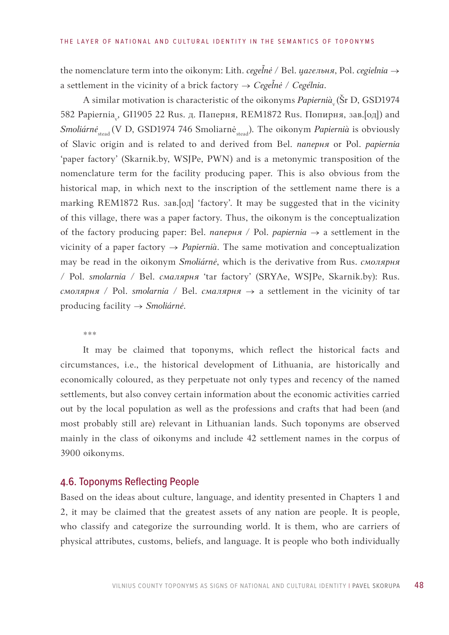the nomenclature term into the oikonym: Lith. *cegel̃nė* / Bel. *цагельня*, Pol. *cegielnia* → a settlement in the vicinity of a brick factory  $\rightarrow$   $C e g e \tilde{l} n \dot{e}$  /  $C e g \acute{e} l n i a.$ 

A similar motivation is characteristic of the oikonyms *Papiernià*<sub>v</sub> (Šr D, GSD1974 582 Papiernia<sub>v</sub>, GI1905 22 Rus. д. Паперня, REM1872 Rus. Попирня, зав.[од]) and *Smoliárnė*<sub>stead</sub> (V D, GSD1974 746 Smoliarnė<sub>stead</sub>). The oikonym *Papiernià* is obviously of Slavic origin and is related to and derived from Bel. *паперня* or Pol. *papiernia* 'paper factory' (Skarnik.by, WSJPe, PWN) and is a metonymic transposition of the nomenclature term for the facility producing paper. This is also obvious from the historical map, in which next to the inscription of the settlement name there is a marking REM1872 Rus. зав.[од] 'factory'. It may be suggested that in the vicinity of this village, there was a paper factory. Thus, the oikonym is the conceptualization of the factory producing paper: Bel. *паперня* / Pol. *papiernia* → a settlement in the vicinity of a paper factory → *Papiernià*. The same motivation and conceptualization may be read in the oikonym *Smoliárnė*, which is the derivative from Rus. *смолярня* / Pol. *smolarnia* / Bel. *смалярня* 'tar factory' (SRYAe, WSJPe, Skarnik.by): Rus. *смолярня* / Pol. *smolarnia* / Bel. *смалярня* → a settlement in the vicinity of tar producing facility → *Smoliárnė*.

\*\*\*

It may be claimed that toponyms, which reflect the historical facts and circumstances, i.e., the historical development of Lithuania, are historically and economically coloured, as they perpetuate not only types and recency of the named settlements, but also convey certain information about the economic activities carried out by the local population as well as the professions and crafts that had been (and most probably still are) relevant in Lithuanian lands. Such toponyms are observed mainly in the class of oikonyms and include 42 settlement names in the corpus of 3900 oikonyms.

# 4.6. Toponyms Reflecting People

Based on the ideas about culture, language, and identity presented in Chapters 1 and 2, it may be claimed that the greatest assets of any nation are people. It is people, who classify and categorize the surrounding world. It is them, who are carriers of physical attributes, customs, beliefs, and language. It is people who both individually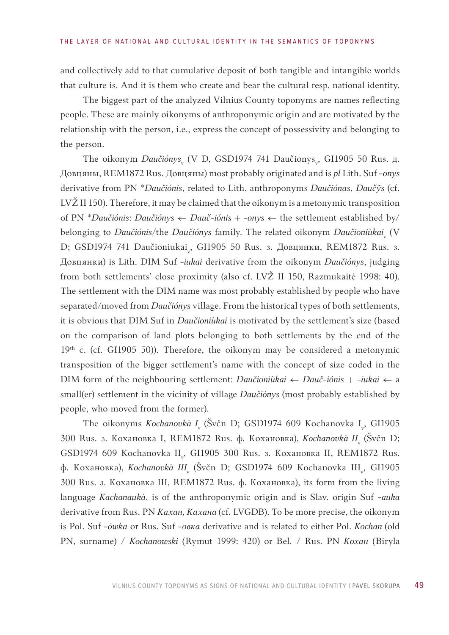and collectively add to that cumulative deposit of both tangible and intangible worlds that culture is. And it is them who create and bear the cultural resp. national identity.

The biggest part of the analyzed Vilnius County toponyms are names reflecting people. These are mainly oikonyms of anthroponymic origin and are motivated by the relationship with the person, i.e., express the concept of possessivity and belonging to the person.

The oikonym *Daučiónys* (V D, GSD1974 741 Daučionys<sub>v</sub>, GI1905 50 Rus. д. Довцяны, REM1872 Rus. Довцяны) most probably originated and is *pl* Lith. Suf -*onys* derivative from PN \**Daučiónis*, related to Lith. anthroponyms *Daučiónas*, *Daučỹs* (cf. LVŽ II 150). Therefore, it may be claimed that the oikonym is a metonymic transposition of PN \**Daučiónis*: *Daučiónys* ← *Dauč-iónis + -onys ←* the settlement established by/ belonging to *Daučiónis/*the *Daučiónys family. The related oikonym Daučioniùkai<sub>v</sub> (V* D; GSD1974 741 Daučioniukai<sub>v</sub>, GI1905 50 Rus. 3. Довцянки, REM1872 Rus. 3. Довцянки) is Lith. DIM Suf -*iukai* derivative from the oikonym *Daučiónys*, judging from both settlements' close proximity (also cf. LVŽ II 150, Razmukaitė 1998: 40). The settlement with the DIM name was most probably established by people who have separated/moved from *Daučiónys* village. From the historical types of both settlements, it is obvious that DIM Suf in *Daučioniùkai* is motivated by the settlement's size (based on the comparison of land plots belonging to both settlements by the end of the 19<sup>th</sup> c. (cf. GI1905 50)). Therefore, the oikonym may be considered a metonymic transposition of the bigger settlement's name with the concept of size coded in the DIM form of the neighbouring settlement: *Daučioniùkai* ← *Dauč-iónis* + -*iukai* ← a small(er) settlement in the vicinity of village *Daučiónys* (most probably established by people, who moved from the former).

The oikonyms *Kochanovkà I*<sub>v</sub> (Švčn D; GSD1974 609 Kochanovka I<sub>v</sub>, GI1905 300 Rus. з. Кохановка I, REM1872 Rus. ф. Кохановка), Kochanovkà II<sub>v</sub> (Švčn D; GSD1974 609 Kochanovka II<sub>v</sub>, GI1905 300 Rus. 3. Кохановка II, REM1872 Rus. ф. Кохановка), *Kochanovkà III*<sub>v</sub> (Švčn D; GSD1974 609 Kochanovka III<sub>v</sub>, GI1905 300 Rus. з. Кохановка III, REM1872 Rus. ф. Кохановка), its form from the living language *Kachanaukà*, is of the anthroponymic origin and is Slav. origin Suf -*auka* derivative from Rus. PN *Кахан, Кахана* (cf. LVGDB). To be more precise, the oikonym is Pol. Suf *-ówka* or Rus. Suf *-овка* derivative and is related to either Pol. *Kochan* (old PN, surname) / *Kochanowski* (Rymut 1999: 420) or Bel. / Rus. PN *Кохан* (Biryla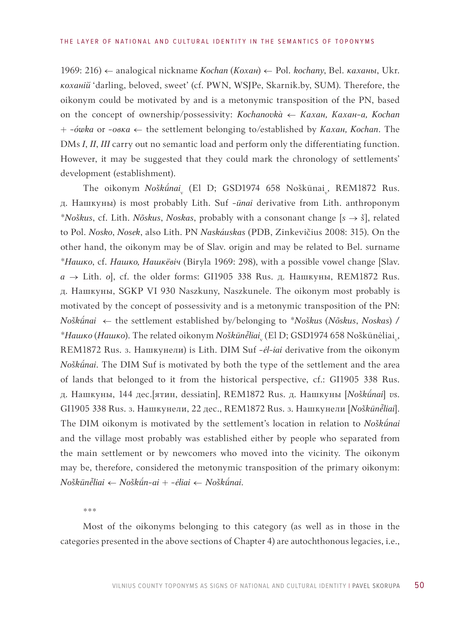1969: 216) *←* analogical nickname *Kochan* (*Кохан*) *←* Pol. *kochany*, Bel. *каханы*, Ukr. *коханiй* 'darling, beloved, sweet' (cf. PWN, WSJPe, Skarnik.by, SUM). Therefore, the oikonym could be motivated by and is a metonymic transposition of the PN, based on the concept of ownership/possessivity: *Kochanovkà ← Кахан, Кахан-а, Kochan* + *-ówka* or *-овка* ← the settlement belonging to/established by *Кахан, Kochan*. The DMs *I*, *II*, *III* carry out no semantic load and perform only the differentiating function. However, it may be suggested that they could mark the chronology of settlements' development (establishment).

The oikonym *Noškū́nai*<sub>v</sub> (El D; GSD1974 658 Noškūnai<sub>v</sub>, REM1872 Rus. д. Нашкуны) is most probably Lith. Suf -*ūnai* derivative from Lith. anthroponym \**Noškus*, cf. Lith. *Nõskus*, *Noskas*, probably with a consonant change [*s* → *š*], related to Pol. *Nosko*, *Nosek*, also Lith. PN *Naskáuskas* (PDB, Zinkevičius 2008: 315). On the other hand, the oikonym may be of Slav. origin and may be related to Bel. surname \**Нашко*, cf. *Нашко, Нашкёвіч* (Biryla 1969: 298), with a possible vowel change [Slav. *a* → Lith. *o*], cf. the older forms: GI1905 338 Rus. д. Нашкуны, REM1872 Rus. д. Нашкуны, SGKP VI 930 Naszkuny, Naszkunele. The oikonym most probably is motivated by the concept of possessivity and is a metonymic transposition of the PN: *Nošknai* ← the settlement established by/belonging to \**Noškus* (*Nõskus*, *Noskas*) **/**   $^*$ Нашко (Нашко). The related oikonym *Noškūnė̃liai*<sub>v</sub> (El D; GSD1974 658 Noškūnėliai<sub>v</sub>, REM1872 Rus. з. Нашкунели) is Lith. DIM Suf *-ėl-iai* derivative from the oikonym *Noškūnai*. The DIM Suf is motivated by both the type of the settlement and the area of lands that belonged to it from the historical perspective, cf.: GI1905 338 Rus. д. Нашкуны, 144 дес. [ятин, dessiatin], REM1872 Rus. д. Нашкуны [Noškūnai] vs. GI1905 338 Rus. з. Нашкунели, 22 дес., REM1872 Rus. з. Нашкунели [Noškūnẽliai]. The DIM oikonym is motivated by the settlement's location in relation to *Noškūnai* and the village most probably was established either by people who separated from the main settlement or by newcomers who moved into the vicinity. The oikonym may be, therefore, considered the metonymic transposition of the primary oikonym:  $N$ oškūnė̃liai ← *Noškū́n-ai* + -ėliai ← *Noškū́nai*.

\*\*\*

Most of the oikonyms belonging to this category (as well as in those in the categories presented in the above sections of Chapter 4) are autochthonous legacies, i.e.,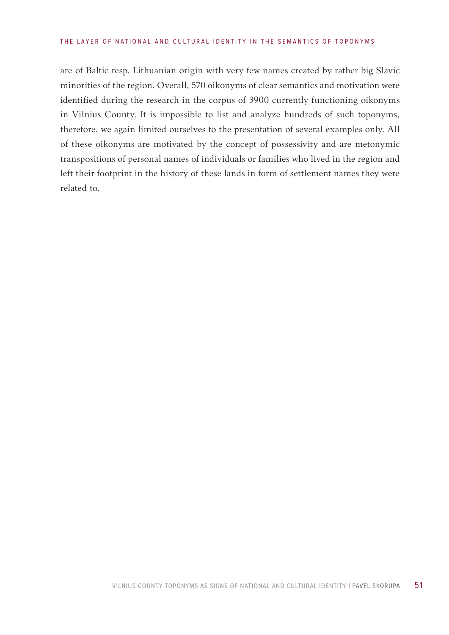### THE LAYER OF NATIONAL AND CULTURAL IDENTITY IN THE SEMANTICS OF TOPONYMS

are of Baltic resp. Lithuanian origin with very few names created by rather big Slavic minorities of the region. Overall, 570 oikonyms of clear semantics and motivation were identified during the research in the corpus of 3900 currently functioning oikonyms in Vilnius County. It is impossible to list and analyze hundreds of such toponyms, therefore, we again limited ourselves to the presentation of several examples only. All of these oikonyms are motivated by the concept of possessivity and are metonymic transpositions of personal names of individuals or families who lived in the region and left their footprint in the history of these lands in form of settlement names they were related to.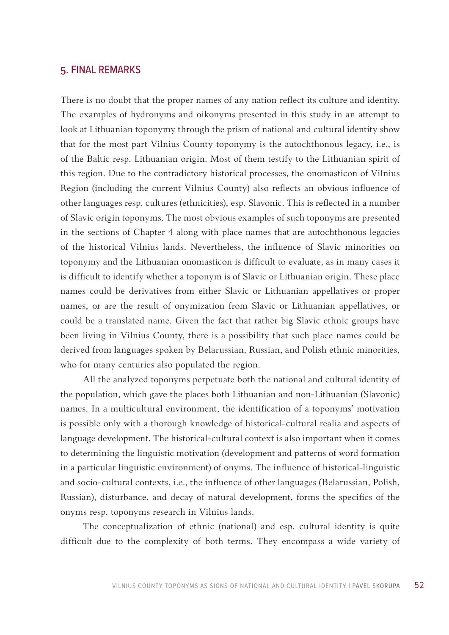# 5. FINAL REMARKS

There is no doubt that the proper names of any nation reflect its culture and identity. The examples of hydronyms and oikonyms presented in this study in an attempt to look at Lithuanian toponymy through the prism of national and cultural identity show that for the most part Vilnius County toponymy is the autochthonous legacy, i.e., is of the Baltic resp. Lithuanian origin. Most of them testify to the Lithuanian spirit of this region. Due to the contradictory historical processes, the onomasticon of Vilnius Region (including the current Vilnius County) also reflects an obvious influence of other languages resp. cultures (ethnicities), esp. Slavonic. This is reflected in a number of Slavic origin toponyms. The most obvious examples of such toponyms are presented in the sections of Chapter 4 along with place names that are autochthonous legacies of the historical Vilnius lands. Nevertheless, the influence of Slavic minorities on toponymy and the Lithuanian onomasticon is difficult to evaluate, as in many cases it is difficult to identify whether a toponym is of Slavic or Lithuanian origin. These place names could be derivatives from either Slavic or Lithuanian appellatives or proper names, or are the result of onymization from Slavic or Lithuanian appellatives, or could be a translated name. Given the fact that rather big Slavic ethnic groups have been living in Vilnius County, there is a possibility that such place names could be derived from languages spoken by Belarussian, Russian, and Polish ethnic minorities, who for many centuries also populated the region.

All the analyzed toponyms perpetuate both the national and cultural identity of the population, which gave the places both Lithuanian and non-Lithuanian (Slavonic) names. In a multicultural environment, the identification of a toponyms' motivation is possible only with a thorough knowledge of historical-cultural realia and aspects of language development. The historical-cultural context is also important when it comes to determining the linguistic motivation (development and patterns of word formation in a particular linguistic environment) of onyms. The influence of historical-linguistic and socio-cultural contexts, i.e., the influence of other languages (Belarussian, Polish, Russian), disturbance, and decay of natural development, forms the specifics of the onyms resp. toponyms research in Vilnius lands.

The conceptualization of ethnic (national) and esp. cultural identity is quite difficult due to the complexity of both terms. They encompass a wide variety of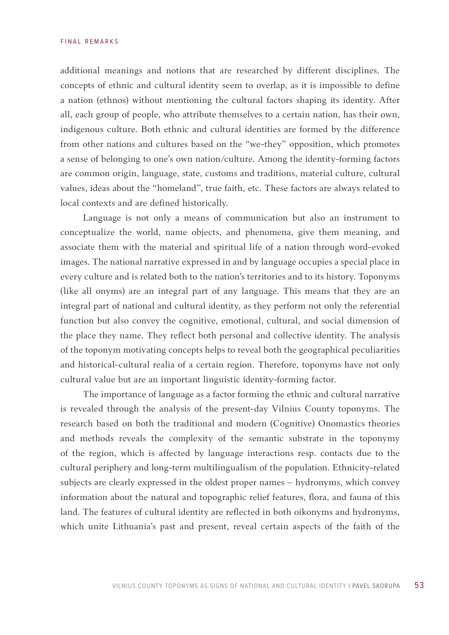### FINAL REMARKS

additional meanings and notions that are researched by different disciplines. The concepts of ethnic and cultural identity seem to overlap, as it is impossible to define a nation (ethnos) without mentioning the cultural factors shaping its identity. After all, each group of people, who attribute themselves to a certain nation, has their own, indigenous culture. Both ethnic and cultural identities are formed by the difference from other nations and cultures based on the "we-they" opposition, which promotes a sense of belonging to one's own nation/culture. Among the identity-forming factors are common origin, language, state, customs and traditions, material culture, cultural values, ideas about the "homeland", true faith, etc. These factors are always related to local contexts and are defined historically.

Language is not only a means of communication but also an instrument to conceptualize the world, name objects, and phenomena, give them meaning, and associate them with the material and spiritual life of a nation through word-evoked images. The national narrative expressed in and by language occupies a special place in every culture and is related both to the nation's territories and to its history. Toponyms (like all onyms) are an integral part of any language. This means that they are an integral part of national and cultural identity, as they perform not only the referential function but also convey the cognitive, emotional, cultural, and social dimension of the place they name. They reflect both personal and collective identity. The analysis of the toponym motivating concepts helps to reveal both the geographical peculiarities and historical-cultural realia of a certain region. Therefore, toponyms have not only cultural value but are an important linguistic identity-forming factor.

The importance of language as a factor forming the ethnic and cultural narrative is revealed through the analysis of the present-day Vilnius County toponyms. The research based on both the traditional and modern (Cognitive) Onomastics theories and methods reveals the complexity of the semantic substrate in the toponymy of the region, which is affected by language interactions resp. contacts due to the cultural periphery and long-term multilingualism of the population. Ethnicity-related subjects are clearly expressed in the oldest proper names – hydronyms, which convey information about the natural and topographic relief features, flora, and fauna of this land. The features of cultural identity are reflected in both oikonyms and hydronyms, which unite Lithuania's past and present, reveal certain aspects of the faith of the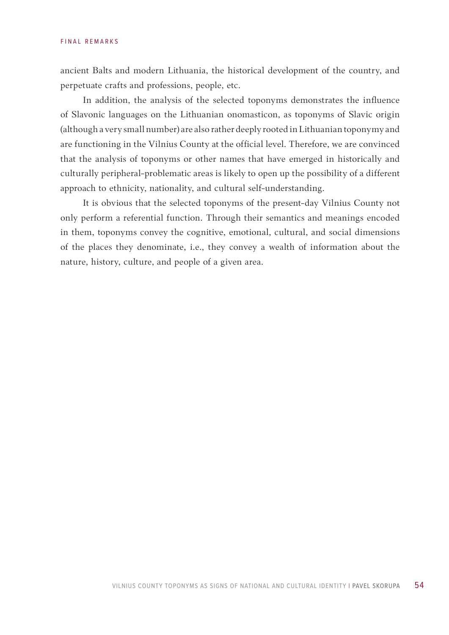ancient Balts and modern Lithuania, the historical development of the country, and perpetuate crafts and professions, people, etc.

In addition, the analysis of the selected toponyms demonstrates the influence of Slavonic languages on the Lithuanian onomasticon, as toponyms of Slavic origin (although a very small number) are also rather deeply rooted in Lithuanian toponymy and are functioning in the Vilnius County at the official level. Therefore, we are convinced that the analysis of toponyms or other names that have emerged in historically and culturally peripheral-problematic areas is likely to open up the possibility of a different approach to ethnicity, nationality, and cultural self-understanding.

It is obvious that the selected toponyms of the present-day Vilnius County not only perform a referential function. Through their semantics and meanings encoded in them, toponyms convey the cognitive, emotional, cultural, and social dimensions of the places they denominate, i.e., they convey a wealth of information about the nature, history, culture, and people of a given area.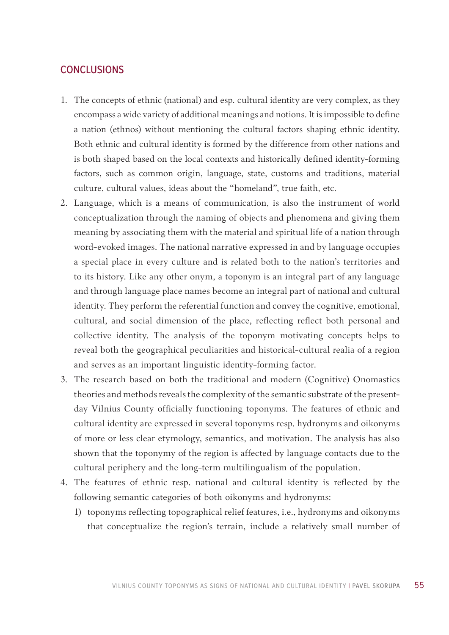# **CONCLUSIONS**

- 1. The concepts of ethnic (national) and esp. cultural identity are very complex, as they encompass a wide variety of additional meanings and notions. It is impossible to define a nation (ethnos) without mentioning the cultural factors shaping ethnic identity. Both ethnic and cultural identity is formed by the difference from other nations and is both shaped based on the local contexts and historically defined identity-forming factors, such as common origin, language, state, customs and traditions, material culture, cultural values, ideas about the "homeland", true faith, etc.
- 2. Language, which is a means of communication, is also the instrument of world conceptualization through the naming of objects and phenomena and giving them meaning by associating them with the material and spiritual life of a nation through word-evoked images. The national narrative expressed in and by language occupies a special place in every culture and is related both to the nation's territories and to its history. Like any other onym, a toponym is an integral part of any language and through language place names become an integral part of national and cultural identity. They perform the referential function and convey the cognitive, emotional, cultural, and social dimension of the place, reflecting reflect both personal and collective identity. The analysis of the toponym motivating concepts helps to reveal both the geographical peculiarities and historical-cultural realia of a region and serves as an important linguistic identity-forming factor.
- 3. The research based on both the traditional and modern (Cognitive) Onomastics theories and methods reveals the complexity of the semantic substrate of the presentday Vilnius County officially functioning toponyms. The features of ethnic and cultural identity are expressed in several toponyms resp. hydronyms and oikonyms of more or less clear etymology, semantics, and motivation. The analysis has also shown that the toponymy of the region is affected by language contacts due to the cultural periphery and the long-term multilingualism of the population.
- 4. The features of ethnic resp. national and cultural identity is reflected by the following semantic categories of both oikonyms and hydronyms:
	- 1) toponyms reflecting topographical relief features, i.e., hydronyms and oikonyms that conceptualize the region's terrain, include a relatively small number of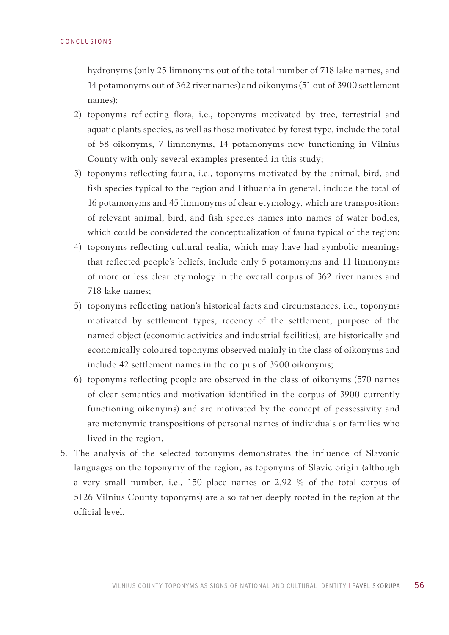hydronyms (only 25 limnonyms out of the total number of 718 lake names, and 14 potamonyms out of 362 river names) and oikonyms (51 out of 3900 settlement names);

- 2) toponyms reflecting flora, i.e., toponyms motivated by tree, terrestrial and aquatic plants species, as well as those motivated by forest type, include the total of 58 oikonyms, 7 limnonyms, 14 potamonyms now functioning in Vilnius County with only several examples presented in this study;
- 3) toponyms reflecting fauna, i.e., toponyms motivated by the animal, bird, and fish species typical to the region and Lithuania in general, include the total of 16 potamonyms and 45 limnonyms of clear etymology, which are transpositions of relevant animal, bird, and fish species names into names of water bodies, which could be considered the conceptualization of fauna typical of the region;
- 4) toponyms reflecting cultural realia, which may have had symbolic meanings that reflected people's beliefs, include only 5 potamonyms and 11 limnonyms of more or less clear etymology in the overall corpus of 362 river names and 718 lake names;
- 5) toponyms reflecting nation's historical facts and circumstances, i.e., toponyms motivated by settlement types, recency of the settlement, purpose of the named object (economic activities and industrial facilities), are historically and economically coloured toponyms observed mainly in the class of oikonyms and include 42 settlement names in the corpus of 3900 oikonyms;
- 6) toponyms reflecting people are observed in the class of oikonyms (570 names of clear semantics and motivation identified in the corpus of 3900 currently functioning oikonyms) and are motivated by the concept of possessivity and are metonymic transpositions of personal names of individuals or families who lived in the region.
- 5. The analysis of the selected toponyms demonstrates the influence of Slavonic languages on the toponymy of the region, as toponyms of Slavic origin (although a very small number, i.e., 150 place names or 2,92 % of the total corpus of 5126 Vilnius County toponyms) are also rather deeply rooted in the region at the official level.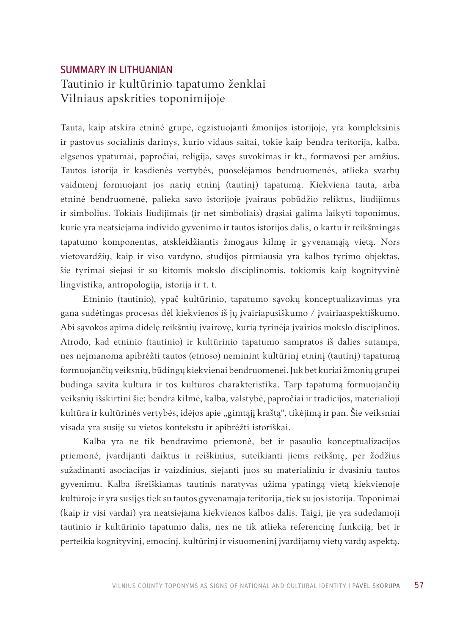# SUMMARY IN LITHUANIAN Tautinio ir kultūrinio tapatumo ženklai Vilniaus apskrities toponimijoje

Tauta, kaip atskira etninė grupė, egzistuojanti žmonijos istorijoje, yra kompleksinis ir pastovus socialinis darinys, kurio vidaus saitai, tokie kaip bendra teritorija, kalba, elgsenos ypatumai, papročiai, religija, savęs suvokimas ir kt., formavosi per amžius. Tautos istorija ir kasdienės vertybės, puoselėjamos bendruomenės, atlieka svarbų vaidmenį formuojant jos narių etninį (tautinį) tapatumą. Kiekviena tauta, arba etninė bendruomenė, palieka savo istorijoje įvairaus pobūdžio reliktus, liudijimus ir simbolius. Tokiais liudijimais (ir net simboliais) drąsiai galima laikyti toponimus, kurie yra neatsiejama individo gyvenimo ir tautos istorijos dalis, o kartu ir reikšmingas tapatumo komponentas, atskleidžiantis žmogaus kilmę ir gyvenamąją vietą. Nors vietovardžių, kaip ir viso vardyno, studijos pirmiausia yra kalbos tyrimo objektas, šie tyrimai siejasi ir su kitomis mokslo disciplinomis, tokiomis kaip kognityvinė lingvistika, antropologija, istorija ir t. t.

Etninio (tautinio), ypač kultūrinio, tapatumo sąvokų konceptualizavimas yra gana sudėtingas procesas dėl kiekvienos iš jų įvairiapusiškumo / įvairiaaspektiškumo. Abi sąvokos apima didelę reikšmių įvairovę, kurią tyrinėja įvairios mokslo disciplinos. Atrodo, kad etninio (tautinio) ir kultūrinio tapatumo sampratos iš dalies sutampa, nes neįmanoma apibrėžti tautos (etnoso) neminint kultūrinį etninį (tautinį) tapatumą formuojančių veiksnių, būdingų kiekvienai bendruomenei. Juk bet kuriai žmonių grupei būdinga savita kultūra ir tos kultūros charakteristika. Tarp tapatumą formuojančių veiksnių išskirtini šie: bendra kilmė, kalba, valstybė, papročiai ir tradicijos, materialioji kultūra ir kultūrinės vertybės, idėjos apie "gimtąjį kraštą", tikėjimą ir pan. Šie veiksniai visada yra susiję su vietos kontekstu ir apibrėžti istoriškai.

Kalba yra ne tik bendravimo priemonė, bet ir pasaulio konceptualizacijos priemonė, įvardijanti daiktus ir reiškinius, suteikianti jiems reikšmę, per žodžius sužadinanti asociacijas ir vaizdinius, siejanti juos su materialiniu ir dvasiniu tautos gyvenimu. Kalba išreiškiamas tautinis naratyvas užima ypatingą vietą kiekvienoje kultūroje ir yra susijęs tiek su tautos gyvenamąja teritorija, tiek su jos istorija. Toponimai (kaip ir visi vardai) yra neatsiejama kiekvienos kalbos dalis. Taigi, jie yra sudedamoji tautinio ir kultūrinio tapatumo dalis, nes ne tik atlieka referencinę funkciją, bet ir perteikia kognityvinį, emocinį, kultūrinį ir visuomeninį įvardijamų vietų vardų aspektą.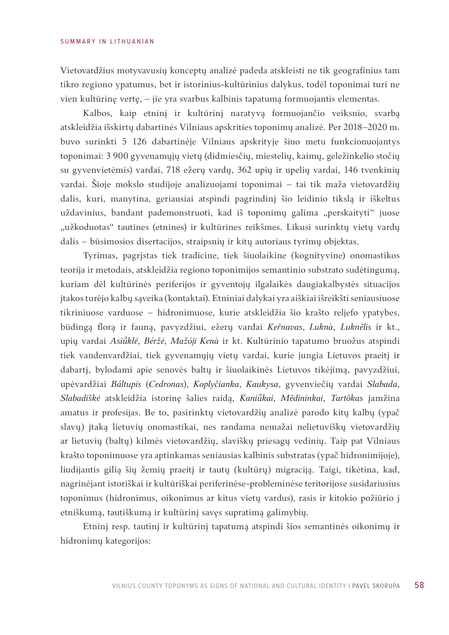Vietovardžius motyvavusių konceptų analizė padeda atskleisti ne tik geografinius tam tikro regiono ypatumus, bet ir istorinius-kultūrinius dalykus, todėl toponimai turi ne vien kultūrinę vertę, – jie yra svarbus kalbinis tapatumą formuojantis elementas.

Kalbos, kaip etninį ir kultūrinį naratyvą formuojančio veiksnio, svarbą atskleidžia išskirtų dabartinės Vilniaus apskrities toponimų analizė. Per 2018−2020 m. buvo surinkti 5 126 dabartinėje Vilniaus apskrityje šiuo metu funkcionuojantys toponimai: 3 900 gyvenamųjų vietų (didmiesčių, miestelių, kaimų, geležinkelio stočių su gyvenvietėmis) vardai, 718 ežerų vardų, 362 upių ir upelių vardai, 146 tvenkinių vardai. Šioje mokslo studijoje analizuojami toponimai – tai tik maža vietovardžių dalis, kuri, manytina, geriausiai atspindi pagrindinį šio leidinio tikslą ir iškeltus uždavinius, bandant pademonstruoti, kad iš toponimų galima "perskaityti" juose "užkoduotas" tautines (etnines) ir kultūrines reikšmes. Likusi surinktų vietų vardų dalis – būsimosios disertacijos, straipsnių ir kitų autoriaus tyrimų objektas.

Tyrimas, pagrįstas tiek tradicine, tiek šiuolaikine (kognityvine) onomastikos teorija ir metodais, atskleidžia regiono toponimijos semantinio substrato sudėtingumą, kuriam dėl kultūrinės periferijos ir gyventojų ilgalaikės daugiakalbystės situacijos įtakos turėjo kalbų sąveika (kontaktai). Etniniai dalykai yra aiškiai išreikšti seniausiuose tikriniuose varduose – hidronimuose, kurie atskleidžia šio krašto reljefo ypatybes, būdingą florą ir fauną, pavyzdžiui, ežerų vardai *Kenavas*, *Luknà*, *Luknẽlis* ir kt., upių vardai *Asiklė*, *Béržė*, *Mažóji Kenà* ir kt. Kultūrinio tapatumo bruožus atspindi tiek vandenvardžiai, tiek gyvenamųjų vietų vardai, kurie jungia Lietuvos praeitį ir dabartį, bylodami apie senovės baltų ir šiuolaikinės Lietuvos tikėjimą, pavyzdžiui, upėvardžiai *Báltupis* (*Cedronas*), *Koplyčianka*, *Kaukysa*, gyvenviečių vardai *Slabada*, *Slabadiškė* atskleidžia istorinę šalies raidą, *Kanikai*, *Mẽdininkai*, *Tartõkas* įamžina amatus ir profesijas. Be to, pasirinktų vietovardžių analizė parodo kitų kalbų (ypač slavų) įtaką lietuvių onomastikai, nes randama nemažai nelietuviškų vietovardžių ar lietuvių (baltų) kilmės vietovardžių, slaviškų priesagų vedinių. Taip pat Vilniaus krašto toponimuose yra aptinkamas seniausias kalbinis substratas (ypač hidronimijoje), liudijantis gilią šių žemių praeitį ir tautų (kultūrų) migraciją. Taigi, tikėtina, kad, nagrinėjant istoriškai ir kultūriškai periferinėse-probleminėse teritorijose susidariusius toponimus (hidronimus, oikonimus ar kitus vietų vardus), rasis ir kitokio požiūrio į etniškumą, tautiškumą ir kultūrinį savęs supratimą galimybių.

Etninį resp. tautinį ir kultūrinį tapatumą atspindi šios semantinės oikonimų ir hidronimų kategorijos: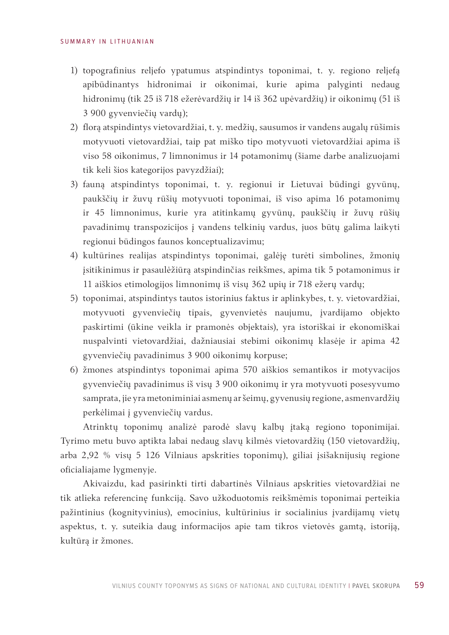- 1) topografinius reljefo ypatumus atspindintys toponimai, t. y. regiono reljefą apibūdinantys hidronimai ir oikonimai, kurie apima palyginti nedaug hidronimų (tik 25 iš 718 ežerėvardžių ir 14 iš 362 upėvardžių) ir oikonimų (51 iš 3 900 gyvenviečių vardų);
- 2) florą atspindintys vietovardžiai, t. y. medžių, sausumos ir vandens augalų rūšimis motyvuoti vietovardžiai, taip pat miško tipo motyvuoti vietovardžiai apima iš viso 58 oikonimus, 7 limnonimus ir 14 potamonimų (šiame darbe analizuojami tik keli šios kategorijos pavyzdžiai);
- 3) fauną atspindintys toponimai, t. y. regionui ir Lietuvai būdingi gyvūnų, paukščių ir žuvų rūšių motyvuoti toponimai, iš viso apima 16 potamonimų ir 45 limnonimus, kurie yra atitinkamų gyvūnų, paukščių ir žuvų rūšių pavadinimų transpozicijos į vandens telkinių vardus, juos būtų galima laikyti regionui būdingos faunos konceptualizavimu;
- 4) kultūrines realijas atspindintys toponimai, galėję turėti simbolines, žmonių įsitikinimus ir pasaulėžiūrą atspindinčias reikšmes, apima tik 5 potamonimus ir 11 aiškios etimologijos limnonimų iš visų 362 upių ir 718 ežerų vardų;
- 5) toponimai, atspindintys tautos istorinius faktus ir aplinkybes, t. y. vietovardžiai, motyvuoti gyvenviečių tipais, gyvenvietės naujumu, įvardijamo objekto paskirtimi (ūkine veikla ir pramonės objektais), yra istoriškai ir ekonomiškai nuspalvinti vietovardžiai, dažniausiai stebimi oikonimų klasėje ir apima 42 gyvenviečių pavadinimus 3 900 oikonimų korpuse;
- 6) žmones atspindintys toponimai apima 570 aiškios semantikos ir motyvacijos gyvenviečių pavadinimus iš visų 3 900 oikonimų ir yra motyvuoti posesyvumo samprata, jie yra metoniminiai asmenų ar šeimų, gyvenusių regione, asmenvardžių perkėlimai į gyvenviečių vardus.

Atrinktų toponimų analizė parodė slavų kalbų įtaką regiono toponimijai. Tyrimo metu buvo aptikta labai nedaug slavų kilmės vietovardžių (150 vietovardžių, arba 2,92 % visų 5 126 Vilniaus apskrities toponimų), giliai įsišaknijusių regione oficialiajame lygmenyje.

Akivaizdu, kad pasirinkti tirti dabartinės Vilniaus apskrities vietovardžiai ne tik atlieka referencinę funkciją. Savo užkoduotomis reikšmėmis toponimai perteikia pažintinius (kognityvinius), emocinius, kultūrinius ir socialinius įvardijamų vietų aspektus, t. y. suteikia daug informacijos apie tam tikros vietovės gamtą, istoriją, kultūrą ir žmones.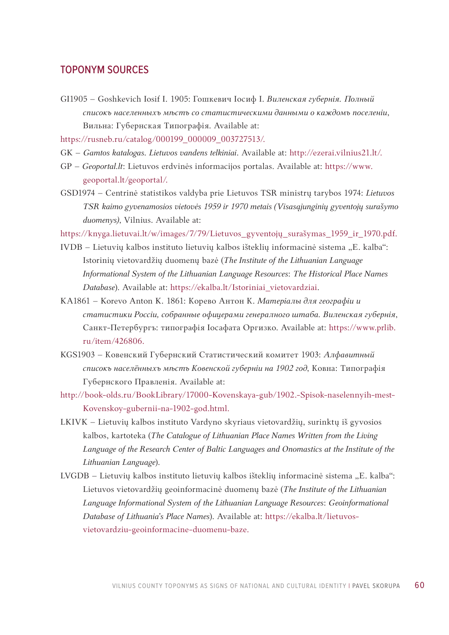## TOPONYM SOURCES

- GI1905 Goshkevic[h Iosif I. 1905: Гошкевич Iосиф I.](https://rusneb.ru/catalog/000199_000009_003727513/) *Виленская губернiя. Полный списокъ населенныхъ мѣстъ со статистическими данными о [каждомъ поселенiи](http://ezerai.vilnius21.lt/)*, [Вильна: Г](http://ezerai.vilnius21.lt/)убернская Типографiя. Available at:
- https://rusneb.ru/catalog/000199\_00000[9\\_003727513/.](https://www.geoportal.lt/geoportal/)
- GK *[Gamtos katalogas](https://www.geoportal.lt/geoportal/). Lietuvos vandens telkiniai*. Available at: http://ezerai.vilnius21.lt/.
- GP *Geoportal.lt*: Lietuvos erdvinės informacijos portalas. Available at: https://www. geoportal.lt/geoportal/.
- GSD1974 Centrinė statistiko[s valdyba prie Lietuvos TSR ministrų tarybos 1974:](https://knyga.lietuvai.lt/w/images/7/79/Lietuvos_gyventojų_surašymas_1959_ir_1970.pdf) *Lietuvos [TSR kaimo gyvenamosios vie](https://knyga.lietuvai.lt/w/images/7/79/Lietuvos_gyventojų_surašymas_1959_ir_1970.pdf)tovės 1959 ir 1970 metais (Visasąjunginių gyventojų surašymo duomenys)*, Vilnius. Available at:

https://knyga.lietuvai.lt/w/images/7/79/Lietuvos\_gyventojų\_surašymas\_1959\_ir\_1970.pdf.

- IVDB Lietuvių kalbos instituto lietuvių kalbos išteklių informacinė sistema "E. kalba": Istorin[ių vietovardžių duomenų bazė \(](https://ekalba.lt/Istoriniai_vietovardziai)*The Institute of the Lithuanian Language Informational System of the Lithuanian Language Resources*: *The Historical Place Names Database*). Available at: https://ekalba.lt/Istoriniai\_vietovardziai.
- KA1861 Korevo Anton K. 1861: [Корево Антон К.](https://www.prlib.ru/item/426806) *Матерiалы для географiи и статистики Россiи, собранные офицерами генералного штаба. Виленская губернiя*, Санкт-Петербургъ: типографiя Iосафата Оргизко. Available at: https://www.prlib. ru/item/426806.
- KG[S1903 Ковенский Губернский Статистический комитет 1903:](http://book-olds.ru/BookLibrary/17000-Kovenskaya-gub/1902.-Spisok-naselennyih-mest-Kovenskoy-gubernii-na-1902-god.html) *Алфавитный [списокъ населённыхъ мѣстъ Ковенской губернiи на 1](http://book-olds.ru/BookLibrary/17000-Kovenskaya-gub/1902.-Spisok-naselennyih-mest-Kovenskoy-gubernii-na-1902-god.html)902 год*, Ковна: Типографiя Губернского Правленiя. Available at:
- http://book-olds.ru/BookLibrary/17000-Kovenskaya-gub/1902.-Spisok-naselennyih-mest-Kovenskoy-gubernii-na-1902-god.html.
- LKIVK Lietuvių kalbos instituto Vardyno skyriaus vietovardžių, surinktų iš gyvosios kalbos, kartoteka (*The Catalogue of Lithuanian Place Names Written from the Living Language of the Research Center of Baltic Languages and Onomastics at the Institute of the Lithuanian Language*).
- LVGDB Lietuvių kalbos instituto lietuvių kalbos išteklių informacinė sistema "E. kalba": Lietuvos vietovardžių geoinformacinė duomenų bazė (*[The Institute of the Lithuanian](https://ekalba.lt/lietuvos-vietovardziu-geoinformacine-duomenu-baze)  [Language Informational](https://ekalba.lt/lietuvos-vietovardziu-geoinformacine-duomenu-baze) System of the Lithuanian Language Resources*: *Geoinformational Database of Lithuania's Place Names*[\). Available at: https:/](https://mapire.eu/en/map/russia-1872/)/ekalba.lt/lietuvosvietovardziu-geoinformacine-duomenu-baze.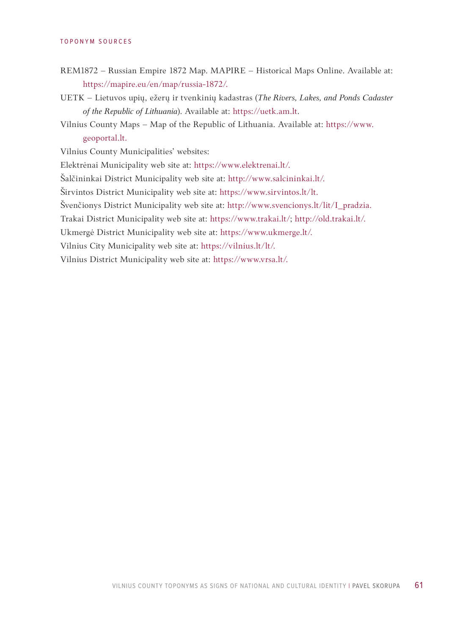### TOPONYM SOURCES

- REM1872 Russian Empire 1872 Map. MAPIRE Historical Maps Online. Availa[ble at:](https://uetk.am.lt)  [https://map](https://uetk.am.lt)ire.eu/en/map/russia-1872/.
- UETK Lietuvos upių, ežerų ir tvenkinių kadastras (*[The Rivers, Lake](https://www.geoportal.lt)s, and Ponds Cadaster of the Republic of Lithuania*). Available at: https://uet[k.am.lt.](https://www.elektrenai.lt/)
- [Vilnius County Map](https://www.elektrenai.lt/)s Map of the Republic of Lithuania. Available [at: https://www.](http://www.salcininkai.lt/) [geoportal.lt](http://www.salcininkai.lt/).

Vilnius County Municipalities' websites:

Ele[ktrėnai Municipality web sit](https://www.sirvintos.lt/lt)e at: https://www.elektrenai.lt/.

Šalčininkai D[istrict Municipality web site at: http](http://www.svencionys.lt/lit/I_pradzia)://www.salcininkai.lt/.

Širvintos District [Municipality web site a](https://www.trakai.lt/)t: [https://www.sirvintos](http://old.trakai.lt/).lt/lt.

Švenčionys District Municipality we[b site at: http://www.sve](https://www.ukmerge.lt/)ncionys.lt/lit/I\_pradzia.

Trakai Distric[t Municipality web site](https://vilnius.lt/lt/) at: https://www.trakai.lt/; http://old.trak[ai.lt/.](https://www.vrsa.lt/)

[Ukmergė Distr](https://www.vrsa.lt/)ict Municipality web site at: https://www.ukmerge.lt/.

Vilnius City Municipality web site at: https://vilnius.lt/lt/.

Vilnius District Municipality web site at: https://www.vrsa.lt/.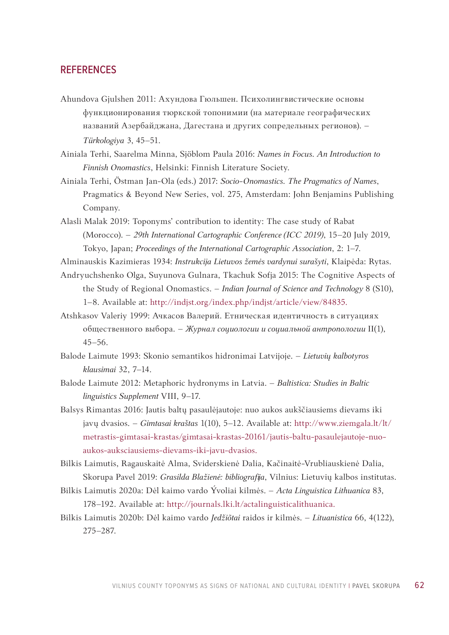Ahundova Gjulshen 2011: Ахундова Гюльшен. Психолингвистические основы функционирования тюркской топонимии (на материале географических названий Азербайджана, Дагестана и других cопредельных регионов). – *Türkologiya* 3, 45–51.

Ainiala Terhi, Saarelma Minna, Sjöblom Paula 2016: *Names in Focus. An Introduction to Finnish Onomastics*, Helsinki: Finnish Literature Society.

- Ainiala Terhi, Östman Jan-Ola (eds.) 2017: *Socio-Onomastics. The Pragmatics of Names*, Pragmatics & Beyond New Series, vol. 275, Amsterdam: John Benjamins Publishing Company.
- Alasli Malak 2019: Toponyms' contribution to identity: The case study of Rabat (Morocco). – *29th International Cartographic Conference (ICC 2019)*, 15–20 July 2019, Tokyo, Japan; *Proceedings of the International Cartographic Association*, 2: 1–7.
- Alminauskis Kazimieras 1934: *Instrukcija Lietuvos žemės vardynui surašyti*, Klaipėda: Rytas.
- Andryuc[hshenko Olga, Suyunova Gulnara, Tkachuk Sofja 2015: Th](http://indjst.org/index.php/indjst/article/view/84835)e Cognitive Aspects of the Study of Regional Onomastics. – *Indian Journal of Science and Technology* 8 (S10), 1*–*8. Available at: http://indjst.org/index.php/indjst/article/view/84835.
- Atshkasov Valeriy 1999: Ачкасов Валерий. Етническая идентичность в ситуациях общественного выбора. – *Жyрнал социологии и социальной антропологии* II(1), 45–56.
- Balode Laimute 1993: Skonio semantikos hidronimai Latvijoje. *Lietuvių kalbotyros klausimai* 32, 7–14.
- Balode Laimute 2012: Metaphoric hydronyms in Latvia. *Baltistica: Studies in Baltic [linguistics Supplement](http://www.ziemgala.lt/lt/metrastis-gimtasai-krastas/gimtasai-krastas-20161/jautis-baltu-pasaulejautoje-nuo-aukos-auksciausiems-dievams-iki-javu-dvasios)* VIII, 9–17.
- [Balsys Rimantas 2016: Jautis baltų pasaulėjautoje: nuo aukos aukščiausiems dievams iki](http://www.ziemgala.lt/lt/metrastis-gimtasai-krastas/gimtasai-krastas-20161/jautis-baltu-pasaulejautoje-nuo-aukos-auksciausiems-dievams-iki-javu-dvasios)  [javų dvasios. –](http://www.ziemgala.lt/lt/metrastis-gimtasai-krastas/gimtasai-krastas-20161/jautis-baltu-pasaulejautoje-nuo-aukos-auksciausiems-dievams-iki-javu-dvasios) *Gimtasai kraštas* 1(10), 5–12. Available at: http://www.ziemgala.lt/lt/ metrastis-gimtasai-krastas/gimtasai-krastas-20161/jautis-baltu-pasaulejautoje-nuoaukos-auksciausiems-dievams-iki-javu-dvasios.
- Bilkis Laimutis, Ragauskaitė Alma, Sviderskienė Dalia, Kačinaitė-Vrubliauskienė Dalia, Skorupa Pavel 2019: *G[rasilda Blažienė: bibliografija](http://journals.lki.lt/actalinguisticalithuanica)*, Vilnius: Lietuvių kalbos institutas.
- Bilkis Laimutis 2020a: Dėl kaimo vardo Ývoliai kilmės. *Acta Linguistica Lithuanica* 83, 178–192. Available at: http://journals.lki.lt/actalinguisticalithuanica.
- Bilkis Laimutis 2020b: Dėl kaimo vardo *Jedžiõtai* raidos ir kilmės. *Lituanistica* 66, 4(122), 275–287.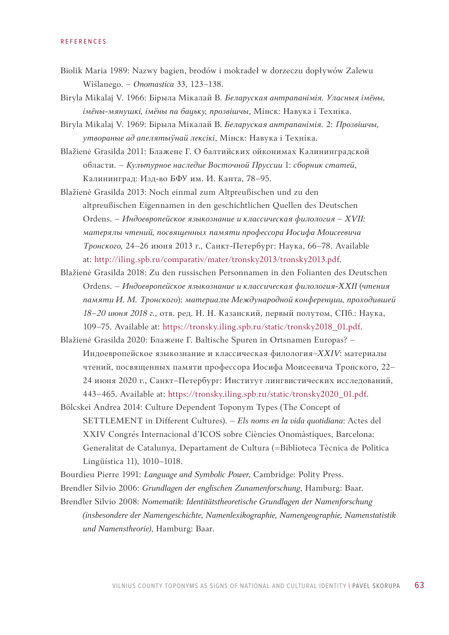### **DEFEDENCES**

- Biolik Maria 1989: Nazwy bagien, brodów i mokradeł w dorzeczu dopływów Zalewu Wiślanego. – *Onomastica* 33, 123–138.
- Biryla Mikalaj V. 1966: Бірыла Мікалай В. *Беларуская антрапанiмiя. Уласныя імёны, імёны-мянушкі, імёны па бацьку, прозвішчы*, Мінск: Навука i Технiка.
- Biryla Mikalaj V. 1969: Бірыла Мікалай В. *Беларуская антрапанiмiя.* 2: *Прозвішчы, утвораные ад апелятыўнай лексікі*, Мінск: Навука i Технiка.
- Blažienė Grasilda 2011: Блажене Г. О балтийских ойконимах Калининградской области. – *Культурное наследие Восточной Пруссии* 1: *сборник статей*, Калининград: Изд-во БФУ им. И. Канта, 78–95.
- Blažienė Grasilda 2013: Noch einmal zum Altpreußischen und zu den altpreußischen Eigennamen in den geschichtlichen Quellen des Deutschen Ordens. – *Индоевропейское язык[ознание и классическая филология](http://iling.spb.ru/comparativ/mater/tronsky2013/tronsky2013.pdf)* – *XVII: [матерялы чтений,](http://iling.spb.ru/comparativ/mater/tronsky2013/tronsky2013.pdf) посвященных памяти профессора Иосифа Моисеевича Тронского,* 24–26 июня 2013 г., Санкт-Петербург: Наука, 66–78. Available at: http://iling.spb.ru/comparativ/mater/tronsky2013/tronsky2013.pdf.
- Blažienė Grasilda 2018: Zu den russischen Personnamen in den Folianten des Deutschen Ordens. – *Индоевропейское языкознание и классическая филология-ХХII* (*[чтения](https://tronsky.iling.spb.ru/static/tronsky2018_01.pdf)  [памяти И. М. Тронского](https://tronsky.iling.spb.ru/static/tronsky2018_01.pdf)*): *материалы Международной конференции, проходившей 18–20 июня 2018 г.*, oтв. pед. Н. Н. Казанский, первый полутом, СПб.: Наука, 109–75. Available at: https://tronsky.iling.spb.ru/static/tronsky2018\_01.pdf.
- Blažienė Grasilda 2020: Блажене Г. Baltische Spuren in Ortsnamen Europas? Индоевропейское языкознание и классическая филология–*XXIV*: [материалы](https://tronsky.iling.spb.ru/static/tronsky2020_01.pdf)  [чтений, посвященных памяти профессора](https://tronsky.iling.spb.ru/static/tronsky2020_01.pdf) Иосифа Моисеевича Тронского, 22– 24 июня 2020 г., Санкт–Петербург: Институт лингвистических исследований, 443–465. Available at: https://tronsky.iling.spb.ru/static/tronsky2020\_01.pdf.
- Bölcskei Andrea 2014: Culture Dependent Toponym Types (The Concept of SETTLEMENT in Different Cultures). – *Els noms en la vida quotidiana*: Actes del XXIV Congrés Internacional d'ICOS sobre Ciѐncies Onomàstiques, Barcelona: Generalitat de Catalunya, Departament de Cultura (=Biblioteca Tѐcnica de Politica Lingüística 11), 1010–1018.
- Bourdieu Pierre 1991: *Language and Symbolic Power*, Cambridge: Polity Press.
- Brendler Silvio 2006: *Grundlagen der englischen Zunamenforschung*, Hamburg: Baar.
- Brendler Silvio 2008: *Nomematik: Identitätstheoretische Grundlagen der Namenforschung (insbesondere der Namengeschichte, Namenlexikographie, Namengeographie, Namenstatistik und Namenstheorie)*, Hamburg: Baar.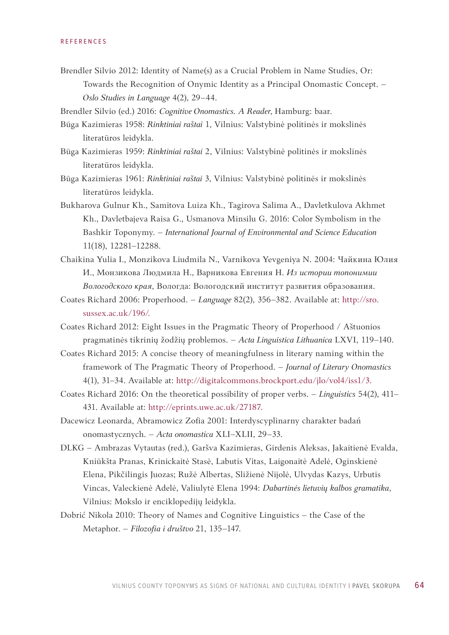Brendler Silvio 2012: Identity of Name(s) as a Crucial Problem in Name Studies, Or: Towards the Recognition of Onymic Identity as a Principal Onomastic Concept. – *Oslo Studies in Language* 4(2), 29–44.

Brendler Silvio (ed.) 2016: *Cognitive Onomastics. A Reader*, Hamburg: baar.

- Būga Kazimieras 1958: *Rinktiniai raštai* 1, Vilnius: Valstybinė politinės ir mokslinės literatūros leidykla.
- Būga Kazimieras 1959: *Rinktiniai raštai* 2, Vilnius: Valstybinė politinės ir mokslinės literatūros leidykla.
- Būga Kazimieras 1961: *Rinktiniai raštai* 3, Vilnius: Valstybinė politinės ir mokslinės literatūros leidykla.
- Bukharova Gulnur Kh., Samitova Luiza Kh., Tagirova Salima A., Davletkulova Akhmet Kh., Davletbajeva Raisa G., Usmanova Minsilu G. 2016: Color Symbolism in the Bashkir Toponymy. – *International Journal of Environmental and Science Education* 11(18), 12281–12288.
- Chaikina Yulia I., Monzikova Liudmila N., Varnikova Yevgeniya N. 2004: Чайкина Юлия И., Монзикова Людмила Н., Варни[кова Евгения Н.](http://sro.sussex.ac.uk/196/) *Из истории топонимии Вологодского края*, Вологда: Вологодский институт развития образования.
- Coates Richard 2006: Properhood. *Language* 82(2), 356–382. Available at: http://sro. sussex.ac.uk/196/.
- Coates Richard 2012: Eight Issues in the Pragmatic Theory of Properhood / Aštuonios pragmatinės tikrinių žodžių problemos. – *Acta Linguistica Lithuanica* LXVI, 119–140.
- Coates Richa[rd 2015: A concise theory of meaningfulness in liter](http://digitalcommons.brockport.edu/jlo/vol4/iss1/3)ary naming within the framework of The Pragmatic Theory of Properhood. – *Journal of Literary Onomastics* 4(1), 31–34[. Available at: http://digitalc](http://eprints.uwe.ac.uk/27187)ommons.brockport.edu/jlo/vol4/iss1/3.
- Coates Richard 2016: On the theoretical possibility of proper verbs. *Linguistics* 54(2), 411– 431. Available at: http://eprints.uwe.ac.uk/27187.
- Dacewicz Leonarda, Abramowicz Zofia 2001: Interdyscyplinarny charakter badań onomastycznych. – *Acta onomastica* XLI*–*XLII, 29*–*33.
- DLKG Ambrazas Vytautas (red.), Garšva Kazimieras, Girdenis Aleksas, Jakaitienė Evalda, Kniūkšta Pranas, Krinickaitė Stasė, Labutis Vitas, Laigonaitė Adelė, Oginskienė Elena, Pikčilingis Juozas; Ružė Albertas, Sližienė Nijolė, Ulvydas Kazys, Urbutis Vincas, Valeckienė Adelė, Valiulytė Elena 1994: *Dabartinės lietuvių kalbos gramatika*, Vilnius: Mokslo ir enciklopedijų leidykla.
- Dobrić Nikola 2010: Theory of Names and Cognitive Linguistics the Case of the Metaphor. – *Filozofia i društvo* 21, 135–147.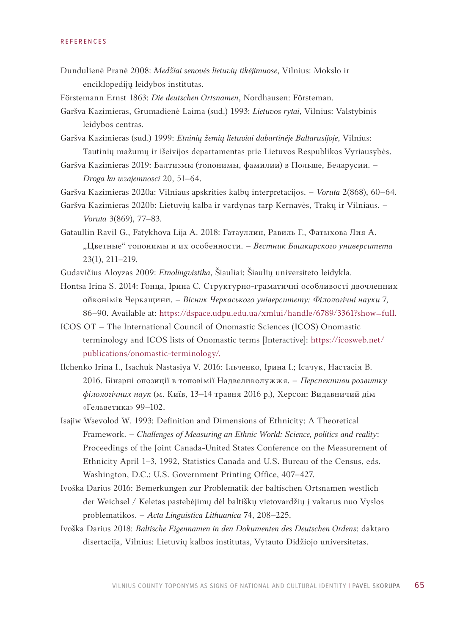- Dundulienė Pranė 2008: *Medžiai senovės lietuvių tikėjimuose*, Vilnius: Mokslo ir enciklopedijų leidybos institutas.
- Förstemann Ernst 1863: *Die deutschen Ortsnamen*, Nordhausen: Försteman.
- Garšva Kazimieras, Grumadienė Laima (sud.) 1993: *Lietuvos rytai*, Vilnius: Valstybinis leidybos centras.
- Garšva Kazimieras (sud.) 1999: *Etninių žemių lietuviai dabartinėje Baltarusijoje*, Vilnius: Tautinių mažumų ir išeivijos departamentas prie Lietuvos Respublikos Vyriausybės.
- Garšva Kazimieras 2019: Балтизмы (топонимы, фамилии) в Польше, Беларусии. *Droga ku wzajemnosci* 20, 51–64.
- Garšva Kazimieras 2020a: Vilniaus apskrities kalbų interpretacijos. *Voruta* 2(868), 60–64.
- Garšva Kazimieras 2020b: Lietuvių kalba ir vardynas tarp Kernavės, Trakų ir Vilniaus. *Voruta* 3(869), 77–83.
- Gataullin Ravil G., Fatykhova Lija A. 2018: Гатауллин, Равиль Г., Фатыхова Лия А. "Цветные" топонимы и их особенности. - Вестник Башкирского университета 23(1), 211–219.
- Gudavičius Aloyzas 2009: *Etnolingvistika*, Šiauliai: Šiaulių universiteto leidykla[.](https://dspace.udpu.edu.ua/xmlui/handle/6789/3361?show=full)
- [Hontsa Irina S. 2014: Гонца, Ірина С. Структурно-граматичні](https://dspace.udpu.edu.ua/xmlui/handle/6789/3361?show=full) особливості двочленних ойконімів Черкащини. – *Вісник Черкаського університету: Філологічні науки* 7, 86–90. Available at: https://dspace[.udpu.edu.ua/xmlui/handle/6789/3361?show=full.](https://icosweb.net/publications/onomastic-terminology/)
- [ICOS OT –](https://icosweb.net/publications/onomastic-terminology/) The International Council of Onomastic Sciences (ICOS) Onomastic terminology and ICOS lists of Onomastic terms [Interactive]: https://icosweb.net/ publications/onomastic-terminology/.
- Ilchenko Irina I., Isachuk Nastasiya V. 2016: Ільченко, Ірина І.; Ісачук, Настасія В. 2016. Бiнарнi опозицiï в топовiмiï Надвеликолужжя. – *Перспективи розвитку філологічних наук* (м. Київ, 13–14 травня 2016 р.), Херсон: Видавничий дім «Гельветика» 99–102.
- Isajiw Wsevolod W. 1993: Definition and Dimensions of Ethnicity: A Theoretical Framework. – *Challenges of Measuring an Ethnic World: Science, politics and reality*: Proceedings of the Joint Canada-United States Conference on the Measurement of Ethnicity April 1–3, 1992, Statistics Canada and U.S. Bureau of the Census, eds. Washington, D.C.: U.S. Government Printing Office, 407–427.
- Ivoška Darius 2016: Bemerkungen zur Problematik der baltischen Ortsnamen westlich der Weichsel / Keletas pastebėjimų dėl baltiškų vietovardžių į vakarus nuo Vyslos problematikos. – *Acta Linguistica Lithuanica* 74, 208–225.
- Ivoška Darius 2018: *Baltische Eigennamen in den Dokumenten des Deutschen Ordens*: daktaro disertacija, Vilnius: Lietuvių kalbos institutas, Vytauto Didžiojo universitetas.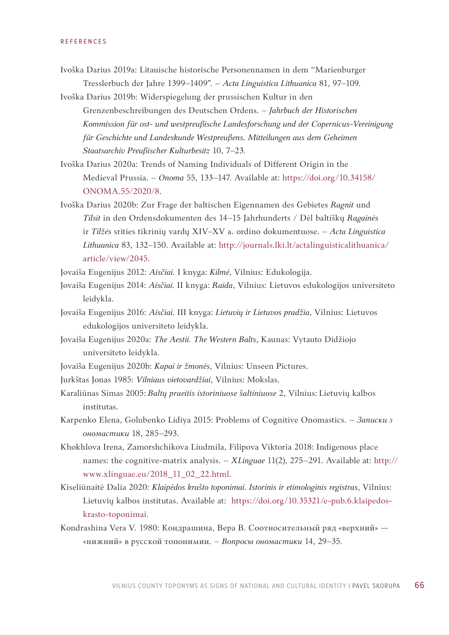- Ivoška Darius 2019a: Litauische historische Personennamen in dem "Marienburger Tresslerbuch der Jahre 1399–1409ˮ. – *Acta Linguistica Lithuanica* 81, 97–109.
- Ivoška Darius 2019b: Widerspiegelung der prussischen Kultur in den Grenzenbeschreibungen des Deutschen Ordens. – *Jahrbuch der Historischen Kommission für ost- und westpreußische Landesforschung und der Copernicus-Vereinigung für Geschichte und Landeskunde Westpreußens. Mitteilungen aus dem Gehei[men](https://onomajournal.org/wp-content/uploads/2021/08/Onoma-55-1.07-Ivoska-final-web-August.pdf)  [Staatsarchiv Preußischer Kulturbesit](https://onomajournal.org/wp-content/uploads/2021/08/Onoma-55-1.07-Ivoska-final-web-August.pdf)z* 10, 7–23*.*
- Ivoška Darius 2020a: Trends of Naming Individuals of Different Origin in the Medieval Prussia. – *Onoma* 55, 133–147. Available at: https://doi.org/10.34158/ ONOMA.55/2020/8.
- Ivoška Darius 2020b: Zur Frage der baltischen Eigennamen des Gebietes *Ragnit* und *Tilsit* in den Ord[ensdokumenten des 14–15 Jahrhunderts / Dėl baltiškų](http://journals.lki.lt/actalinguisticalithuanica/article/view/2045) *Ragainės* [ir](http://journals.lki.lt/actalinguisticalithuanica/article/view/2045) *Tilžės* srities tikrinių vardų XIV–XV a. ordino dokumentuose. – *Acta Linguistica Lithuanica* 83, 132–150. Available at: http://journals.lki.lt/actalinguisticalithuanica/ article/view/2045.
- Jovaiša Eugenijus 2012: *Aisčiai.* I knyga: *Kilmė*, Vilnius: Edukologija.
- Jovaiša Eugenijus 2014: *Aisčiai.* II knyga: *Raida*, Vilnius: Lietuvos edukologijos universiteto leidykla.
- Jovaiša Eugenijus 2016: *Aisčiai.* III knyga: *Lietuvių ir Lietuvos pradžia*, Vilnius: Lietuvos edukologijos universiteto leidykla.
- Jovaiša Eugenijus 2020a: *The Aestii. The Western Balts*, Kaunas: Vytauto Didžiojo universiteto leidykla.
- Jovaiša Eugenijus 2020b: *Kapai ir žmonės*, Vilnius: Unseen Pictures.
- Jurkštas Jonas 1985: *Vilniaus vietovardžiai*, Vilnius: Mokslas.
- Karaliūnas Simas 2005: *Baltų praeitis istoriniuose šaltiniuose* 2, Vilnius: Lietuvių kalbos institutas.
- Karpenko Elena, Golubenko Lidiya 2015: Problems of Cognitive Onomastics. *Записки з ономастики* [18, 285–293.](http://www.xlinguae.eu/2018_11_02_22.html)
- [Khokhlova Irena, Zamo](http://www.xlinguae.eu/2018_11_02_22.html)rshchikova Liudmila, Filipova Viktoria 2018: Indigenous place names: the cognitive-matrix analysis. – *XLinguae* 11(2), 275*–*291. Available at: htt[p://](https://doi.org/10.35321/e-pub.6.klaipedos-krasto-toponimai) [www.xlinguae.eu/2018\\_11\\_02\\_22.html.](https://doi.org/10.35321/e-pub.6.klaipedos-krasto-toponimai)
- [Kiseliūnaitė Dalia 2](https://doi.org/10.35321/e-pub.6.klaipedos-krasto-toponimai)020: *Klaipėdos krašto toponimai. Istorinis ir etimologinis registras*, Vilnius: Lietuvių kalbos institutas. Available at: https://doi.org/10.35321/e-pub.6.klaipedoskrasto-toponimai.
- Kondrashina Vera V. 1980: Кондрашина, Вера В. Соотносительный ряд «верхний» «нижний» в русской топонимии. – *Вопросы ономастики* 14, 29–35.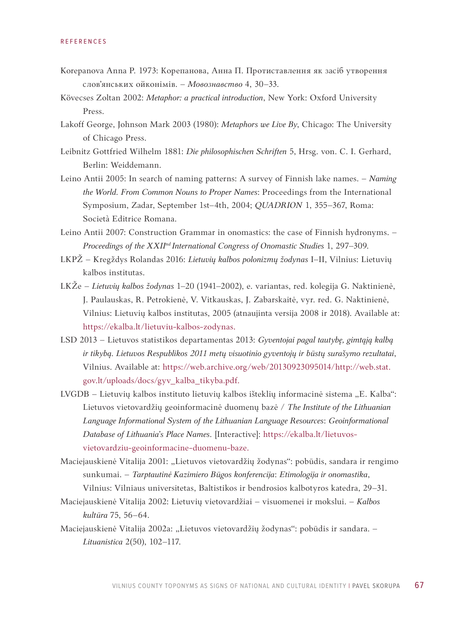- Korepanova Anna P. 1973: Корепанова, Анна П. Протиставлення як засіб утворення слов'янських ойконімів. – *Мовознавство* 4, 30–33.
- Kövecses Zoltan 2002: *Metaphor: a practical introduction*, New York: Oxford University Press.
- Lakoff George, Johnson Mark 2003 (1980): *Metaphors we Live By*, Chicago: The University of Chicago Press.
- Leibnitz Gottfried Wilhelm 1881: *Die philosophischen Schriften* 5, Hrsg. von. C. I. Gerhard, Berlin: Weiddemann.
- Leino Antii 2005: In search of naming patterns: A survey of Finnish lake names. *Naming the World. From Common Nouns to Proper Names*: Proceedings from the International Symposium, Zadar, September 1st–4th, 2004; *QUADRION* 1, 355–367, Roma: Società Editrice Romana.
- Leino Antii 2007: Construction Grammar in onomastics: the case of Finnish hydronyms. *Proceedings of the XXIInd International Congress of Onomastic Studies* 1, 297–309.
- LKPŽ Kregždys Rolandas 2016: *Lietuvių kalbos polonizmų žodynas* I–II, Vilnius: Lietuvių kalbos institutas.
- LKŽe *Lietuvių kalbos žodynas* 1–20 (1941–2002), e. variantas, red. kolegija G. Naktin[ienė,](https://ekalba.lt/lietuviu-kalbos-zodynas)  [J. Paulauskas, R. Petrokienė, V. Vitk](https://ekalba.lt/lietuviu-kalbos-zodynas)auskas, J. Zabarskaitė, vyr. red. G. Naktinienė, Vilnius: Lietuvių kalbos institutas, 2005 (atnaujinta versija 2008 ir 2018). Available at: https://ekalba.lt/lietuviu-kalbos-zodynas.
- LSD 2013 Lietuvos statistikos departamentas 2013: *[Gyventojai pagal tautybę, gimtąją kalbą](https://web.archive.org/web/20130923095014/http://web.stat.gov.lt/uploads/docs/gyv_kalba_tikyba.pdf)  [ir tikybą. Lietuvos Respublikos 2](https://web.archive.org/web/20130923095014/http://web.stat.gov.lt/uploads/docs/gyv_kalba_tikyba.pdf)011 metų visuotinio gyventojų ir būstų surašymo rezultatai*, Vilnius. Available at: https://web.archive.org/web/20130923095014/http://web.stat. gov.lt/uploads/docs/gyv\_kalba\_tikyba.pdf.
- LVGDB Lietuvių kalbos instituto lietuvių kalbos išteklių informacinė sistema "E. Kalba": Lietuvos vietovardžių geoinformacinė duomenų bazė / *[The Institute of the Lithuanian](https://ekalba.lt/lietuvos-vietovardziu-geoinformacine-duomenu-baze)  [Language Informational](https://ekalba.lt/lietuvos-vietovardziu-geoinformacine-duomenu-baze) System of the Lithuanian Language Resources*: *Geoinformational Database of Lithuania's Place Names*. [Interactive]: https://ekalba.lt/lietuvosvietovardziu-geoinformacine-duomenu-baze.
- Maciejauskienė Vitalija 2001: "Lietuvos vietovardžių žodynas": pobūdis, sandara ir rengimo sunkumai. – *Tarptautinė Kazimiero Būgos konferencija*: *Etimologija ir onomastika*, Vilnius: Vilniaus universitetas, Baltistikos ir bendrosios kalbotyros katedra, 29–31.
- Maciejauskienė Vitalija 2002: Lietuvių vietovardžiai visuomenei ir mokslui. *Kalbos kultūra* 75, 56–64.
- Maciejauskienė Vitalija 2002a: "Lietuvos vietovardžių žodynas": pobūdis ir sandara. -*Lituanistica* 2(50), 102–117.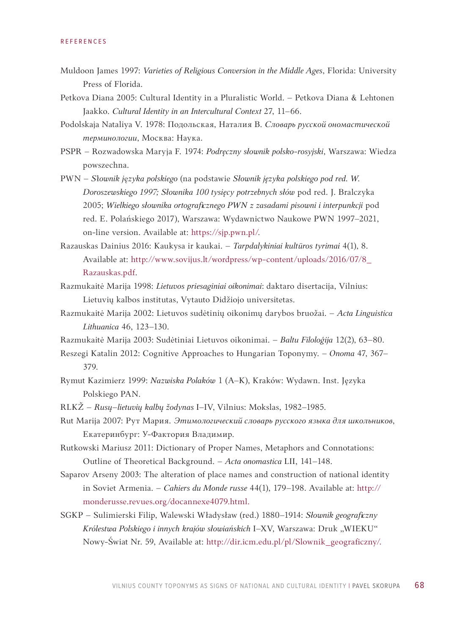- Muldoon James 1997: *Varieties of Religious Conversion in the Middle Ages*, Florida: University Press of Florida.
- Petkova Diana 2005: Cultural Identity in a Pluralistic World. Petkova Diana & Lehtonen Jaakko. *Cultural Identity in an Intercultural Context* 27, 11–66.
- Podolskaja Nataliya V. 1978: Подольская, Наталия В. *Словарь русской ономастической терминологии*, Москва: Наука.
- PSPR Rozwadowska Maryja F. 1974: *Podręczny słownik polsko-rosyjski*, Warszawa: Wiedza powszechna.
- PWN *S*ł*ownik j*ę*zyka polskiego* (na podstawie *Słownik języka polskiego pod red. W. Doroszewskiego 1997; Słownika 100 tysięcy potrzebnych słów* pod red. J. Bralczyka 2005; *[Wielkiego słownik](https://sjp.pwn.pl/)a ortograficznego PWN z zasadami pisowni i interpunkcji* pod red. E. Polańskiego 2017), Warszawa: Wydaw[nictwo Naukowe PWN 1997–2021,](http://www.sovijus.lt/wordpress/wp-content/uploads/2016/07/8_Razauskas.pdf)  [on-line version. Available at: https://sjp.p](http://www.sovijus.lt/wordpress/wp-content/uploads/2016/07/8_Razauskas.pdf)wn.pl/.
- Razauskas Dainius 2016: Kaukysa ir kaukai. *Tarpdalykiniai kultūros tyrimai* 4(1), 8. Available at: http://www.sovijus.lt/wordpress/wp-content/uploads/2016/07/8\_ Razauskas.pdf.
- Razmukaitė Marija 1998: *Lietuvos priesaginiai oikonimai*: daktaro disertacija, Vilnius: Lietuvių kalbos institutas, Vytauto Didžiojo universitetas.
- Razmukaitė Marija 2002: Lietuvos sudėtinių oikonimų darybos bruožai. *Acta Linguistica Lithuanica* 46, 123–130.
- Razmukaitė Marija 2003: Sudėtiniai Lietuvos oikonimai. *Baltu Filoloģija* 12(2), 63–80.
- Reszegi Katalin 2012: Cognitive Approaches to Hungarian Toponymy. *Onoma* 47, 367– 379.
- Rymut Kazimierz 1999: *Nazwiska Polaków* 1 (A–K), Kraków: Wydawn. Inst. Języka Polskiego PAN.
- RLKŽ *Rusų*–*lietuvių kalbų žodynas* I–IV, Vilnius: Mokslas, 1982–1985.
- Rut Marija 2007: Рут Мария. *Этимологический словарь русского языка для школьников*, Екатеринбург: У-Фактория Владимир.
- Rutkowski Mariusz 2011: Dictionary of Proper Names, Metaphors and Connotations: Outline of Theoretical Background. – *Acta onomastica* [LII, 141](http://monderusse.revues.org/docannexe4079.html)*–*148.
- [Saparov Arseny 2003: The alt](http://monderusse.revues.org/docannexe4079.html)eration of place names and construction of national identity in Soviet Armenia. – *Cahiers du Monde russe* 44(1), 179–198. Available at: http:// monderusse.revues.org/docannexe4079.html.
- SGKP Sulimi[erski Filip, Walewski Władysław \(red.\) 1880–191](http://dir.icm.edu.pl/pl/Slownik_geograficzny/)4: *Słownik geograficzny*  Królestwa Polskiego i innych krajów słowiańskich I-XV, Warszawa: Druk "WIEKU" Nowy-Świat Nr. 59, Available at: http://dir.icm.edu.pl/pl/Slownik\_geograficzny/.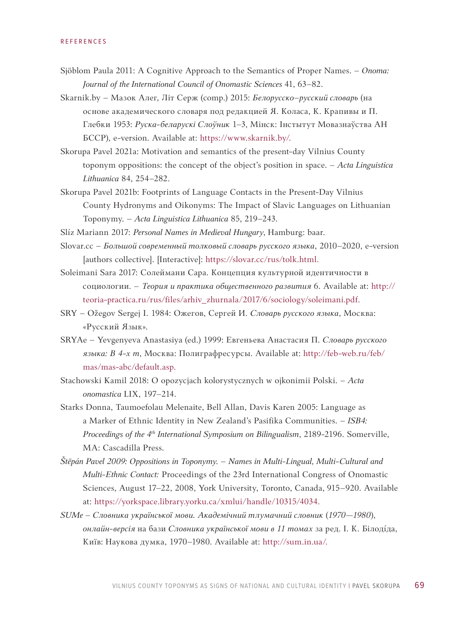- Sjöblom Paula 2011: A Cognitive Approach to the Semantics of Proper Names. *Onoma: Journal of the International Council of Onomastic Sciences* 41, 63–82.
- Skarnik.by Мазок Алег, Літ Серж (comp.) 2015: *Белорусско–русский словарь* [\(на](https://www.skarnik.by/)  [основе академическо](https://www.skarnik.by/)го словаря под редакцией Я. Коласа, К. Крапивы и П. Глебки 1953: *Руска-беларускі Слоўник* 1–3, Мiнск: Інстытут Мовазнаўства АН БССР), e-version. Available at: https://www.skarnik.by/.
- Skorupa Pavel 2021a: Motivation and semantics of the present-day Vilnius County toponym oppositions: the concept of the object's position in space. – *Acta Linguistica Lithuanica* 84, 254–282.
- Skorupa Pavel 2021b: Footprints of Language Contacts in the Present-Day Vilnius County Hydronyms and Oikonyms: The Impact of Slavic Languages on Lithuanian Toponymy. – *Acta Linguistica Lithuanica* 85, 219–243.
- Slíz Mariann 2017: *[Personal Names in Mediev](https://slovar.cc/rus/tolk.html)al Hungary*, Hamburg: baar.
- Slovar.cc *Большой современный толковый словарь русского языка*, 2010–2020, e-version [authors collective]. [Interactiv[e\]: https://slovar.cc/rus/tolk.html.](http://teoria-practica.ru/rus/files/arhiv_zhurnala/2017/6/sociology/soleimani.pdf)
- [Soleimani Sara 2017: Солеймани Сара. Концепц](http://teoria-practica.ru/rus/files/arhiv_zhurnala/2017/6/sociology/soleimani.pdf)ия культурной идентичности в социологии. – *Теория и практика общественного развития* 6. Available at: http:// teoria-practica.ru/rus/files/arhiv\_zhurnala/2017/6/sociology/soleimani.pdf.
- SRY Ožegov Sergej I. 1984: Ожегов, Сергей И. *Сл[оварь русского языка](http://feb-web.ru/feb/mas/mas-abc/default.asp)*, Москва: [«Русский Язык».](http://feb-web.ru/feb/mas/mas-abc/default.asp)
- SRYAe Yevgenyeva Anastasiya (ed.) 1999: Евгеньева Анастасия П*. Cловарь русского языка: В 4-х т*, Москва: Полиграфресурсы. Available at: http://feb-web.ru/feb/ mas/mas-abc/default.asp.
- Stachowski Kamil 2018: O opozycjach kolorystycznych w ojkonimii Polski. *Acta onomastica* LIX, 197*–*214.
- Starks Donna, Taumoefolau Melenaite, Bell Allan, Davis Karen 2005: Language as a Marker of Ethnic Identity in New Zealand's Pasifika Communities. – *ISB4: Proceedings of the 4th International Symposium on Bilingualism*, 2189-2196. Somerville, MA: Cascadilla Press.
- *Štĕpán Pavel 2009: Oppositions in Toponymy. Names in Multi-Lingual, Multi-[Cultural and](https://yorkspace.library.yorku.ca/xmlui/handle/10315/4034)  Multi-Ethnic Contact:* [Proceedings of the 23rd](https://yorkspace.library.yorku.ca/xmlui/handle/10315/4034) International Congress of Onomastic Sciences, August 17–22, 2008, York University, Toronto, Canada, 915*–*920. Available at: https://yorkspace.library.yorku.ca/xmlui/handle/10315/4034.
- *SUMe Словника українсь[кої мови. Академічн](http://sum.in.ua/)ий тлумачний словник* (*1970—1980*), *oнлайн-версія* на бази *Словника української мови в 11 томах* за ред. І. К. Білоді́дa, Київ: Наукова думка, 1970–1980. Available at: http://sum.in.ua/.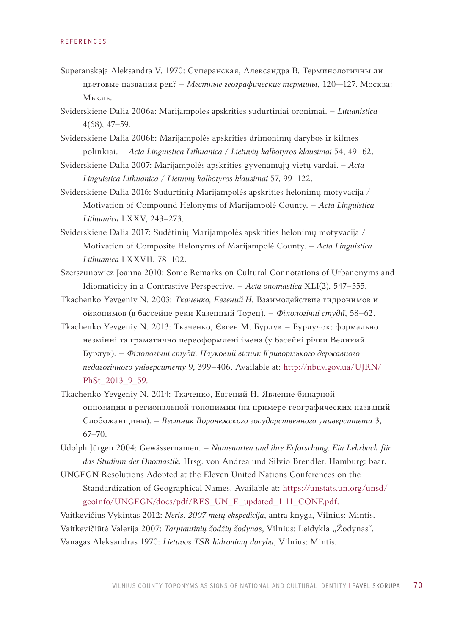- Superanskaja Aleksandra V. 1970: Суперанская, Александра В. Терминологичны ли цветовые названия рек? – *Местные географические термины*, 120—127. Москва: Мысль.
- Sviderskienė Dalia 2006a: Marijampolės apskrities sudurtiniai oronimai. *Lituanistica*  4(68), 47–59.
- Sviderskienė Dalia 2006b: Marijampolės apskrities drimonimų darybos ir kilmės polinkiai. – Acta Linguistica Lithuanica / Lietuvių kalbotyros klausimai 54, 49–62.
- Sviderskienė Dalia 2007: Marijampolės apskrities gyvenamųjų vietų vardai. *Acta Linguistica Lithuanica / Lietuvių kalbotyros klausimai* 57, 99–122.
- Sviderskienė Dalia 2016: Sudurtinių Marijampolės apskrities helonimų motyvacija / Motivation of Compound Helonyms of Marijampolė County. – *Acta Linguistica Lithuanica* LXXV, 243–273.
- Sviderskienė Dalia 2017: Sudėtinių Marijampolės apskrities helonimų motyvacija / Motivation of Composite Helonyms of Marijampolė County. – *Acta Linguistica Lithuanica* LXXVII, 78–102.
- Szerszunowicz Joanna 2010: Some Remarks on Cultural Connotations of Urbanonyms and Idiomaticity in a Contrastive Perspective. – *Acta onomastica* XLI(2), 547*–*555.
- Tkachenko Yevgeniy N. 2003: *Ткаченко, Евгений Н*. Взаимодействие гидронимов и ойконимов (в бассейне реки Казенный Торец). – *Філологічні студії*, 58–62.
- Tkachenko Yevgeniy N. 2013: Ткаченко, Євген M. Бурлук Бурлучок: формально незмінні т[а граматично переоформлені імена \(у басе](http://nbuv.gov.ua/UJRN/PhSt_2013_9_59)йні річки Великий Бурлук). – *Філологічні студії. Науковий вісник Криворізького державного педагогічного університету* 9, 399–406. Available at: http://nbuv.gov.ua/UJRN/ PhSt\_2013\_9\_59.
- Tkachenko Yevgeniy N. 2014: Ткаченко, Евгений Н. Явление бинарной оппозиции в региональной топонимии (на примере географических названий Слобожанщины). – *Вестник Воронежского государственного университета* 3, 67–70.
- Udolph Jürgen 2004: Gewässernamen. *Namenarten und ihre Erforschung. Ein Lehrbuch für das Studium der Onomastik*[, Hrsg. von Andrea und Silvio Brendler. Hamburg: baar.](https://unstats.un.org/unsd/geoinfo/UNGEGN/docs/pdf/RES_UN_E_updated_1-11_CONF.pdf)
- [UNGEGN Resolutions Adopted a](https://unstats.un.org/unsd/geoinfo/UNGEGN/docs/pdf/RES_UN_E_updated_1-11_CONF.pdf)t the Eleven United Nations Conferences on the Standardization of Geographical Names. Available at: https://unstats.un.org/unsd/ geoinfo/UNGEGN/docs/pdf/RES\_UN\_E\_updated\_1-11\_CONF.pdf.

Vaitkevičius Vykintas 2012: *Neris. 2007 metų ekspedicija*, antra knyga, Vilnius: Mintis. Vaitkevičiūtė Valerija 2007: *Tarptautinių žodžių žodynas*, Vilnius: Leidykla "Žodynas". Vanagas Aleksandras 1970: *Lietuvos TSR hidronimų daryba*, Vilnius: Mintis.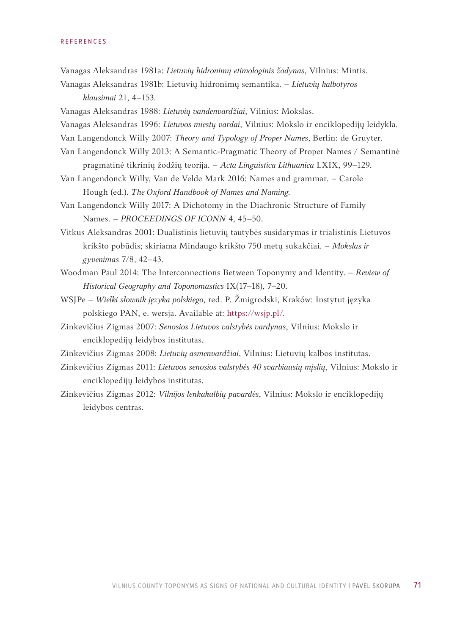- Vanagas Aleksandras 1981a: *Lietuvių hidronimų etimologinis žodynas*, Vilnius: Mintis.
- Vanagas Aleksandras 1981b: Lietuvių hidronimų semantika. *Lietuvių kalbotyros klausimai* 21, 4–153.
- Vanagas Aleksandras 1988: *Lietuvių vandenvardžiai*, Vilnius: Mokslas.
- Vanagas Aleksandras 1996: *Lietuvos miestų vardai*, Vilnius: Mokslo ir enciklopedijų leidykla.
- Van Langendonck Willy 2007: *Theory and Typology of Proper Names*, Berlin: de Gruyter.
- Van Langendonck Willy 2013: A Semantic-Pragmatic Theory of Proper Names / Semantinė pragmatinė tikrinių žodžių teorija. – *Acta Linguistica Lithuanica* LXIX, 99–129.
- Van Langendonck Willy, Van de Velde Mark 2016: Names and grammar. Carole Hough (ed.). *The Oxford Handbook of Names and Naming*.
- Van Langendonck Willy 2017: A Dichotomy in the Diachronic Structure of Family Names. – *PROCEEDINGS OF ICONN* 4, 45–50.
- Vitkus Aleksandras 2001: Dualistinis lietuvių tautybės susidarymas ir trialistinis Lietuvos krikšto pobūdis; skiriama Mindaugo krikšto 750 metų sukakčiai. – *Mokslas ir gyvenimas* 7/8, 42–43.
- Woodman Paul 2014: The Interconnections Between Toponymy and Identity. *Review o[f](https://wsjp.pl/) [Historical Geogr](https://wsjp.pl/)aphy and Toponomastics* IX(17–18), 7–20.
- WSJPe *Wielki słownik języka polskiego*, red. P. Žmigrodski, Kraków: Instytut języka polskiego PAN, e. wersja. Available at: https://wsjp.pl/.
- Zinkevičius Zigmas 2007: *Senosios Lietuvos valstybės vardynas*, Vilnius: Mokslo ir enciklopedijų leidybos institutas.
- Zinkevičius Zigmas 2008: *Lietuvių asmenvardžiai*, Vilnius: Lietuvių kalbos institutas.
- Zinkevičius Zigmas 2011: *Lietuvos senosios valstybės 40 svarbiausių mįslių*, Vilnius: Mokslo ir enciklopedijų leidybos institutas.
- Zinkevičius Zigmas 2012: *Vilnijos lenkakalbių pavardės*, Vilnius: Mokslo ir enciklopedijų leidybos centras.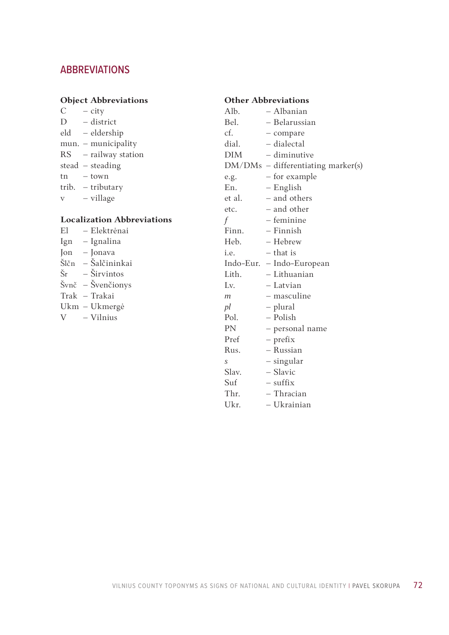# ABBREVIATIONS

## **Object Abbreviations**

 $C - city$ D – district eld – eldership mun. – municipality RS – railway station stead – steading tn – town trib. – tributary v – village

# **Localization Abbreviations**

El – Elektrėnai Ign – Ignalina Jon – Jonava Šlčn – Šalčininkai  $\check{S}r - \check{S}$ irvintos Švnč – Švenčionys Trak – Trakai Ukm – Ukmergė V – Vilnius

### **Other Abbreviations**

| Alb.       | - Albanian                         |
|------------|------------------------------------|
| Bel.       | - Belarussian                      |
| cf.        | - compare                          |
| dial.      | - dialectal                        |
| <b>DIM</b> | – diminutive                       |
|            | DM/DMs - differentiating marker(s) |
| e.g.       | - for example                      |
| En.        | – English                          |
| et al.     | - and others                       |
| etc.       | – and other                        |
| $\int$     | - feminine                         |
| Finn.      | – Finnish                          |
| Heb.       | - Hebrew                           |
| i.e.       | – that is                          |
| Indo-Eur.  | - Indo-European                    |
| Lith.      | - Lithuanian                       |
| Lv.        | – Latvian                          |
| m          | – masculine                        |
| pl         | - plural                           |
| Pol.       | – Polish                           |
| PN         | - personal name                    |
| Pref       | - prefix                           |
| Rus.       | - Russian                          |
| S          | – singular                         |
| Slav.      | - Slavic                           |
| Suf        | $-$ suffix                         |
| Thr.       | - Thracian                         |
| Ukr.       | – Ukrainian                        |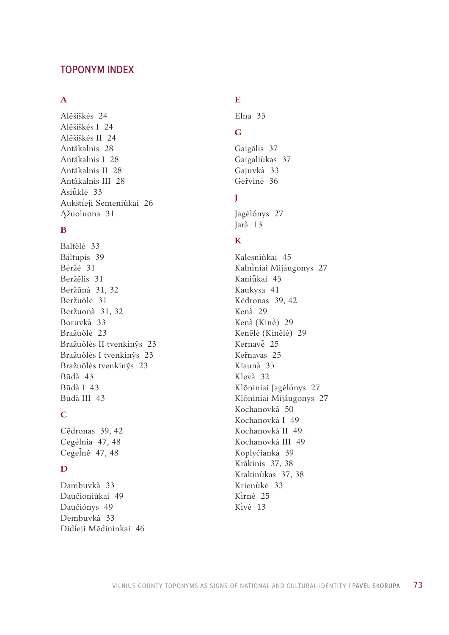### TOPONYM INDEX

#### **A**

Alẽšiškės [24](#page-23-0) Alẽšiškės I [24](#page-23-0) Alẽšiškės II [24](#page-23-0) Antãkalnis [28](#page-27-0) Antãkalnis I [28](#page-27-0) Antãkalnis II [28](#page-27-0) Antãkalnis III [28](#page-27-0) Asiū̃klė [33](#page-32-0) Aukštíeji Semeniùkai [26](#page-25-0) Ąžuoluona [31](#page-30-0)

#### **B**

Baltẽlė [33](#page-32-0) Báltupis [39](#page-38-0) Béržė [31](#page-30-0) Beržẽlis [31](#page-30-0) Beržūnà [31,](#page-30-0) [32](#page-31-0) Beržuõlė [31](#page-30-0) Beržuonà [31,](#page-30-0) [32](#page-31-0) Boruvkà [33](#page-32-0) Bražuõlė [23](#page-22-0) Bražuõlės II tvenkinỹs [23](#page-22-0) Bražuõlės I tvenkinỹs [23](#page-22-0) Bražuõlės tvenkinỹs [23](#page-22-0) Būdà [43](#page-42-0) Būdà I [43](#page-42-0) Būdà III [43](#page-42-0)

## **C**

Cẽdronas [39,](#page-38-0) [42](#page-41-0) Cegélnia [47,](#page-46-0) [48](#page-47-0) Cegelnė [47,](#page-46-0) [48](#page-47-0)

### **D**

Dambuvkà [33](#page-32-0) Daučioniùkai [49](#page-48-0) Daučiónys [49](#page-48-0) Dembuvkà [33](#page-32-0) Dideji Mẽdininkai [46](#page-45-0)

# **E**

Elna [35](#page-34-0)

# **G**

Gaigãlis [37](#page-36-0) Gaigaliùkas [37](#page-36-0) Gajuvkà [33](#page-32-0) Gervinė [36](#page-35-0)

# **J**

Jagėlónys [27](#page-26-0) Jarà [13](#page-12-0)

## **K**

Kalesniñkai [45](#page-44-0) Kalniniai Mijáugonys [27](#page-26-0) Kaniūkai [45](#page-44-0) Kaukysa [41](#page-40-0) Kẽdronas [39,](#page-38-0) [42](#page-41-0) Kenà [29](#page-28-0) Kenà (Kinė̃) [29](#page-28-0) Kenẽlė (Kinẽlė) [29](#page-28-0) Kernavė<sup>[25](#page-24-0)</sup> Ker̃navas [25](#page-24-0) Kiaunà [35](#page-34-0) Klevà [32](#page-31-0) Klõniniai Jagėlónys [27](#page-26-0) Klõniniai Mijáugonys [27](#page-26-0) Kochanovkà [50](#page-49-0) Kochanovkà I [49](#page-48-0) Kochanovkà II [49](#page-48-0) Kochanovkà III [49](#page-48-0) Koplyčiankà [39](#page-38-0) Krãkinis [37](#page-36-0), [38](#page-37-0) Krakinùkas [37,](#page-36-0) [38](#page-37-0) Krienùkė [33](#page-32-0) Kirnė [25](#page-24-0) Kivė [13](#page-12-0)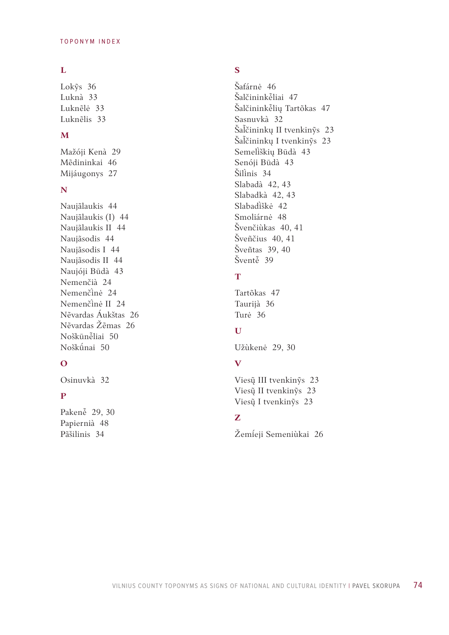#### **L**

Lok ỹs [36](#page-35-0) Luknà [33](#page-32-0) Luknẽlė [33](#page-32-0) Luknẽlis [33](#page-32-0)

### **M**

Mažóji Kenà [29](#page-28-0) Mẽdininkai [46](#page-45-0) Mijáugonys [27](#page-26-0)

#### **N**

Naujãlaukis [44](#page-43-0) Naujãlaukis (I) [44](#page-43-0) Naujãlaukis II [44](#page-43-0) Naujãsodis [44](#page-43-0) Naujãsodis I [44](#page-43-0) Naujãsodis II [44](#page-43-0) Naujóji Būdà [43](#page-42-0) Nemenčià [24](#page-23-0) Nemenčinė [24](#page-23-0) Nemenčinė II [24](#page-23-0) Nẽvardas Áukštas [26](#page-25-0) Nẽvardas Žẽmas [26](#page-25-0) Noškūnė̃liai [50](#page-49-0) Noškūnai [50](#page-49-0)

### **O**

Osinuvkà [32](#page-31-0)

### **P**

Pakenė [29,](#page-28-0) [30](#page-29-0) Papiernià [48](#page-47-0) Pãšilinis [34](#page-33-0)

# **S**

Šafárnė [46](#page-45-0) Šalčininkė̃liai [47](#page-46-0) Šalčininkėlių Tartõkas [47](#page-46-0) Sasnuvkà [32](#page-31-0) Šačininkų II tvenkinỹs [23](#page-22-0) Šačininkų I tvenkinỹs [23](#page-22-0) Semelškių Būdà [43](#page-42-0) Senóji Būdà [43](#page-42-0) Šilinis [34](#page-33-0) Slabadà [42](#page-41-0), [43](#page-42-0) Slabadkà [42](#page-41-0), [43](#page-42-0) Slabadiškė [42](#page-41-0) Smoliárnė [48](#page-47-0) Švenčiùkas [40,](#page-39-0) [41](#page-40-0) Šveñčius [40,](#page-39-0) [41](#page-40-0) Šveñtas [39,](#page-38-0) [40](#page-39-0) Šventė [39](#page-38-0)

# **T**

Tartõkas [47](#page-46-0) Taurijà [36](#page-35-0) Turė [36](#page-35-0)

### **U**

Užùkenė [29](#page-28-0), [30](#page-29-0)

# **V**

Viesų̃ III tvenkinỹs [23](#page-22-0) Viesų̃ II tvenkinỹs [23](#page-22-0) Viesų̃ I tvenkinỹs [23](#page-22-0)

# **Z**

Žemíeji Semeniùkai [26](#page-25-0)